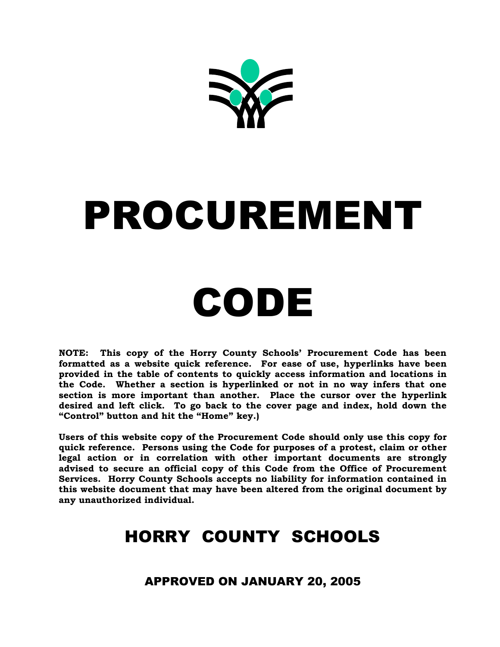

# PROCUREMENT

## CODE

**NOTE: This copy of the Horry County Schools' Procurement Code has been formatted as a website quick reference. For ease of use, hyperlinks have been provided in the table of contents to quickly access information and locations in the Code. Whether a section is hyperlinked or not in no way infers that one section is more important than another. Place the cursor over the hyperlink desired and left click. To go back to the cover page and index, hold down the "Control" button and hit the "Home" key.)**

**Users of this website copy of the Procurement Code should only use this copy for quick reference. Persons using the Code for purposes of a protest, claim or other legal action or in correlation with other important documents are strongly advised to secure an official copy of this Code from the Office of Procurement Services. Horry County Schools accepts no liability for information contained in this website document that may have been altered from the original document by any unauthorized individual.**

## HORRY COUNTY SCHOOLS

APPROVED ON JANUARY 20, 2005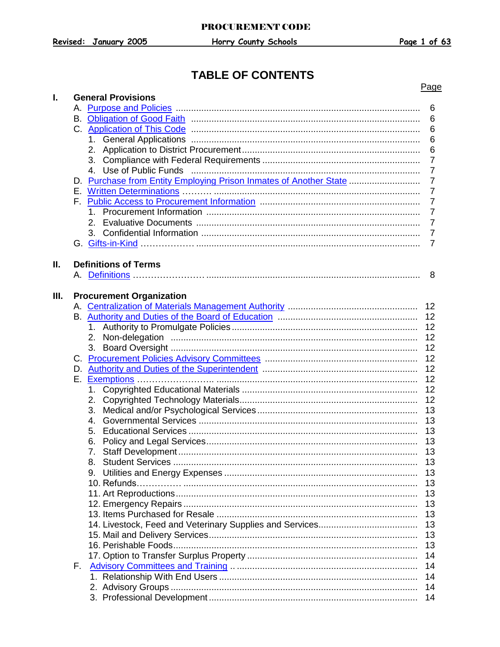## **TABLE OF CONTENTS**

|      |                                                                                                                                                                                                                                                                                                                                                                                                                                                                    | Page           |
|------|--------------------------------------------------------------------------------------------------------------------------------------------------------------------------------------------------------------------------------------------------------------------------------------------------------------------------------------------------------------------------------------------------------------------------------------------------------------------|----------------|
| ı.   | <b>General Provisions</b>                                                                                                                                                                                                                                                                                                                                                                                                                                          |                |
|      |                                                                                                                                                                                                                                                                                                                                                                                                                                                                    | 6              |
|      |                                                                                                                                                                                                                                                                                                                                                                                                                                                                    | $6\,$          |
|      |                                                                                                                                                                                                                                                                                                                                                                                                                                                                    | 6              |
|      |                                                                                                                                                                                                                                                                                                                                                                                                                                                                    | 6              |
|      | 2.                                                                                                                                                                                                                                                                                                                                                                                                                                                                 | 6              |
|      | 3.                                                                                                                                                                                                                                                                                                                                                                                                                                                                 | $\overline{7}$ |
|      | 4. Use of Public Funds<br>$\begin{minipage}{.4\linewidth} \begin{tabular}{l} \hline \textbf{1} & \textbf{1} & \textbf{1} & \textbf{1} & \textbf{1} & \textbf{1} & \textbf{1} & \textbf{1} & \textbf{1} & \textbf{1} & \textbf{1} & \textbf{1} & \textbf{1} & \textbf{1} & \textbf{1} & \textbf{1} & \textbf{1} & \textbf{1} & \textbf{1} & \textbf{1} & \textbf{1} & \textbf{1} & \textbf{1} & \textbf{1} & \textbf{1} & \textbf{1} & \textbf{1} & \textbf{1} & \$ | $\overline{7}$ |
|      | D. Purchase from Entity Employing Prison Inmates of Another State                                                                                                                                                                                                                                                                                                                                                                                                  | $\overline{7}$ |
|      |                                                                                                                                                                                                                                                                                                                                                                                                                                                                    | $\overline{7}$ |
|      |                                                                                                                                                                                                                                                                                                                                                                                                                                                                    | $\overline{7}$ |
|      |                                                                                                                                                                                                                                                                                                                                                                                                                                                                    | $\overline{7}$ |
|      |                                                                                                                                                                                                                                                                                                                                                                                                                                                                    | $\overline{7}$ |
|      | 3.                                                                                                                                                                                                                                                                                                                                                                                                                                                                 | $\overline{7}$ |
|      |                                                                                                                                                                                                                                                                                                                                                                                                                                                                    | $\overline{7}$ |
|      |                                                                                                                                                                                                                                                                                                                                                                                                                                                                    |                |
| Ш.   | <b>Definitions of Terms</b>                                                                                                                                                                                                                                                                                                                                                                                                                                        |                |
|      |                                                                                                                                                                                                                                                                                                                                                                                                                                                                    | 8              |
|      |                                                                                                                                                                                                                                                                                                                                                                                                                                                                    |                |
| III. | <b>Procurement Organization</b>                                                                                                                                                                                                                                                                                                                                                                                                                                    |                |
|      |                                                                                                                                                                                                                                                                                                                                                                                                                                                                    |                |
|      |                                                                                                                                                                                                                                                                                                                                                                                                                                                                    | 12             |
|      |                                                                                                                                                                                                                                                                                                                                                                                                                                                                    | 12             |
|      |                                                                                                                                                                                                                                                                                                                                                                                                                                                                    |                |
|      | 2.                                                                                                                                                                                                                                                                                                                                                                                                                                                                 | 12             |
|      | 3.                                                                                                                                                                                                                                                                                                                                                                                                                                                                 | 12             |
|      |                                                                                                                                                                                                                                                                                                                                                                                                                                                                    | 12             |
|      |                                                                                                                                                                                                                                                                                                                                                                                                                                                                    | 12             |
|      |                                                                                                                                                                                                                                                                                                                                                                                                                                                                    | 12             |
|      | 1.                                                                                                                                                                                                                                                                                                                                                                                                                                                                 | 12             |
|      | 2.                                                                                                                                                                                                                                                                                                                                                                                                                                                                 | 12             |
|      | 3.                                                                                                                                                                                                                                                                                                                                                                                                                                                                 | 13             |
|      | 4.                                                                                                                                                                                                                                                                                                                                                                                                                                                                 | 13             |
|      | 5.                                                                                                                                                                                                                                                                                                                                                                                                                                                                 | 13             |
|      |                                                                                                                                                                                                                                                                                                                                                                                                                                                                    | 13             |
|      |                                                                                                                                                                                                                                                                                                                                                                                                                                                                    | 13             |
|      | 8.                                                                                                                                                                                                                                                                                                                                                                                                                                                                 | 13             |
|      | 9.                                                                                                                                                                                                                                                                                                                                                                                                                                                                 | 13             |
|      |                                                                                                                                                                                                                                                                                                                                                                                                                                                                    | 13             |
|      |                                                                                                                                                                                                                                                                                                                                                                                                                                                                    | 13             |
|      |                                                                                                                                                                                                                                                                                                                                                                                                                                                                    | 13             |
|      |                                                                                                                                                                                                                                                                                                                                                                                                                                                                    | 13             |
|      |                                                                                                                                                                                                                                                                                                                                                                                                                                                                    | 13             |
|      |                                                                                                                                                                                                                                                                                                                                                                                                                                                                    |                |
|      |                                                                                                                                                                                                                                                                                                                                                                                                                                                                    | 13             |
|      |                                                                                                                                                                                                                                                                                                                                                                                                                                                                    | 13             |
|      |                                                                                                                                                                                                                                                                                                                                                                                                                                                                    | 14             |
|      |                                                                                                                                                                                                                                                                                                                                                                                                                                                                    | 14             |
|      |                                                                                                                                                                                                                                                                                                                                                                                                                                                                    | 14             |
|      |                                                                                                                                                                                                                                                                                                                                                                                                                                                                    | 14             |
|      |                                                                                                                                                                                                                                                                                                                                                                                                                                                                    | 14             |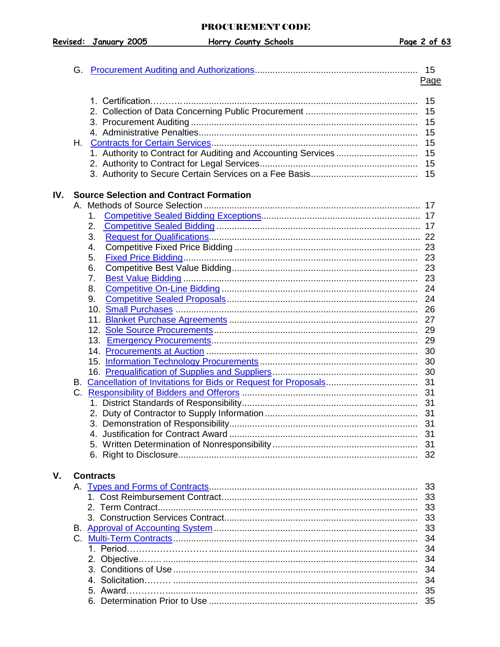Revised: January 2005

|     | G.      |                                                                   |             |
|-----|---------|-------------------------------------------------------------------|-------------|
|     |         |                                                                   | <u>Page</u> |
|     |         |                                                                   |             |
|     |         |                                                                   | 15          |
|     |         |                                                                   | 15          |
|     |         |                                                                   |             |
|     |         |                                                                   | 15          |
|     | H. .    |                                                                   |             |
|     |         | 1. Authority to Contract for Auditing and Accounting Services  15 |             |
|     |         |                                                                   |             |
|     |         |                                                                   |             |
|     |         |                                                                   |             |
| IV. |         | <b>Source Selection and Contract Formation</b>                    |             |
|     |         |                                                                   |             |
|     |         | 1.                                                                |             |
|     |         | 2.                                                                |             |
|     |         | 3.                                                                |             |
|     |         | 4.                                                                |             |
|     |         | 5.                                                                |             |
|     |         | 6.                                                                |             |
|     |         | 7.                                                                |             |
|     |         | 8.                                                                |             |
|     |         | 9.                                                                |             |
|     |         |                                                                   |             |
|     |         |                                                                   |             |
|     |         |                                                                   |             |
|     |         |                                                                   |             |
|     |         |                                                                   |             |
|     |         |                                                                   |             |
|     |         |                                                                   |             |
|     |         |                                                                   |             |
|     |         |                                                                   |             |
|     | $C_{1}$ |                                                                   |             |
|     |         |                                                                   |             |
|     |         |                                                                   |             |
|     |         |                                                                   | 31          |
|     |         |                                                                   | 31          |
|     |         |                                                                   |             |
|     |         |                                                                   |             |
|     |         |                                                                   |             |
| V.  |         | <b>Contracts</b>                                                  |             |
|     |         |                                                                   | 33          |
|     |         |                                                                   |             |
|     |         |                                                                   |             |
|     |         |                                                                   |             |
|     |         |                                                                   |             |
|     |         |                                                                   |             |
|     |         |                                                                   |             |
|     |         |                                                                   | 34          |
|     |         |                                                                   | 34          |
|     |         |                                                                   | 34          |
|     |         |                                                                   |             |
|     |         |                                                                   |             |
|     |         |                                                                   |             |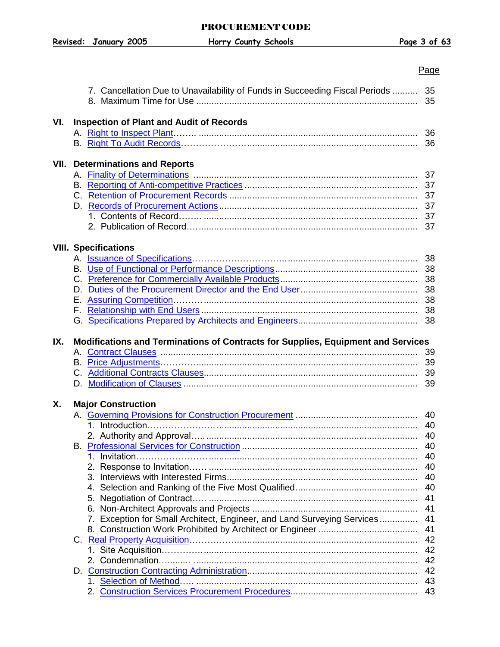## PROCUREMENT CODE

**Revised: January 2005 Horry County Schools Page 3 of 63**

#### <u>Page and the contract of the contract of the contract of the contract of the contract of the contract of the con</u>

|      | 7. Cancellation Due to Unavailability of Funds in Succeeding Fiscal Periods  35  |          |
|------|----------------------------------------------------------------------------------|----------|
| VI.  | <b>Inspection of Plant and Audit of Records</b>                                  |          |
|      |                                                                                  | 36       |
|      |                                                                                  |          |
|      |                                                                                  |          |
| VII. | <b>Determinations and Reports</b>                                                |          |
|      |                                                                                  | 37       |
|      |                                                                                  |          |
|      |                                                                                  |          |
|      |                                                                                  |          |
|      |                                                                                  |          |
|      |                                                                                  |          |
|      |                                                                                  |          |
|      | <b>VIII. Specifications</b>                                                      | 38       |
|      |                                                                                  |          |
|      |                                                                                  |          |
|      |                                                                                  |          |
|      |                                                                                  |          |
|      |                                                                                  | 38       |
|      |                                                                                  |          |
|      |                                                                                  |          |
| IX.  | Modifications and Terminations of Contracts for Supplies, Equipment and Services |          |
|      |                                                                                  | 39       |
|      |                                                                                  |          |
|      |                                                                                  |          |
|      |                                                                                  |          |
|      |                                                                                  |          |
| Х.   |                                                                                  |          |
|      | <b>Major Construction</b>                                                        |          |
|      |                                                                                  | 40       |
|      |                                                                                  |          |
|      |                                                                                  |          |
|      |                                                                                  |          |
|      |                                                                                  | 40       |
|      |                                                                                  | 40       |
|      |                                                                                  | 40       |
|      |                                                                                  | 40       |
|      |                                                                                  | 41       |
|      |                                                                                  | 41       |
|      | 7. Exception for Small Architect, Engineer, and Land Surveying Services          | 41       |
|      |                                                                                  | 41       |
|      |                                                                                  | 42       |
|      |                                                                                  | 42       |
|      |                                                                                  | 42       |
|      |                                                                                  | 42       |
|      |                                                                                  | 43<br>43 |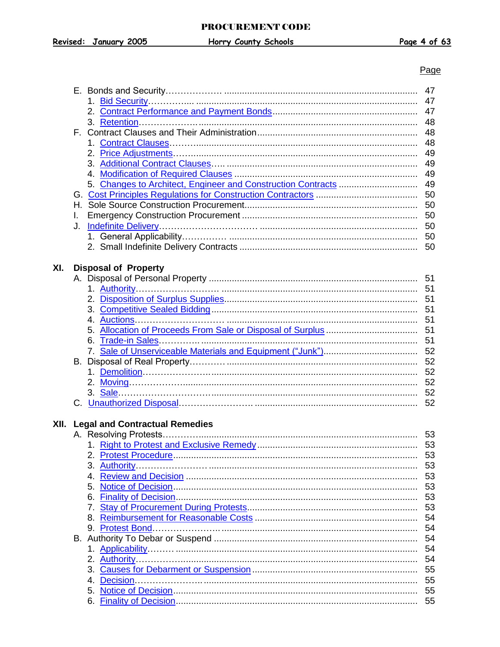## Page

|      |    |                                       | 47 |
|------|----|---------------------------------------|----|
|      |    |                                       | 47 |
|      |    |                                       | 47 |
|      |    |                                       | 48 |
|      |    |                                       |    |
|      |    |                                       | 48 |
|      |    |                                       | 48 |
|      |    |                                       | 49 |
|      |    |                                       | 49 |
|      |    |                                       | 49 |
|      |    |                                       | 49 |
|      |    |                                       | 50 |
|      |    |                                       |    |
|      |    |                                       | 50 |
|      | I. |                                       |    |
|      | J. |                                       |    |
|      |    |                                       |    |
|      |    |                                       |    |
|      |    |                                       |    |
| XI.  |    | <b>Disposal of Property</b>           |    |
|      |    |                                       |    |
|      |    |                                       |    |
|      |    |                                       |    |
|      |    |                                       |    |
|      |    |                                       |    |
|      |    |                                       |    |
|      |    |                                       | 51 |
|      |    |                                       | 51 |
|      |    |                                       | 52 |
|      |    |                                       | 52 |
|      |    |                                       |    |
|      |    |                                       |    |
|      |    |                                       |    |
|      |    |                                       |    |
|      |    |                                       | 52 |
|      |    |                                       |    |
| XII. |    | <b>Legal and Contractual Remedies</b> |    |
|      |    |                                       |    |
|      |    |                                       | 53 |
|      |    |                                       | 53 |
|      |    |                                       | 53 |
|      |    |                                       |    |
|      |    |                                       | 53 |
|      |    |                                       | 53 |
|      |    |                                       | 53 |
|      |    |                                       | 53 |
|      |    |                                       | 54 |
|      |    |                                       | 54 |
|      |    |                                       | 54 |
|      |    |                                       | 54 |
|      |    |                                       |    |
|      |    |                                       | 54 |
|      |    |                                       | 55 |
|      |    |                                       | 55 |
|      |    |                                       | 55 |
|      |    |                                       | 55 |
|      |    |                                       |    |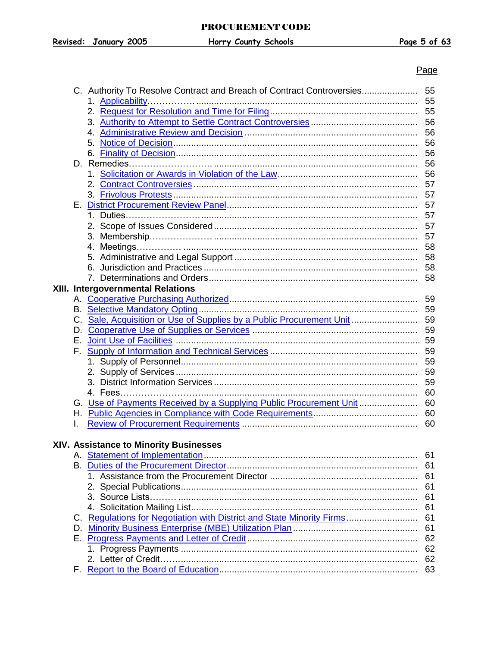## <u>Page and the contract of the contract of the contract of the contract of the contract of the contract of the con</u>

|    | C. Authority To Resolve Contract and Breach of Contract Controversies  | 55 |
|----|------------------------------------------------------------------------|----|
|    |                                                                        | 55 |
|    |                                                                        | 55 |
|    |                                                                        | 56 |
|    |                                                                        | 56 |
|    |                                                                        | 56 |
|    |                                                                        | 56 |
|    |                                                                        | 56 |
|    |                                                                        | 56 |
|    |                                                                        | 57 |
|    |                                                                        | 57 |
|    |                                                                        | 57 |
|    |                                                                        | 57 |
|    |                                                                        | 57 |
|    |                                                                        | 57 |
|    |                                                                        | 58 |
|    |                                                                        | 58 |
|    |                                                                        | 58 |
|    |                                                                        | 58 |
|    |                                                                        |    |
|    | <b>XIII. Intergovernmental Relations</b>                               | 59 |
|    |                                                                        |    |
|    |                                                                        | 59 |
|    | C. Sale, Acquisition or Use of Supplies by a Public Procurement Unit   | 59 |
|    |                                                                        | 59 |
| Е. |                                                                        |    |
|    |                                                                        | 59 |
|    |                                                                        | 59 |
|    |                                                                        | 59 |
|    |                                                                        | 59 |
|    |                                                                        | 60 |
|    | G. Use of Payments Received by a Supplying Public Procurement Unit  60 |    |
|    |                                                                        |    |
|    |                                                                        | 60 |
|    |                                                                        |    |
|    | <b>XIV. Assistance to Minority Businesses</b>                          |    |
|    |                                                                        | 61 |
|    |                                                                        | 61 |
|    |                                                                        | 61 |
|    |                                                                        | 61 |
|    |                                                                        | 61 |
|    |                                                                        | 61 |
|    | C. Regulations for Negotiation with District and State Minority Firms  | 61 |
| D. |                                                                        | 61 |
|    |                                                                        | 62 |
|    |                                                                        | 62 |
|    |                                                                        | 62 |
|    |                                                                        | 63 |
|    |                                                                        |    |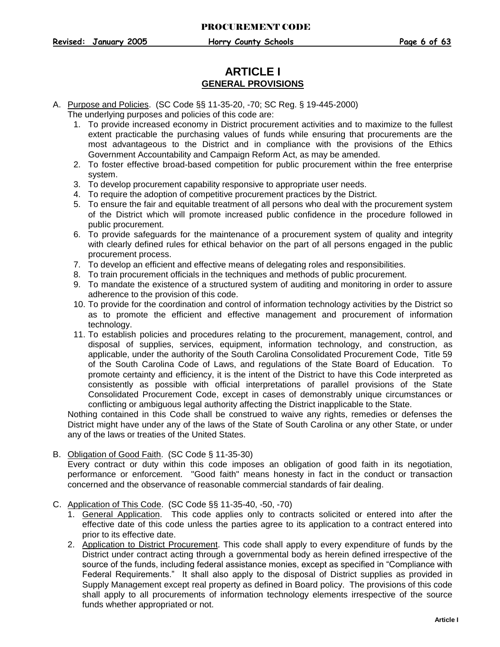## **ARTICLE I GENERAL PROVISIONS**

- <span id="page-6-1"></span><span id="page-6-0"></span>A. Purpose and Policies. (SC Code §§ 11-35-20, -70; SC Reg. § 19-445-2000) The underlying purposes and policies of this code are:
	- 1. To provide increased economy in District procurement activities and to maximize to the fullest extent practicable the purchasing values of funds while ensuring that procurements are the most advantageous to the District and in compliance with the provisions of the Ethics Government Accountability and Campaign Reform Act, as may be amended.
	- 2. To foster effective broad-based competition for public procurement within the free enterprise system.
	- 3. To develop procurement capability responsive to appropriate user needs.
	- 4. To require the adoption of competitive procurement practices by the District.
	- 5. To ensure the fair and equitable treatment of all persons who deal with the procurement system of the District which will promote increased public confidence in the procedure followed in public procurement.
	- 6. To provide safeguards for the maintenance of a procurement system of quality and integrity with clearly defined rules for ethical behavior on the part of all persons engaged in the public procurement process.
	- 7. To develop an efficient and effective means of delegating roles and responsibilities.
	- 8. To train procurement officials in the techniques and methods of public procurement.
	- 9. To mandate the existence of a structured system of auditing and monitoring in order to assure adherence to the provision of this code.
	- 10. To provide for the coordination and control of information technology activities by the District so as to promote the efficient and effective management and procurement of information technology.
	- 11. To establish policies and procedures relating to the procurement, management, control, and disposal of supplies, services, equipment, information technology, and construction, as applicable, under the authority of the South Carolina Consolidated Procurement Code, Title 59 of the South Carolina Code of Laws, and regulations of the State Board of Education. To promote certainty and efficiency, it is the intent of the District to have this Code interpreted as consistently as possible with official interpretations of parallel provisions of the State Consolidated Procurement Code, except in cases of demonstrably unique circumstances or conflicting or ambiguous legal authority affecting the District inapplicable to the State.

Nothing contained in this Code shall be construed to waive any rights, remedies or defenses the District might have under any of the laws of the State of South Carolina or any other State, or under any of the laws or treaties of the United States.

<span id="page-6-2"></span>B. Obligation of Good Faith. (SC Code § 11-35-30)

Every contract or duty within this code imposes an obligation of good faith in its negotiation, performance or enforcement. "Good faith" means honesty in fact in the conduct or transaction concerned and the observance of reasonable commercial standards of fair dealing.

- <span id="page-6-3"></span>C. Application of This Code. (SC Code §§ 11-35-40, -50, -70)
	- 1. General Application. This code applies only to contracts solicited or entered into after the effective date of this code unless the parties agree to its application to a contract entered into prior to its effective date.
	- 2. Application to District Procurement. This code shall apply to every expenditure of funds by the District under contract acting through a governmental body as herein defined irrespective of the source of the funds, including federal assistance monies, except as specified in "Compliance with Federal Requirements." It shall also apply to the disposal of District supplies as provided in Supply Management except real property as defined in Board policy. The provisions of this code shall apply to all procurements of information technology elements irrespective of the source funds whether appropriated or not.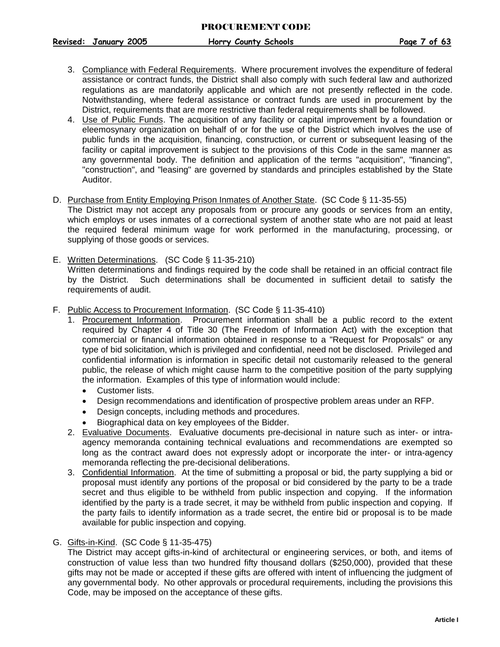**Revised: January 2005 Horry County Schools Page 7 of 63**

- 3. Compliance with Federal Requirements. Where procurement involves the expenditure of federal assistance or contract funds, the District shall also comply with such federal law and authorized regulations as are mandatorily applicable and which are not presently reflected in the code. Notwithstanding, where federal assistance or contract funds are used in procurement by the District, requirements that are more restrictive than federal requirements shall be followed.
- 4. Use of Public Funds. The acquisition of any facility or capital improvement by a foundation or eleemosynary organization on behalf of or for the use of the District which involves the use of public funds in the acquisition, financing, construction, or current or subsequent leasing of the facility or capital improvement is subject to the provisions of this Code in the same manner as any governmental body. The definition and application of the terms "acquisition", "financing", "construction", and "leasing" are governed by standards and principles established by the State Auditor.
- D. Purchase from Entity Employing Prison Inmates of Another State. (SC Code § 11-35-55)

<span id="page-7-0"></span>The District may not accept any proposals from or procure any goods or services from an entity, which employs or uses inmates of a correctional system of another state who are not paid at least the required federal minimum wage for work performed in the manufacturing, processing, or supplying of those goods or services.

- <span id="page-7-1"></span>E. Written Determinations. (SC Code § 11-35-210) Written determinations and findings required by the code shall be retained in an official contract file by the District. Such determinations shall be documented in sufficient detail to satisfy the requirements of audit.
- <span id="page-7-2"></span>F. Public Access to Procurement Information. (SC Code § 11-35-410)
	- 1. Procurement Information. Procurement information shall be a public record to the extent required by Chapter 4 of Title 30 (The Freedom of Information Act) with the exception that commercial or financial information obtained in response to a "Request for Proposals" or any type of bid solicitation, which is privileged and confidential, need not be disclosed. Privileged and confidential information is information in specific detail not customarily released to the general public, the release of which might cause harm to the competitive position of the party supplying the information. Examples of this type of information would include:
		- Customer lists.
		- Design recommendations and identification of prospective problem areas under an RFP.
		- Design concepts, including methods and procedures.
		- Biographical data on key employees of the Bidder.
	- 2. Evaluative Documents. Evaluative documents pre-decisional in nature such as inter- or intraagency memoranda containing technical evaluations and recommendations are exempted so long as the contract award does not expressly adopt or incorporate the inter- or intra-agency memoranda reflecting the pre-decisional deliberations.
	- 3. Confidential Information. At the time of submitting a proposal or bid, the party supplying a bid or proposal must identify any portions of the proposal or bid considered by the party to be a trade secret and thus eligible to be withheld from public inspection and copying. If the information identified by the party is a trade secret, it may be withheld from public inspection and copying. If the party fails to identify information as a trade secret, the entire bid or proposal is to be made available for public inspection and copying.
- G. Gifts-in-Kind. (SC Code § 11-35-475)

<span id="page-7-3"></span>The District may accept gifts-in-kind of architectural or engineering services, or both, and items of construction of value less than two hundred fifty thousand dollars (\$250,000), provided that these gifts may not be made or accepted if these gifts are offered with intent of influencing the judgment of any governmental body. No other approvals or procedural requirements, including the provisions this Code, may be imposed on the acceptance of these gifts.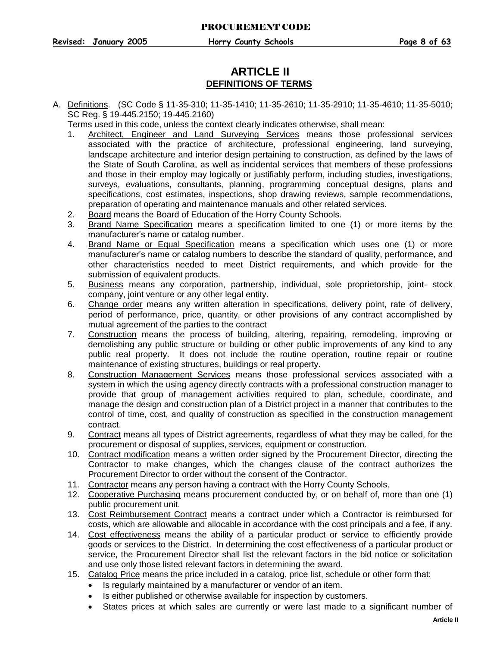## **ARTICLE II DEFINITIONS OF TERMS**

<span id="page-8-0"></span>A. Definitions. (SC Code § 11-35-310; 11-35-1410; 11-35-2610; 11-35-2910; 11-35-4610; 11-35-5010; SC Reg. § 19-445.2150; 19-445.2160)

Terms used in this code, unless the context clearly indicates otherwise, shall mean:

- 1. Architect, Engineer and Land Surveying Services means those professional services associated with the practice of architecture, professional engineering, land surveying, landscape architecture and interior design pertaining to construction, as defined by the laws of the State of South Carolina, as well as incidental services that members of these professions and those in their employ may logically or justifiably perform, including studies, investigations, surveys, evaluations, consultants, planning, programming conceptual designs, plans and specifications, cost estimates, inspections, shop drawing reviews, sample recommendations, preparation of operating and maintenance manuals and other related services.
- 2. Board means the Board of Education of the Horry County Schools.
- 3. Brand Name Specification means a specification limited to one (1) or more items by the manufacturer's name or catalog number.
- 4. Brand Name or Equal Specification means a specification which uses one (1) or more manufacturer's name or catalog numbers to describe the standard of quality, performance, and other characteristics needed to meet District requirements, and which provide for the submission of equivalent products.
- 5. Business means any corporation, partnership, individual, sole proprietorship, joint- stock company, joint venture or any other legal entity.
- 6. Change order means any written alteration in specifications, delivery point, rate of delivery, period of performance, price, quantity, or other provisions of any contract accomplished by mutual agreement of the parties to the contract
- 7. Construction means the process of building, altering, repairing, remodeling, improving or demolishing any public structure or building or other public improvements of any kind to any public real property. It does not include the routine operation, routine repair or routine maintenance of existing structures, buildings or real property.
- 8. Construction Management Services means those professional services associated with a system in which the using agency directly contracts with a professional construction manager to provide that group of management activities required to plan, schedule, coordinate, and manage the design and construction plan of a District project in a manner that contributes to the control of time, cost, and quality of construction as specified in the construction management contract.
- 9. Contract means all types of District agreements, regardless of what they may be called, for the procurement or disposal of supplies, services, equipment or construction.
- 10. Contract modification means a written order signed by the Procurement Director, directing the Contractor to make changes, which the changes clause of the contract authorizes the Procurement Director to order without the consent of the Contractor.
- 11. Contractor means any person having a contract with the Horry County Schools.
- 12. Cooperative Purchasing means procurement conducted by, or on behalf of, more than one (1) public procurement unit.
- 13. Cost Reimbursement Contract means a contract under which a Contractor is reimbursed for costs, which are allowable and allocable in accordance with the cost principals and a fee, if any.
- 14. Cost effectiveness means the ability of a particular product or service to efficiently provide goods or services to the District. In determining the cost effectiveness of a particular product or service, the Procurement Director shall list the relevant factors in the bid notice or solicitation and use only those listed relevant factors in determining the award.
- 15. Catalog Price means the price included in a catalog, price list, schedule or other form that:
	- Is regularly maintained by a manufacturer or vendor of an item.
	- Is either published or otherwise available for inspection by customers.
	- States prices at which sales are currently or were last made to a significant number of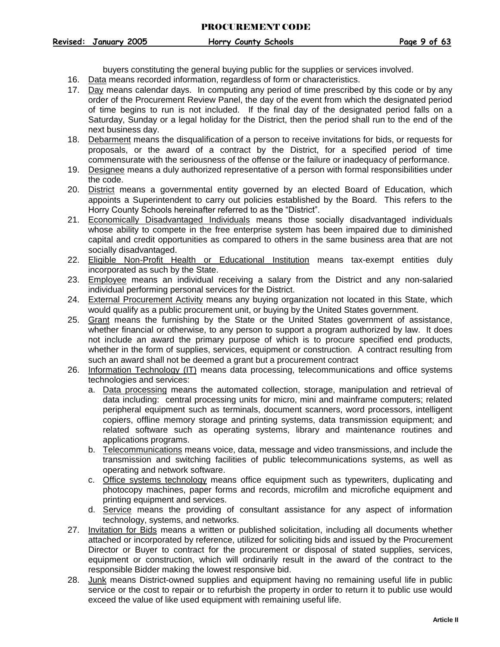**Revised: January 2005 Horry County Schools Page 9 of 63**

buyers constituting the general buying public for the supplies or services involved.

- 16. Data means recorded information, regardless of form or characteristics.
- 17. Day means calendar days. In computing any period of time prescribed by this code or by any order of the Procurement Review Panel, the day of the event from which the designated period of time begins to run is not included. If the final day of the designated period falls on a Saturday, Sunday or a legal holiday for the District, then the period shall run to the end of the next business day.
- 18. Debarment means the disqualification of a person to receive invitations for bids, or requests for proposals, or the award of a contract by the District, for a specified period of time commensurate with the seriousness of the offense or the failure or inadequacy of performance.
- 19. Designee means a duly authorized representative of a person with formal responsibilities under the code.
- 20. District means a governmental entity governed by an elected Board of Education, which appoints a Superintendent to carry out policies established by the Board. This refers to the Horry County Schools hereinafter referred to as the "District".
- 21. Economically Disadvantaged Individuals means those socially disadvantaged individuals whose ability to compete in the free enterprise system has been impaired due to diminished capital and credit opportunities as compared to others in the same business area that are not socially disadvantaged.
- 22. Eligible Non-Profit Health or Educational Institution means tax-exempt entities duly incorporated as such by the State.
- 23. Employee means an individual receiving a salary from the District and any non-salaried individual performing personal services for the District.
- 24. External Procurement Activity means any buying organization not located in this State, which would qualify as a public procurement unit, or buying by the United States government.
- 25. Grant means the furnishing by the State or the United States government of assistance, whether financial or otherwise, to any person to support a program authorized by law. It does not include an award the primary purpose of which is to procure specified end products, whether in the form of supplies, services, equipment or construction. A contract resulting from such an award shall not be deemed a grant but a procurement contract
- 26. Information Technology (IT) means data processing, telecommunications and office systems technologies and services:
	- a. Data processing means the automated collection, storage, manipulation and retrieval of data including: central processing units for micro, mini and mainframe computers; related peripheral equipment such as terminals, document scanners, word processors, intelligent copiers, offline memory storage and printing systems, data transmission equipment; and related software such as operating systems, library and maintenance routines and applications programs.
	- b. Telecommunications means voice, data, message and video transmissions, and include the transmission and switching facilities of public telecommunications systems, as well as operating and network software.
	- c. Office systems technology means office equipment such as typewriters, duplicating and photocopy machines, paper forms and records, microfilm and microfiche equipment and printing equipment and services.
	- d. Service means the providing of consultant assistance for any aspect of information technology, systems, and networks.
- 27. Invitation for Bids means a written or published solicitation, including all documents whether attached or incorporated by reference, utilized for soliciting bids and issued by the Procurement Director or Buyer to contract for the procurement or disposal of stated supplies, services, equipment or construction, which will ordinarily result in the award of the contract to the responsible Bidder making the lowest responsive bid.
- 28. Junk means District-owned supplies and equipment having no remaining useful life in public service or the cost to repair or to refurbish the property in order to return it to public use would exceed the value of like used equipment with remaining useful life.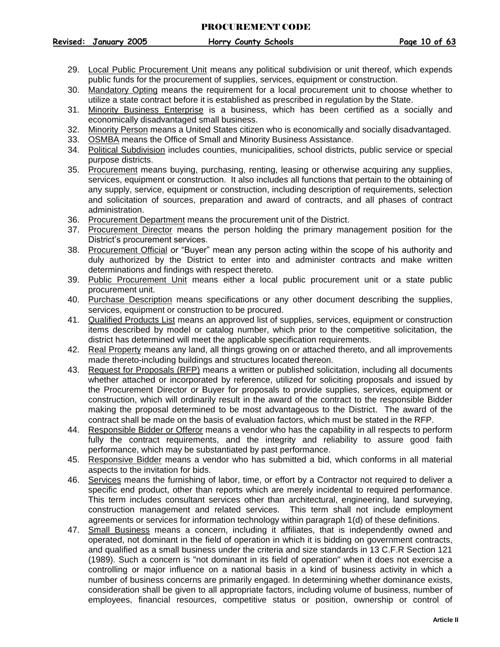#### PROCUREMENT CODE

**Revised: January 2005 Horry County Schools Page 10 of 63**

- 29. Local Public Procurement Unit means any political subdivision or unit thereof, which expends public funds for the procurement of supplies, services, equipment or construction.
- 30. Mandatory Opting means the requirement for a local procurement unit to choose whether to utilize a state contract before it is established as prescribed in regulation by the State.
- 31. Minority Business Enterprise is a business, which has been certified as a socially and economically disadvantaged small business.
- 32. Minority Person means a United States citizen who is economically and socially disadvantaged.
- 33. OSMBA means the Office of Small and Minority Business Assistance.
- 34. Political Subdivision includes counties, municipalities, school districts, public service or special purpose districts.
- 35. Procurement means buying, purchasing, renting, leasing or otherwise acquiring any supplies, services, equipment or construction. It also includes all functions that pertain to the obtaining of any supply, service, equipment or construction, including description of requirements, selection and solicitation of sources, preparation and award of contracts, and all phases of contract administration.
- 36. Procurement Department means the procurement unit of the District.
- 37. Procurement Director means the person holding the primary management position for the District's procurement services.
- 38. Procurement Official or "Buyer" mean any person acting within the scope of his authority and duly authorized by the District to enter into and administer contracts and make written determinations and findings with respect thereto.
- 39. Public Procurement Unit means either a local public procurement unit or a state public procurement unit.
- 40. Purchase Description means specifications or any other document describing the supplies, services, equipment or construction to be procured.
- 41. Qualified Products List means an approved list of supplies, services, equipment or construction items described by model or catalog number, which prior to the competitive solicitation, the district has determined will meet the applicable specification requirements.
- 42. Real Property means any land, all things growing on or attached thereto, and all improvements made thereto-including buildings and structures located thereon.
- 43. Request for Proposals (RFP) means a written or published solicitation, including all documents whether attached or incorporated by reference, utilized for soliciting proposals and issued by the Procurement Director or Buyer for proposals to provide supplies, services, equipment or construction, which will ordinarily result in the award of the contract to the responsible Bidder making the proposal determined to be most advantageous to the District. The award of the contract shall be made on the basis of evaluation factors, which must be stated in the RFP.
- 44. Responsible Bidder or Offeror means a vendor who has the capability in all respects to perform fully the contract requirements, and the integrity and reliability to assure good faith performance, which may be substantiated by past performance.
- 45. Responsive Bidder means a vendor who has submitted a bid, which conforms in all material aspects to the invitation for bids.
- 46. Services means the furnishing of labor, time, or effort by a Contractor not required to deliver a specific end product, other than reports which are merely incidental to required performance. This term includes consultant services other than architectural, engineering, land surveying, construction management and related services. This term shall not include employment agreements or services for information technology within paragraph 1(d) of these definitions.
- 47. Small Business means a concern, including it affiliates, that is independently owned and operated, not dominant in the field of operation in which it is bidding on government contracts, and qualified as a small business under the criteria and size standards in 13 C.F.R Section 121 (1989). Such a concern is "not dominant in its field of operation" when it does not exercise a controlling or major influence on a national basis in a kind of business activity in which a number of business concerns are primarily engaged. In determining whether dominance exists, consideration shall be given to all appropriate factors, including volume of business, number of employees, financial resources, competitive status or position, ownership or control of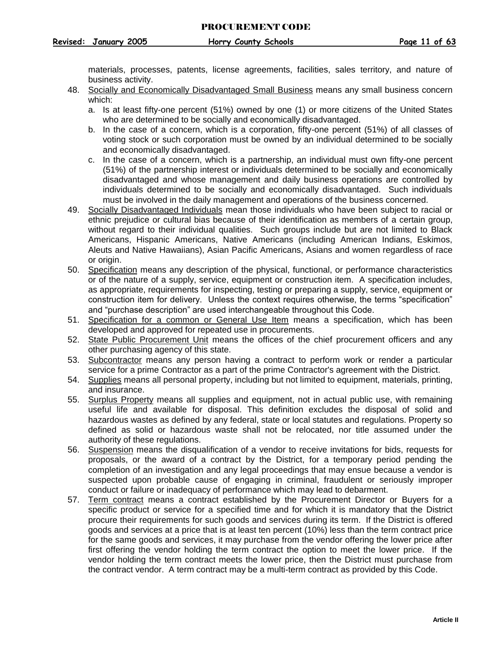materials, processes, patents, license agreements, facilities, sales territory, and nature of business activity.

- 48. Socially and Economically Disadvantaged Small Business means any small business concern which:
	- a. Is at least fifty-one percent (51%) owned by one (1) or more citizens of the United States who are determined to be socially and economically disadvantaged.
	- b. In the case of a concern, which is a corporation, fifty-one percent (51%) of all classes of voting stock or such corporation must be owned by an individual determined to be socially and economically disadvantaged.
	- c. In the case of a concern, which is a partnership, an individual must own fifty-one percent (51%) of the partnership interest or individuals determined to be socially and economically disadvantaged and whose management and daily business operations are controlled by individuals determined to be socially and economically disadvantaged. Such individuals must be involved in the daily management and operations of the business concerned.
- 49. Socially Disadvantaged Individuals mean those individuals who have been subject to racial or ethnic prejudice or cultural bias because of their identification as members of a certain group, without regard to their individual qualities. Such groups include but are not limited to Black Americans, Hispanic Americans, Native Americans (including American Indians, Eskimos, Aleuts and Native Hawaiians), Asian Pacific Americans, Asians and women regardless of race or origin.
- 50. Specification means any description of the physical, functional, or performance characteristics or of the nature of a supply, service, equipment or construction item. A specification includes, as appropriate, requirements for inspecting, testing or preparing a supply, service, equipment or construction item for delivery. Unless the context requires otherwise, the terms "specification" and "purchase description" are used interchangeable throughout this Code.
- 51. Specification for a common or General Use Item means a specification, which has been developed and approved for repeated use in procurements.
- 52. State Public Procurement Unit means the offices of the chief procurement officers and any other purchasing agency of this state.
- 53. Subcontractor means any person having a contract to perform work or render a particular service for a prime Contractor as a part of the prime Contractor's agreement with the District.
- 54. Supplies means all personal property, including but not limited to equipment, materials, printing, and insurance.
- 55. Surplus Property means all supplies and equipment, not in actual public use, with remaining useful life and available for disposal. This definition excludes the disposal of solid and hazardous wastes as defined by any federal, state or local statutes and regulations. Property so defined as solid or hazardous waste shall not be relocated, nor title assumed under the authority of these regulations.
- 56. Suspension means the disqualification of a vendor to receive invitations for bids, requests for proposals, or the award of a contract by the District, for a temporary period pending the completion of an investigation and any legal proceedings that may ensue because a vendor is suspected upon probable cause of engaging in criminal, fraudulent or seriously improper conduct or failure or inadequacy of performance which may lead to debarment.
- 57. Term contract means a contract established by the Procurement Director or Buyers for a specific product or service for a specified time and for which it is mandatory that the District procure their requirements for such goods and services during its term. If the District is offered goods and services at a price that is at least ten percent (10%) less than the term contract price for the same goods and services, it may purchase from the vendor offering the lower price after first offering the vendor holding the term contract the option to meet the lower price. If the vendor holding the term contract meets the lower price, then the District must purchase from the contract vendor. A term contract may be a multi-term contract as provided by this Code.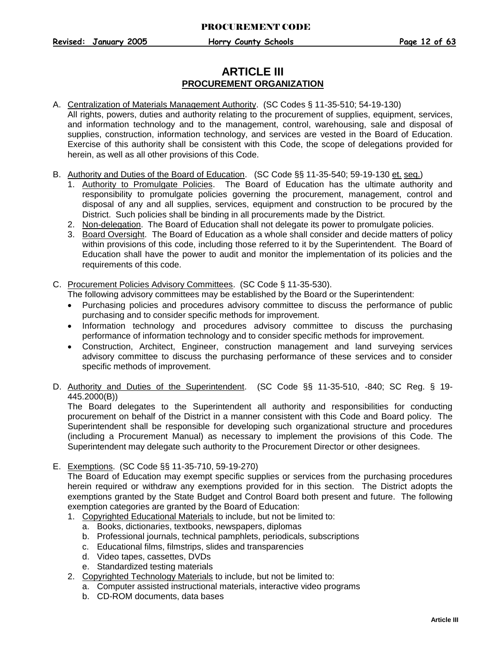## **ARTICLE III PROCUREMENT ORGANIZATION**

#### <span id="page-12-0"></span>A. Centralization of Materials Management Authority. (SC Codes § 11-35-510; 54-19-130)

All rights, powers, duties and authority relating to the procurement of supplies, equipment, services, and information technology and to the management, control, warehousing, sale and disposal of supplies, construction, information technology, and services are vested in the Board of Education. Exercise of this authority shall be consistent with this Code, the scope of delegations provided for herein, as well as all other provisions of this Code.

- <span id="page-12-1"></span>B. Authority and Duties of the Board of Education. (SC Code §§ 11-35-540; 59-19-130 et. seq.)
	- 1. Authority to Promulgate Policies. The Board of Education has the ultimate authority and responsibility to promulgate policies governing the procurement, management, control and disposal of any and all supplies, services, equipment and construction to be procured by the District. Such policies shall be binding in all procurements made by the District.
	- 2. Non-delegation. The Board of Education shall not delegate its power to promulgate policies.
	- 3. Board Oversight. The Board of Education as a whole shall consider and decide matters of policy within provisions of this code, including those referred to it by the Superintendent. The Board of Education shall have the power to audit and monitor the implementation of its policies and the requirements of this code.
- <span id="page-12-2"></span>C. Procurement Policies Advisory Committees. (SC Code § 11-35-530).
	- The following advisory committees may be established by the Board or the Superintendent:
	- Purchasing policies and procedures advisory committee to discuss the performance of public purchasing and to consider specific methods for improvement.
	- Information technology and procedures advisory committee to discuss the purchasing performance of information technology and to consider specific methods for improvement.
	- Construction, Architect, Engineer, construction management and land surveying services advisory committee to discuss the purchasing performance of these services and to consider specific methods of improvement.
- <span id="page-12-3"></span>D. Authority and Duties of the Superintendent. (SC Code §§ 11-35-510, -840; SC Reg. § 19-445.2000(B))

The Board delegates to the Superintendent all authority and responsibilities for conducting procurement on behalf of the District in a manner consistent with this Code and Board policy. The Superintendent shall be responsible for developing such organizational structure and procedures (including a Procurement Manual) as necessary to implement the provisions of this Code. The Superintendent may delegate such authority to the Procurement Director or other designees.

<span id="page-12-4"></span>E. Exemptions. (SC Code §§ 11-35-710, 59-19-270)

The Board of Education may exempt specific supplies or services from the purchasing procedures herein required or withdraw any exemptions provided for in this section. The District adopts the exemptions granted by the State Budget and Control Board both present and future. The following exemption categories are granted by the Board of Education:

- 1. Copyrighted Educational Materials to include, but not be limited to:
	- a. Books, dictionaries, textbooks, newspapers, diplomas
	- b. Professional journals, technical pamphlets, periodicals, subscriptions
	- c. Educational films, filmstrips, slides and transparencies
	- d. Video tapes, cassettes, DVDs
	- e. Standardized testing materials
- 2. Copyrighted Technology Materials to include, but not be limited to:
	- a. Computer assisted instructional materials, interactive video programs
	- b. CD-ROM documents, data bases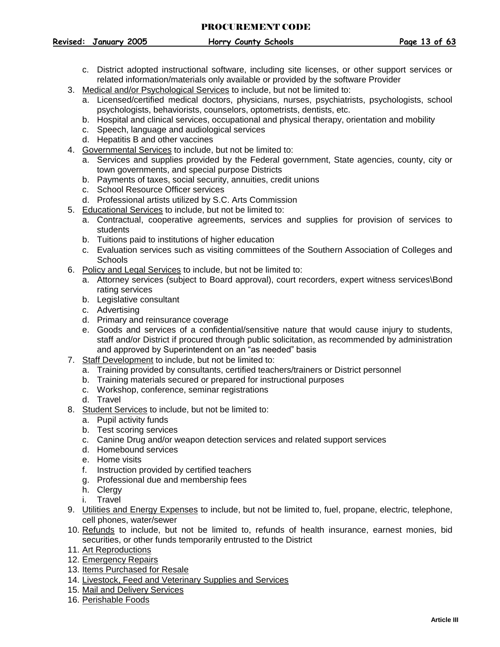#### PROCUREMENT CODE

**Revised: January 2005 Horry County Schools Page 13 of 63**

- c. District adopted instructional software, including site licenses, or other support services or related information/materials only available or provided by the software Provider
- 3. Medical and/or Psychological Services to include, but not be limited to:
	- a. Licensed/certified medical doctors, physicians, nurses, psychiatrists, psychologists, school psychologists, behaviorists, counselors, optometrists, dentists, etc.
	- b. Hospital and clinical services, occupational and physical therapy, orientation and mobility
	- c. Speech, language and audiological services
	- d. Hepatitis B and other vaccines
- 4. Governmental Services to include, but not be limited to:
	- a. Services and supplies provided by the Federal government, State agencies, county, city or town governments, and special purpose Districts
	- b. Payments of taxes, social security, annuities, credit unions
	- c. School Resource Officer services
	- d. Professional artists utilized by S.C. Arts Commission
- 5. Educational Services to include, but not be limited to:
	- a. Contractual, cooperative agreements, services and supplies for provision of services to students
	- b. Tuitions paid to institutions of higher education
	- c. Evaluation services such as visiting committees of the Southern Association of Colleges and **Schools**
- 6. Policy and Legal Services to include, but not be limited to:
	- a. Attorney services (subject to Board approval), court recorders, expert witness services\Bond rating services
	- b. Legislative consultant
	- c. Advertising
	- d. Primary and reinsurance coverage
	- e. Goods and services of a confidential/sensitive nature that would cause injury to students, staff and/or District if procured through public solicitation, as recommended by administration and approved by Superintendent on an "as needed" basis
- 7. Staff Development to include, but not be limited to:
	- a. Training provided by consultants, certified teachers/trainers or District personnel
	- b. Training materials secured or prepared for instructional purposes
	- c. Workshop, conference, seminar registrations
	- d. Travel
- 8. Student Services to include, but not be limited to:
	- a. Pupil activity funds
	- b. Test scoring services
	- c. Canine Drug and/or weapon detection services and related support services
	- d. Homebound services
	- e. Home visits
	- f. Instruction provided by certified teachers
	- g. Professional due and membership fees
	- h. Clergy
	- i. Travel
- 9. Utilities and Energy Expenses to include, but not be limited to, fuel, propane, electric, telephone, cell phones, water/sewer
- 10. Refunds to include, but not be limited to, refunds of health insurance, earnest monies, bid securities, or other funds temporarily entrusted to the District
- 11. Art Reproductions
- 12. Emergency Repairs
- 13. Items Purchased for Resale
- 14. Livestock, Feed and Veterinary Supplies and Services
- 15. Mail and Delivery Services
- 16. Perishable Foods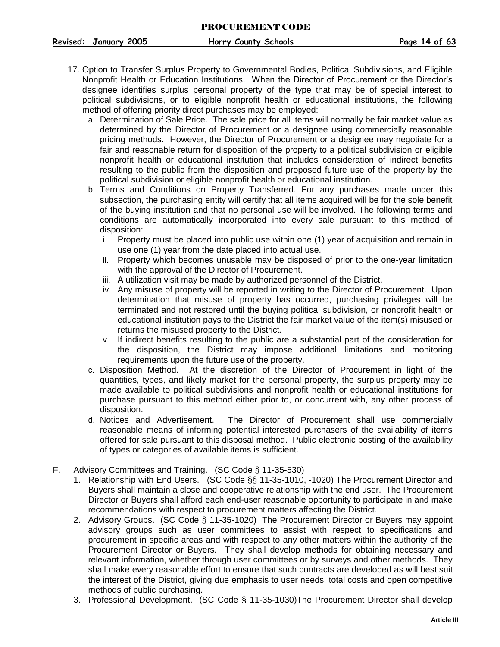- 17. Option to Transfer Surplus Property to Governmental Bodies, Political Subdivisions, and Eligible Nonprofit Health or Education Institutions. When the Director of Procurement or the Director's designee identifies surplus personal property of the type that may be of special interest to political subdivisions, or to eligible nonprofit health or educational institutions, the following method of offering priority direct purchases may be employed:
	- a. Determination of Sale Price. The sale price for all items will normally be fair market value as determined by the Director of Procurement or a designee using commercially reasonable pricing methods. However, the Director of Procurement or a designee may negotiate for a fair and reasonable return for disposition of the property to a political subdivision or eligible nonprofit health or educational institution that includes consideration of indirect benefits resulting to the public from the disposition and proposed future use of the property by the political subdivision or eligible nonprofit health or educational institution.
	- b. Terms and Conditions on Property Transferred. For any purchases made under this subsection, the purchasing entity will certify that all items acquired will be for the sole benefit of the buying institution and that no personal use will be involved. The following terms and conditions are automatically incorporated into every sale pursuant to this method of disposition:
		- i. Property must be placed into public use within one (1) year of acquisition and remain in use one (1) year from the date placed into actual use.
		- ii. Property which becomes unusable may be disposed of prior to the one-year limitation with the approval of the Director of Procurement.
		- iii. A utilization visit may be made by authorized personnel of the District.
		- iv. Any misuse of property will be reported in writing to the Director of Procurement. Upon determination that misuse of property has occurred, purchasing privileges will be terminated and not restored until the buying political subdivision, or nonprofit health or educational institution pays to the District the fair market value of the item(s) misused or returns the misused property to the District.
		- v. If indirect benefits resulting to the public are a substantial part of the consideration for the disposition, the District may impose additional limitations and monitoring requirements upon the future use of the property.
	- c. Disposition Method. At the discretion of the Director of Procurement in light of the quantities, types, and likely market for the personal property, the surplus property may be made available to political subdivisions and nonprofit health or educational institutions for purchase pursuant to this method either prior to, or concurrent with, any other process of disposition.
	- d. Notices and Advertisement. The Director of Procurement shall use commercially reasonable means of informing potential interested purchasers of the availability of items offered for sale pursuant to this disposal method. Public electronic posting of the availability of types or categories of available items is sufficient.
- <span id="page-14-0"></span>F. Advisory Committees and Training. (SC Code § 11-35-530)
	- 1. Relationship with End Users. (SC Code §§ 11-35-1010, -1020) The Procurement Director and Buyers shall maintain a close and cooperative relationship with the end user. The Procurement Director or Buyers shall afford each end-user reasonable opportunity to participate in and make recommendations with respect to procurement matters affecting the District.
	- 2. Advisory Groups. (SC Code § 11-35-1020) The Procurement Director or Buyers may appoint advisory groups such as user committees to assist with respect to specifications and procurement in specific areas and with respect to any other matters within the authority of the Procurement Director or Buyers. They shall develop methods for obtaining necessary and relevant information, whether through user committees or by surveys and other methods. They shall make every reasonable effort to ensure that such contracts are developed as will best suit the interest of the District, giving due emphasis to user needs, total costs and open competitive methods of public purchasing.
	- 3. Professional Development. (SC Code § 11-35-1030)The Procurement Director shall develop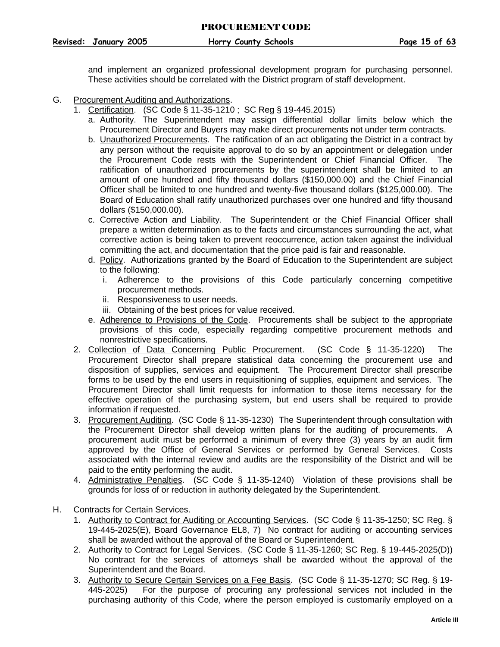**Revised: January 2005 Horry County Schools Page 15 of 63**

and implement an organized professional development program for purchasing personnel. These activities should be correlated with the District program of staff development.

- <span id="page-15-0"></span>G. Procurement Auditing and Authorizations.
	- 1. Certification. (SC Code § 11-35-1210 ; SC Reg § 19-445.2015)
		- a. Authority. The Superintendent may assign differential dollar limits below which the Procurement Director and Buyers may make direct procurements not under term contracts.
		- b. Unauthorized Procurements. The ratification of an act obligating the District in a contract by any person without the requisite approval to do so by an appointment or delegation under the Procurement Code rests with the Superintendent or Chief Financial Officer. The ratification of unauthorized procurements by the superintendent shall be limited to an amount of one hundred and fifty thousand dollars (\$150,000.00) and the Chief Financial Officer shall be limited to one hundred and twenty-five thousand dollars (\$125,000.00). The Board of Education shall ratify unauthorized purchases over one hundred and fifty thousand dollars (\$150,000.00).
		- c. Corrective Action and Liability. The Superintendent or the Chief Financial Officer shall prepare a written determination as to the facts and circumstances surrounding the act, what corrective action is being taken to prevent reoccurrence, action taken against the individual committing the act, and documentation that the price paid is fair and reasonable.
		- d. Policy. Authorizations granted by the Board of Education to the Superintendent are subject to the following:
			- i. Adherence to the provisions of this Code particularly concerning competitive procurement methods.
			- ii. Responsiveness to user needs.
			- iii. Obtaining of the best prices for value received.
		- e. Adherence to Provisions of the Code. Procurements shall be subject to the appropriate provisions of this code, especially regarding competitive procurement methods and nonrestrictive specifications.
	- 2. Collection of Data Concerning Public Procurement. (SC Code § 11-35-1220) The Procurement Director shall prepare statistical data concerning the procurement use and disposition of supplies, services and equipment. The Procurement Director shall prescribe forms to be used by the end users in requisitioning of supplies, equipment and services. The Procurement Director shall limit requests for information to those items necessary for the effective operation of the purchasing system, but end users shall be required to provide information if requested.
	- 3. Procurement Auditing. (SC Code § 11-35-1230) The Superintendent through consultation with the Procurement Director shall develop written plans for the auditing of procurements. A procurement audit must be performed a minimum of every three (3) years by an audit firm approved by the Office of General Services or performed by General Services. Costs associated with the internal review and audits are the responsibility of the District and will be paid to the entity performing the audit.
	- 4. Administrative Penalties. (SC Code § 11-35-1240) Violation of these provisions shall be grounds for loss of or reduction in authority delegated by the Superintendent.
- <span id="page-15-1"></span>H. Contracts for Certain Services.
	- 1. Authority to Contract for Auditing or Accounting Services. (SC Code § 11-35-1250; SC Reg. § 19-445-2025(E), Board Governance EL8, 7) No contract for auditing or accounting services shall be awarded without the approval of the Board or Superintendent.
	- 2. Authority to Contract for Legal Services. (SC Code § 11-35-1260; SC Reg. § 19-445-2025(D)) No contract for the services of attorneys shall be awarded without the approval of the Superintendent and the Board.
	- 3. Authority to Secure Certain Services on a Fee Basis. (SC Code § 11-35-1270; SC Reg. § 19- 445-2025) For the purpose of procuring any professional services not included in the purchasing authority of this Code, where the person employed is customarily employed on a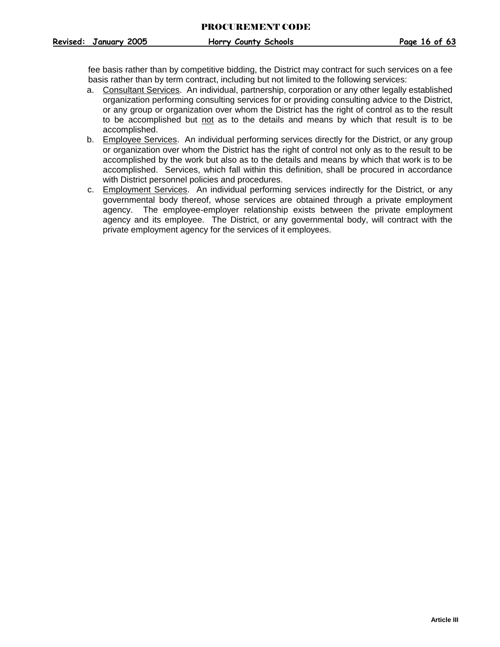fee basis rather than by competitive bidding, the District may contract for such services on a fee basis rather than by term contract, including but not limited to the following services:

- a. Consultant Services. An individual, partnership, corporation or any other legally established organization performing consulting services for or providing consulting advice to the District, or any group or organization over whom the District has the right of control as to the result to be accomplished but not as to the details and means by which that result is to be accomplished.
- b. Employee Services. An individual performing services directly for the District, or any group or organization over whom the District has the right of control not only as to the result to be accomplished by the work but also as to the details and means by which that work is to be accomplished. Services, which fall within this definition, shall be procured in accordance with District personnel policies and procedures.
- c. Employment Services. An individual performing services indirectly for the District, or any governmental body thereof, whose services are obtained through a private employment agency. The employee-employer relationship exists between the private employment agency and its employee. The District, or any governmental body, will contract with the private employment agency for the services of it employees.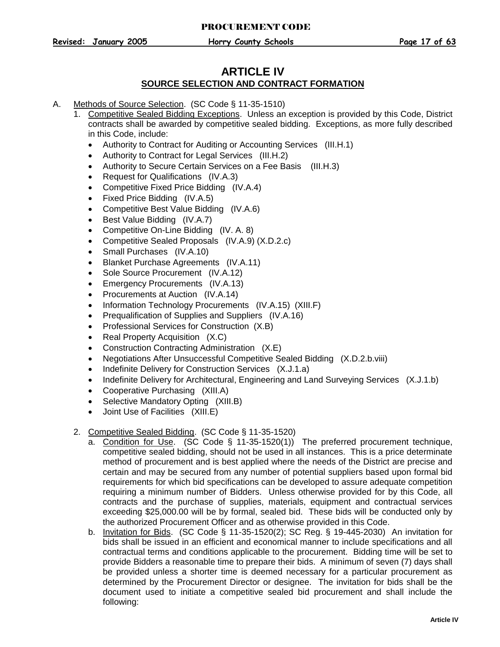## **ARTICLE IV SOURCE SELECTION AND CONTRACT FORMATION**

- <span id="page-17-0"></span>A. Methods of Source Selection. (SC Code § 11-35-1510)
	- 1. Competitive Sealed Bidding Exceptions. Unless an exception is provided by this Code, District contracts shall be awarded by competitive sealed bidding. Exceptions, as more fully described in this Code, include:
		- Authority to Contract for Auditing or Accounting Services (III.H.1)
		- Authority to Contract for Legal Services (III.H.2)
		- Authority to Secure Certain Services on a Fee Basis (III.H.3)
		- Request for Qualifications (IV.A.3)
		- Competitive Fixed Price Bidding (IV.A.4)
		- Fixed Price Bidding (IV.A.5)
		- Competitive Best Value Bidding (IV.A.6)
		- Best Value Bidding (IV.A.7)
		- Competitive On-Line Bidding (IV. A. 8)
		- Competitive Sealed Proposals (IV.A.9) (X.D.2.c)
		- Small Purchases (IV.A.10)
		- Blanket Purchase Agreements (IV.A.11)
		- Sole Source Procurement (IV.A.12)
		- Emergency Procurements (IV.A.13)
		- Procurements at Auction (IV.A.14)
		- Information Technology Procurements (IV.A.15) (XIII.F)
		- Prequalification of Supplies and Suppliers (IV.A.16)
		- Professional Services for Construction (X.B)
		- Real Property Acquisition (X.C)
		- Construction Contracting Administration (X.E)
		- Negotiations After Unsuccessful Competitive Sealed Bidding (X.D.2.b.viii)
		- Indefinite Delivery for Construction Services (X.J.1.a)
		- Indefinite Delivery for Architectural, Engineering and Land Surveying Services (X.J.1.b)
		- Cooperative Purchasing (XIII.A)
		- Selective Mandatory Opting (XIII.B)
		- Joint Use of Facilities (XIII.E)

## <span id="page-17-1"></span>2. Competitive Sealed Bidding. (SC Code § 11-35-1520)

- a. Condition for Use. (SC Code § 11-35-1520(1)) The preferred procurement technique, competitive sealed bidding, should not be used in all instances. This is a price determinate method of procurement and is best applied where the needs of the District are precise and certain and may be secured from any number of potential suppliers based upon formal bid requirements for which bid specifications can be developed to assure adequate competition requiring a minimum number of Bidders. Unless otherwise provided for by this Code, all contracts and the purchase of supplies, materials, equipment and contractual services exceeding \$25,000.00 will be by formal, sealed bid. These bids will be conducted only by the authorized Procurement Officer and as otherwise provided in this Code.
- b. Invitation for Bids. (SC Code § 11-35-1520(2); SC Reg. § 19-445-2030) An invitation for bids shall be issued in an efficient and economical manner to include specifications and all contractual terms and conditions applicable to the procurement. Bidding time will be set to provide Bidders a reasonable time to prepare their bids. A minimum of seven (7) days shall be provided unless a shorter time is deemed necessary for a particular procurement as determined by the Procurement Director or designee. The invitation for bids shall be the document used to initiate a competitive sealed bid procurement and shall include the following: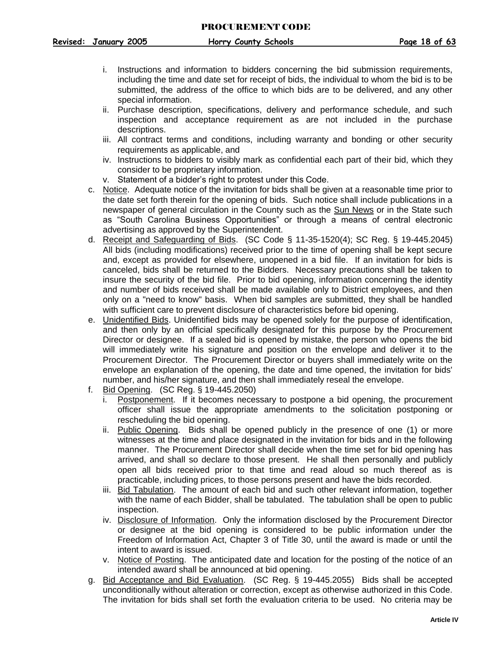- i. Instructions and information to bidders concerning the bid submission requirements, including the time and date set for receipt of bids, the individual to whom the bid is to be submitted, the address of the office to which bids are to be delivered, and any other special information.
- ii. Purchase description, specifications, delivery and performance schedule, and such inspection and acceptance requirement as are not included in the purchase descriptions.
- iii. All contract terms and conditions, including warranty and bonding or other security requirements as applicable, and
- iv. Instructions to bidders to visibly mark as confidential each part of their bid, which they consider to be proprietary information.
- v. Statement of a bidder's right to protest under this Code.
- c. Notice. Adequate notice of the invitation for bids shall be given at a reasonable time prior to the date set forth therein for the opening of bids. Such notice shall include publications in a newspaper of general circulation in the County such as the Sun News or in the State such as "South Carolina Business Opportunities" or through a means of central electronic advertising as approved by the Superintendent.
- d. Receipt and Safeguarding of Bids. (SC Code § 11-35-1520(4); SC Reg. § 19-445.2045) All bids (including modifications) received prior to the time of opening shall be kept secure and, except as provided for elsewhere, unopened in a bid file. If an invitation for bids is canceled, bids shall be returned to the Bidders. Necessary precautions shall be taken to insure the security of the bid file. Prior to bid opening, information concerning the identity and number of bids received shall be made available only to District employees, and then only on a "need to know" basis. When bid samples are submitted, they shall be handled with sufficient care to prevent disclosure of characteristics before bid opening.
- e. Unidentified Bids. Unidentified bids may be opened solely for the purpose of identification, and then only by an official specifically designated for this purpose by the Procurement Director or designee. If a sealed bid is opened by mistake, the person who opens the bid will immediately write his signature and position on the envelope and deliver it to the Procurement Director. The Procurement Director or buyers shall immediately write on the envelope an explanation of the opening, the date and time opened, the invitation for bids' number, and his/her signature, and then shall immediately reseal the envelope.
- f. Bid Opening. (SC Reg. § 19-445.2050)
	- i. Postponement. If it becomes necessary to postpone a bid opening, the procurement officer shall issue the appropriate amendments to the solicitation postponing or rescheduling the bid opening.
	- ii. Public Opening. Bids shall be opened publicly in the presence of one (1) or more witnesses at the time and place designated in the invitation for bids and in the following manner. The Procurement Director shall decide when the time set for bid opening has arrived, and shall so declare to those present. He shall then personally and publicly open all bids received prior to that time and read aloud so much thereof as is practicable, including prices, to those persons present and have the bids recorded.
	- iii. Bid Tabulation. The amount of each bid and such other relevant information, together with the name of each Bidder, shall be tabulated. The tabulation shall be open to public inspection.
	- iv. Disclosure of Information. Only the information disclosed by the Procurement Director or designee at the bid opening is considered to be public information under the Freedom of Information Act, Chapter 3 of Title 30, until the award is made or until the intent to award is issued.
	- v. Notice of Posting. The anticipated date and location for the posting of the notice of an intended award shall be announced at bid opening.
- g. Bid Acceptance and Bid Evaluation. (SC Reg. § 19-445.2055) Bids shall be accepted unconditionally without alteration or correction, except as otherwise authorized in this Code. The invitation for bids shall set forth the evaluation criteria to be used. No criteria may be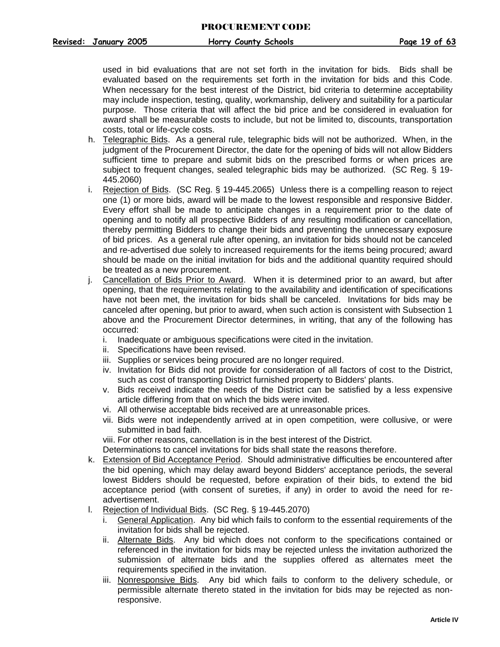used in bid evaluations that are not set forth in the invitation for bids. Bids shall be evaluated based on the requirements set forth in the invitation for bids and this Code. When necessary for the best interest of the District, bid criteria to determine acceptability may include inspection, testing, quality, workmanship, delivery and suitability for a particular purpose. Those criteria that will affect the bid price and be considered in evaluation for award shall be measurable costs to include, but not be limited to, discounts, transportation costs, total or life-cycle costs.

- h. Telegraphic Bids. As a general rule, telegraphic bids will not be authorized. When, in the judgment of the Procurement Director, the date for the opening of bids will not allow Bidders sufficient time to prepare and submit bids on the prescribed forms or when prices are subject to frequent changes, sealed telegraphic bids may be authorized. (SC Reg. § 19- 445.2060)
- i. Rejection of Bids. (SC Reg. § 19-445.2065) Unless there is a compelling reason to reject one (1) or more bids, award will be made to the lowest responsible and responsive Bidder. Every effort shall be made to anticipate changes in a requirement prior to the date of opening and to notify all prospective Bidders of any resulting modification or cancellation, thereby permitting Bidders to change their bids and preventing the unnecessary exposure of bid prices. As a general rule after opening, an invitation for bids should not be canceled and re-advertised due solely to increased requirements for the items being procured; award should be made on the initial invitation for bids and the additional quantity required should be treated as a new procurement.
- j. Cancellation of Bids Prior to Award. When it is determined prior to an award, but after opening, that the requirements relating to the availability and identification of specifications have not been met, the invitation for bids shall be canceled. Invitations for bids may be canceled after opening, but prior to award, when such action is consistent with Subsection 1 above and the Procurement Director determines, in writing, that any of the following has occurred:
	- i. Inadequate or ambiguous specifications were cited in the invitation.
	- ii. Specifications have been revised.
	- iii. Supplies or services being procured are no longer required.
	- iv. Invitation for Bids did not provide for consideration of all factors of cost to the District, such as cost of transporting District furnished property to Bidders' plants.
	- v. Bids received indicate the needs of the District can be satisfied by a less expensive article differing from that on which the bids were invited.
	- vi. All otherwise acceptable bids received are at unreasonable prices.
	- vii. Bids were not independently arrived at in open competition, were collusive, or were submitted in bad faith.

viii. For other reasons, cancellation is in the best interest of the District.

Determinations to cancel invitations for bids shall state the reasons therefore.

- k. Extension of Bid Acceptance Period. Should administrative difficulties be encountered after the bid opening, which may delay award beyond Bidders' acceptance periods, the several lowest Bidders should be requested, before expiration of their bids, to extend the bid acceptance period (with consent of sureties, if any) in order to avoid the need for readvertisement.
- l. Rejection of Individual Bids. (SC Reg. § 19-445.2070)
	- i. General Application. Any bid which fails to conform to the essential requirements of the invitation for bids shall be rejected.
	- ii. Alternate Bids. Any bid which does not conform to the specifications contained or referenced in the invitation for bids may be rejected unless the invitation authorized the submission of alternate bids and the supplies offered as alternates meet the requirements specified in the invitation.
	- iii. Nonresponsive Bids. Any bid which fails to conform to the delivery schedule, or permissible alternate thereto stated in the invitation for bids may be rejected as nonresponsive.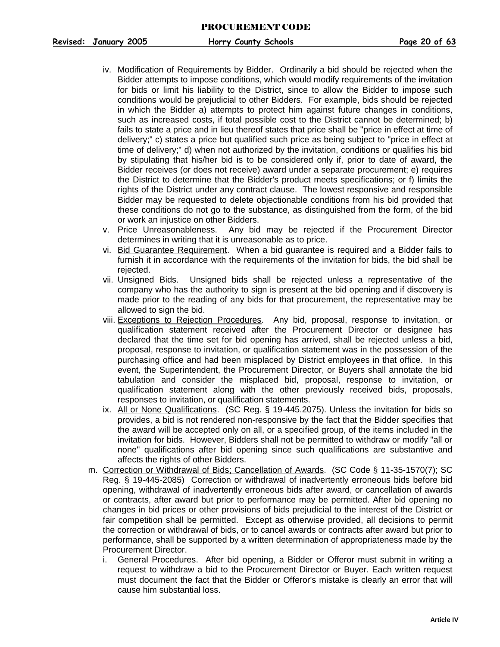- iv. Modification of Requirements by Bidder. Ordinarily a bid should be rejected when the Bidder attempts to impose conditions, which would modify requirements of the invitation for bids or limit his liability to the District, since to allow the Bidder to impose such conditions would be prejudicial to other Bidders. For example, bids should be rejected in which the Bidder a) attempts to protect him against future changes in conditions, such as increased costs, if total possible cost to the District cannot be determined; b) fails to state a price and in lieu thereof states that price shall be "price in effect at time of delivery;" c) states a price but qualified such price as being subject to "price in effect at time of delivery;" d) when not authorized by the invitation, conditions or qualifies his bid by stipulating that his/her bid is to be considered only if, prior to date of award, the Bidder receives (or does not receive) award under a separate procurement; e) requires the District to determine that the Bidder's product meets specifications; or f) limits the rights of the District under any contract clause. The lowest responsive and responsible Bidder may be requested to delete objectionable conditions from his bid provided that these conditions do not go to the substance, as distinguished from the form, of the bid or work an injustice on other Bidders.
- v. Price Unreasonableness. Any bid may be rejected if the Procurement Director determines in writing that it is unreasonable as to price.
- vi. Bid Guarantee Requirement. When a bid guarantee is required and a Bidder fails to furnish it in accordance with the requirements of the invitation for bids, the bid shall be rejected.
- vii. Unsigned Bids. Unsigned bids shall be rejected unless a representative of the company who has the authority to sign is present at the bid opening and if discovery is made prior to the reading of any bids for that procurement, the representative may be allowed to sign the bid.
- viii. Exceptions to Rejection Procedures. Any bid, proposal, response to invitation, or qualification statement received after the Procurement Director or designee has declared that the time set for bid opening has arrived, shall be rejected unless a bid, proposal, response to invitation, or qualification statement was in the possession of the purchasing office and had been misplaced by District employees in that office. In this event, the Superintendent, the Procurement Director, or Buyers shall annotate the bid tabulation and consider the misplaced bid, proposal, response to invitation, or qualification statement along with the other previously received bids, proposals, responses to invitation, or qualification statements.
- ix. All or None Qualifications. (SC Reg. § 19-445.2075). Unless the invitation for bids so provides, a bid is not rendered non-responsive by the fact that the Bidder specifies that the award will be accepted only on all, or a specified group, of the items included in the invitation for bids. However, Bidders shall not be permitted to withdraw or modify "all or none" qualifications after bid opening since such qualifications are substantive and affects the rights of other Bidders.
- m. Correction or Withdrawal of Bids; Cancellation of Awards. (SC Code § 11-35-1570(7); SC Reg. § 19-445-2085) Correction or withdrawal of inadvertently erroneous bids before bid opening, withdrawal of inadvertently erroneous bids after award, or cancellation of awards or contracts, after award but prior to performance may be permitted. After bid opening no changes in bid prices or other provisions of bids prejudicial to the interest of the District or fair competition shall be permitted. Except as otherwise provided, all decisions to permit the correction or withdrawal of bids, or to cancel awards or contracts after award but prior to performance, shall be supported by a written determination of appropriateness made by the Procurement Director.
	- i. General Procedures. After bid opening, a Bidder or Offeror must submit in writing a request to withdraw a bid to the Procurement Director or Buyer. Each written request must document the fact that the Bidder or Offeror's mistake is clearly an error that will cause him substantial loss.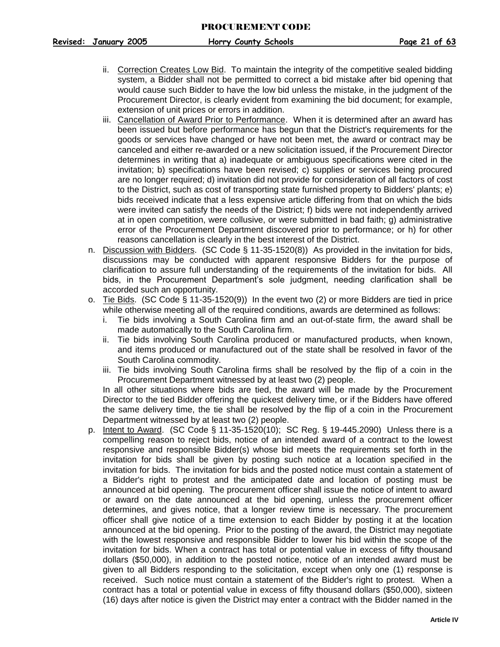- ii. Correction Creates Low Bid. To maintain the integrity of the competitive sealed bidding system, a Bidder shall not be permitted to correct a bid mistake after bid opening that would cause such Bidder to have the low bid unless the mistake, in the judgment of the Procurement Director, is clearly evident from examining the bid document; for example, extension of unit prices or errors in addition.
- iii. Cancellation of Award Prior to Performance. When it is determined after an award has been issued but before performance has begun that the District's requirements for the goods or services have changed or have not been met, the award or contract may be canceled and either re-awarded or a new solicitation issued, if the Procurement Director determines in writing that a) inadequate or ambiguous specifications were cited in the invitation; b) specifications have been revised; c) supplies or services being procured are no longer required; d) invitation did not provide for consideration of all factors of cost to the District, such as cost of transporting state furnished property to Bidders' plants; e) bids received indicate that a less expensive article differing from that on which the bids were invited can satisfy the needs of the District; f) bids were not independently arrived at in open competition, were collusive, or were submitted in bad faith; g) administrative error of the Procurement Department discovered prior to performance; or h) for other reasons cancellation is clearly in the best interest of the District.
- n. Discussion with Bidders. (SC Code § 11-35-1520(8)) As provided in the invitation for bids, discussions may be conducted with apparent responsive Bidders for the purpose of clarification to assure full understanding of the requirements of the invitation for bids. All bids, in the Procurement Department's sole judgment, needing clarification shall be accorded such an opportunity.
- o. Tie Bids. (SC Code § 11-35-1520(9)) In the event two (2) or more Bidders are tied in price while otherwise meeting all of the required conditions, awards are determined as follows:
	- i. Tie bids involving a South Carolina firm and an out-of-state firm, the award shall be made automatically to the South Carolina firm.
	- ii. Tie bids involving South Carolina produced or manufactured products, when known, and items produced or manufactured out of the state shall be resolved in favor of the South Carolina commodity.
	- iii. Tie bids involving South Carolina firms shall be resolved by the flip of a coin in the Procurement Department witnessed by at least two (2) people.

In all other situations where bids are tied, the award will be made by the Procurement Director to the tied Bidder offering the quickest delivery time, or if the Bidders have offered the same delivery time, the tie shall be resolved by the flip of a coin in the Procurement Department witnessed by at least two (2) people.

p. Intent to Award. (SC Code § 11-35-1520(10); SC Reg. § 19-445.2090) Unless there is a compelling reason to reject bids, notice of an intended award of a contract to the lowest responsive and responsible Bidder(s) whose bid meets the requirements set forth in the invitation for bids shall be given by posting such notice at a location specified in the invitation for bids. The invitation for bids and the posted notice must contain a statement of a Bidder's right to protest and the anticipated date and location of posting must be announced at bid opening. The procurement officer shall issue the notice of intent to award or award on the date announced at the bid opening, unless the procurement officer determines, and gives notice, that a longer review time is necessary. The procurement officer shall give notice of a time extension to each Bidder by posting it at the location announced at the bid opening. Prior to the posting of the award, the District may negotiate with the lowest responsive and responsible Bidder to lower his bid within the scope of the invitation for bids. When a contract has total or potential value in excess of fifty thousand dollars (\$50,000), in addition to the posted notice, notice of an intended award must be given to all Bidders responding to the solicitation, except when only one (1) response is received. Such notice must contain a statement of the Bidder's right to protest. When a contract has a total or potential value in excess of fifty thousand dollars (\$50,000), sixteen (16) days after notice is given the District may enter a contract with the Bidder named in the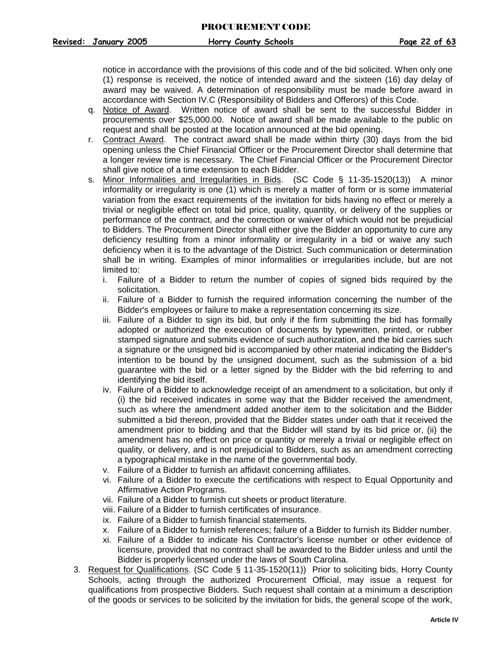notice in accordance with the provisions of this code and of the bid solicited. When only one (1) response is received, the notice of intended award and the sixteen (16) day delay of award may be waived. A determination of responsibility must be made before award in accordance with Section IV.C (Responsibility of Bidders and Offerors) of this Code.

- q. Notice of Award. Written notice of award shall be sent to the successful Bidder in procurements over \$25,000.00. Notice of award shall be made available to the public on request and shall be posted at the location announced at the bid opening.
- r. Contract Award. The contract award shall be made within thirty (30) days from the bid opening unless the Chief Financial Officer or the Procurement Director shall determine that a longer review time is necessary. The Chief Financial Officer or the Procurement Director shall give notice of a time extension to each Bidder.
- s. Minor Informalities and Irregularities in Bids. (SC Code § 11-35-1520(13)) A minor informality or irregularity is one (1) which is merely a matter of form or is some immaterial variation from the exact requirements of the invitation for bids having no effect or merely a trivial or negligible effect on total bid price, quality, quantity, or delivery of the supplies or performance of the contract, and the correction or waiver of which would not be prejudicial to Bidders. The Procurement Director shall either give the Bidder an opportunity to cure any deficiency resulting from a minor informality or irregularity in a bid or waive any such deficiency when it is to the advantage of the District. Such communication or determination shall be in writing. Examples of minor informalities or irregularities include, but are not limited to:
	- i. Failure of a Bidder to return the number of copies of signed bids required by the solicitation.
	- ii. Failure of a Bidder to furnish the required information concerning the number of the Bidder's employees or failure to make a representation concerning its size.
	- iii. Failure of a Bidder to sign its bid, but only if the firm submitting the bid has formally adopted or authorized the execution of documents by typewritten, printed, or rubber stamped signature and submits evidence of such authorization, and the bid carries such a signature or the unsigned bid is accompanied by other material indicating the Bidder's intention to be bound by the unsigned document, such as the submission of a bid guarantee with the bid or a letter signed by the Bidder with the bid referring to and identifying the bid itself.
	- iv. Failure of a Bidder to acknowledge receipt of an amendment to a solicitation, but only if (i) the bid received indicates in some way that the Bidder received the amendment, such as where the amendment added another item to the solicitation and the Bidder submitted a bid thereon, provided that the Bidder states under oath that it received the amendment prior to bidding and that the Bidder will stand by its bid price or, (ii) the amendment has no effect on price or quantity or merely a trivial or negligible effect on quality, or delivery, and is not prejudicial to Bidders, such as an amendment correcting a typographical mistake in the name of the governmental body.
	- v. Failure of a Bidder to furnish an affidavit concerning affiliates.
	- vi. Failure of a Bidder to execute the certifications with respect to Equal Opportunity and Affirmative Action Programs.
	- vii. Failure of a Bidder to furnish cut sheets or product literature.
	- viii. Failure of a Bidder to furnish certificates of insurance.
	- ix. Failure of a Bidder to furnish financial statements.
	- x. Failure of a Bidder to furnish references; failure of a Bidder to furnish its Bidder number.
	- xi. Failure of a Bidder to indicate his Contractor's license number or other evidence of licensure, provided that no contract shall be awarded to the Bidder unless and until the Bidder is properly licensed under the laws of South Carolina.
- <span id="page-22-0"></span>3. Request for Qualifications. (SC Code § 11-35-1520(11)) Prior to soliciting bids, Horry County Schools, acting through the authorized Procurement Official, may issue a request for qualifications from prospective Bidders. Such request shall contain at a minimum a description of the goods or services to be solicited by the invitation for bids, the general scope of the work,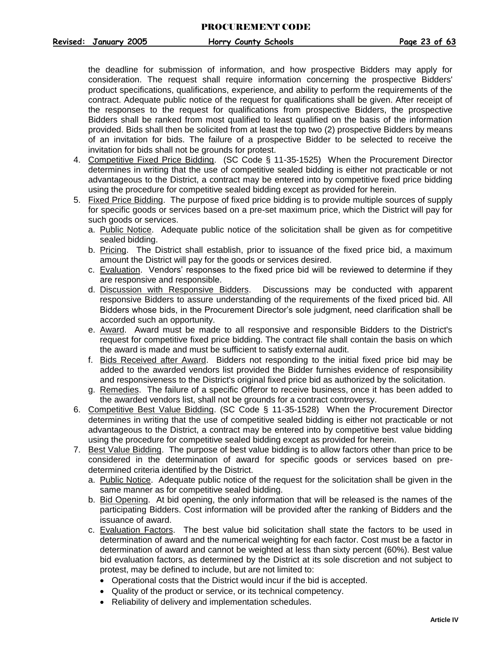the deadline for submission of information, and how prospective Bidders may apply for consideration. The request shall require information concerning the prospective Bidders' product specifications, qualifications, experience, and ability to perform the requirements of the contract. Adequate public notice of the request for qualifications shall be given. After receipt of the responses to the request for qualifications from prospective Bidders, the prospective Bidders shall be ranked from most qualified to least qualified on the basis of the information provided. Bids shall then be solicited from at least the top two (2) prospective Bidders by means of an invitation for bids. The failure of a prospective Bidder to be selected to receive the invitation for bids shall not be grounds for protest.

- <span id="page-23-0"></span>4. Competitive Fixed Price Bidding. (SC Code § 11-35-1525) When the Procurement Director determines in writing that the use of competitive sealed bidding is either not practicable or not advantageous to the District, a contract may be entered into by competitive fixed price bidding using the procedure for competitive sealed bidding except as provided for herein.
- 5. Fixed Price Bidding. The purpose of fixed price bidding is to provide multiple sources of supply for specific goods or services based on a pre-set maximum price, which the District will pay for such goods or services.
	- a. Public Notice. Adequate public notice of the solicitation shall be given as for competitive sealed bidding.
	- b. Pricing. The District shall establish, prior to issuance of the fixed price bid, a maximum amount the District will pay for the goods or services desired.
	- c. Evaluation. Vendors' responses to the fixed price bid will be reviewed to determine if they are responsive and responsible.
	- d. Discussion with Responsive Bidders. Discussions may be conducted with apparent responsive Bidders to assure understanding of the requirements of the fixed priced bid. All Bidders whose bids, in the Procurement Director's sole judgment, need clarification shall be accorded such an opportunity.
	- e. Award. Award must be made to all responsive and responsible Bidders to the District's request for competitive fixed price bidding. The contract file shall contain the basis on which the award is made and must be sufficient to satisfy external audit.
	- f. Bids Received after Award. Bidders not responding to the initial fixed price bid may be added to the awarded vendors list provided the Bidder furnishes evidence of responsibility and responsiveness to the District's original fixed price bid as authorized by the solicitation.
	- g. Remedies. The failure of a specific Offeror to receive business, once it has been added to the awarded vendors list, shall not be grounds for a contract controversy.
- <span id="page-23-1"></span>6. Competitive Best Value Bidding. (SC Code § 11-35-1528) When the Procurement Director determines in writing that the use of competitive sealed bidding is either not practicable or not advantageous to the District, a contract may be entered into by competitive best value bidding using the procedure for competitive sealed bidding except as provided for herein.
- 7. Best Value Bidding. The purpose of best value bidding is to allow factors other than price to be considered in the determination of award for specific goods or services based on predetermined criteria identified by the District.
	- a. Public Notice. Adequate public notice of the request for the solicitation shall be given in the same manner as for competitive sealed bidding.
	- b. Bid Opening. At bid opening, the only information that will be released is the names of the participating Bidders. Cost information will be provided after the ranking of Bidders and the issuance of award.
	- c. Evaluation Factors. The best value bid solicitation shall state the factors to be used in determination of award and the numerical weighting for each factor. Cost must be a factor in determination of award and cannot be weighted at less than sixty percent (60%). Best value bid evaluation factors, as determined by the District at its sole discretion and not subject to protest, may be defined to include, but are not limited to:
		- Operational costs that the District would incur if the bid is accepted.
		- Quality of the product or service, or its technical competency.
		- Reliability of delivery and implementation schedules.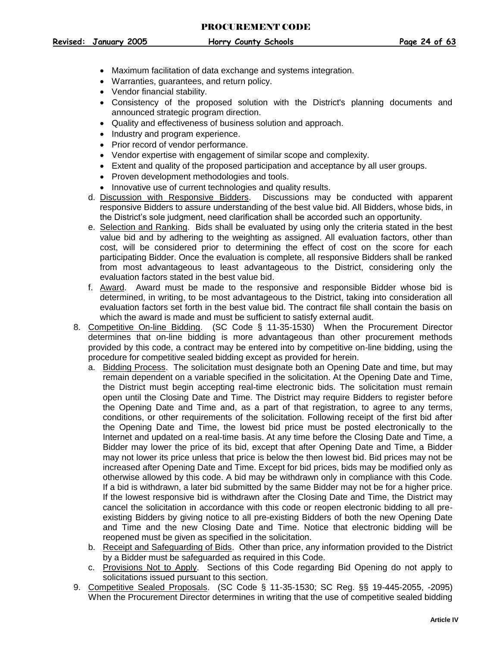- Maximum facilitation of data exchange and systems integration.
- Warranties, guarantees, and return policy.
- Vendor financial stability.
- Consistency of the proposed solution with the District's planning documents and announced strategic program direction.
- Quality and effectiveness of business solution and approach.
- Industry and program experience.
- Prior record of vendor performance.
- Vendor expertise with engagement of similar scope and complexity.
- Extent and quality of the proposed participation and acceptance by all user groups.
- Proven development methodologies and tools.
- Innovative use of current technologies and quality results.
- d. Discussion with Responsive Bidders. Discussions may be conducted with apparent responsive Bidders to assure understanding of the best value bid. All Bidders, whose bids, in the District's sole judgment, need clarification shall be accorded such an opportunity.
- e. Selection and Ranking. Bids shall be evaluated by using only the criteria stated in the best value bid and by adhering to the weighting as assigned. All evaluation factors, other than cost, will be considered prior to determining the effect of cost on the score for each participating Bidder. Once the evaluation is complete, all responsive Bidders shall be ranked from most advantageous to least advantageous to the District, considering only the evaluation factors stated in the best value bid.
- f. Award. Award must be made to the responsive and responsible Bidder whose bid is determined, in writing, to be most advantageous to the District, taking into consideration all evaluation factors set forth in the best value bid. The contract file shall contain the basis on which the award is made and must be sufficient to satisfy external audit.
- <span id="page-24-0"></span>8. Competitive On-line Bidding. (SC Code § 11-35-1530) When the Procurement Director determines that on-line bidding is more advantageous than other procurement methods provided by this code, a contract may be entered into by competitive on-line bidding, using the procedure for competitive sealed bidding except as provided for herein.
	- a. Bidding Process. The solicitation must designate both an Opening Date and time, but may remain dependent on a variable specified in the solicitation. At the Opening Date and Time, the District must begin accepting real-time electronic bids. The solicitation must remain open until the Closing Date and Time. The District may require Bidders to register before the Opening Date and Time and, as a part of that registration, to agree to any terms, conditions, or other requirements of the solicitation. Following receipt of the first bid after the Opening Date and Time, the lowest bid price must be posted electronically to the Internet and updated on a real-time basis. At any time before the Closing Date and Time, a Bidder may lower the price of its bid, except that after Opening Date and Time, a Bidder may not lower its price unless that price is below the then lowest bid. Bid prices may not be increased after Opening Date and Time. Except for bid prices, bids may be modified only as otherwise allowed by this code. A bid may be withdrawn only in compliance with this Code. If a bid is withdrawn, a later bid submitted by the same Bidder may not be for a higher price. If the lowest responsive bid is withdrawn after the Closing Date and Time, the District may cancel the solicitation in accordance with this code or reopen electronic bidding to all preexisting Bidders by giving notice to all pre-existing Bidders of both the new Opening Date and Time and the new Closing Date and Time. Notice that electronic bidding will be reopened must be given as specified in the solicitation.
	- b. Receipt and Safeguarding of Bids. Other than price, any information provided to the District by a Bidder must be safeguarded as required in this Code.
	- c. Provisions Not to Apply. Sections of this Code regarding Bid Opening do not apply to solicitations issued pursuant to this section.
- <span id="page-24-1"></span>9. Competitive Sealed Proposals. (SC Code § 11-35-1530; SC Reg. §§ 19-445-2055, -2095) When the Procurement Director determines in writing that the use of competitive sealed bidding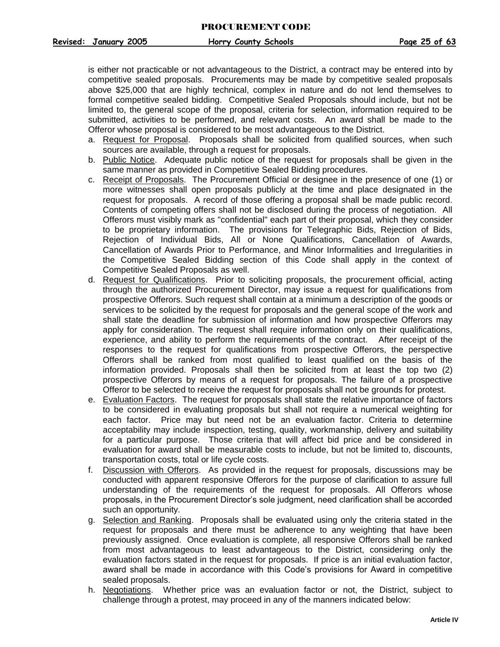is either not practicable or not advantageous to the District, a contract may be entered into by competitive sealed proposals. Procurements may be made by competitive sealed proposals above \$25,000 that are highly technical, complex in nature and do not lend themselves to formal competitive sealed bidding. Competitive Sealed Proposals should include, but not be limited to, the general scope of the proposal, criteria for selection, information required to be submitted, activities to be performed, and relevant costs. An award shall be made to the Offeror whose proposal is considered to be most advantageous to the District.

- a. Request for Proposal. Proposals shall be solicited from qualified sources, when such sources are available, through a request for proposals.
- b. Public Notice. Adequate public notice of the request for proposals shall be given in the same manner as provided in Competitive Sealed Bidding procedures.
- c. Receipt of Proposals. The Procurement Official or designee in the presence of one (1) or more witnesses shall open proposals publicly at the time and place designated in the request for proposals. A record of those offering a proposal shall be made public record. Contents of competing offers shall not be disclosed during the process of negotiation. All Offerors must visibly mark as "confidential" each part of their proposal, which they consider to be proprietary information. The provisions for Telegraphic Bids, Rejection of Bids, Rejection of Individual Bids, All or None Qualifications, Cancellation of Awards, Cancellation of Awards Prior to Performance, and Minor Informalities and Irregularities in the Competitive Sealed Bidding section of this Code shall apply in the context of Competitive Sealed Proposals as well.
- d. Request for Qualifications. Prior to soliciting proposals, the procurement official, acting through the authorized Procurement Director, may issue a request for qualifications from prospective Offerors. Such request shall contain at a minimum a description of the goods or services to be solicited by the request for proposals and the general scope of the work and shall state the deadline for submission of information and how prospective Offerors may apply for consideration. The request shall require information only on their qualifications, experience, and ability to perform the requirements of the contract. After receipt of the responses to the request for qualifications from prospective Offerors, the perspective Offerors shall be ranked from most qualified to least qualified on the basis of the information provided. Proposals shall then be solicited from at least the top two (2) prospective Offerors by means of a request for proposals. The failure of a prospective Offeror to be selected to receive the request for proposals shall not be grounds for protest.
- e. Evaluation Factors. The request for proposals shall state the relative importance of factors to be considered in evaluating proposals but shall not require a numerical weighting for each factor. Price may but need not be an evaluation factor. Criteria to determine acceptability may include inspection, testing, quality, workmanship, delivery and suitability for a particular purpose. Those criteria that will affect bid price and be considered in evaluation for award shall be measurable costs to include, but not be limited to, discounts, transportation costs, total or life cycle costs.
- f. Discussion with Offerors. As provided in the request for proposals, discussions may be conducted with apparent responsive Offerors for the purpose of clarification to assure full understanding of the requirements of the request for proposals. All Offerors whose proposals, in the Procurement Director's sole judgment, need clarification shall be accorded such an opportunity.
- g. Selection and Ranking. Proposals shall be evaluated using only the criteria stated in the request for proposals and there must be adherence to any weighting that have been previously assigned. Once evaluation is complete, all responsive Offerors shall be ranked from most advantageous to least advantageous to the District, considering only the evaluation factors stated in the request for proposals. If price is an initial evaluation factor, award shall be made in accordance with this Code's provisions for Award in competitive sealed proposals.
- h. Negotiations. Whether price was an evaluation factor or not, the District, subject to challenge through a protest, may proceed in any of the manners indicated below: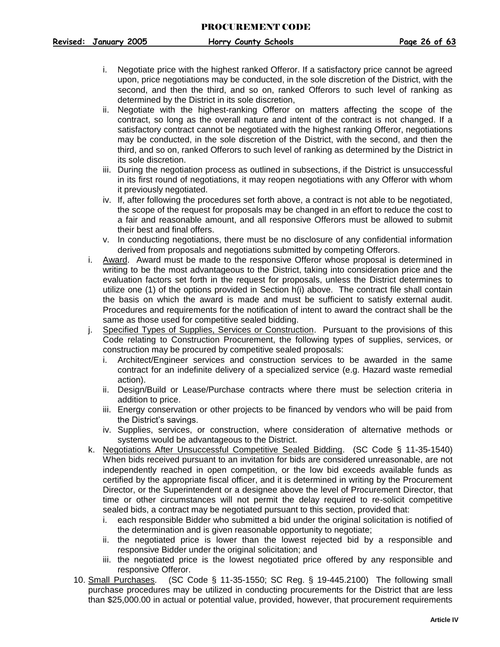- i. Negotiate price with the highest ranked Offeror. If a satisfactory price cannot be agreed upon, price negotiations may be conducted, in the sole discretion of the District, with the second, and then the third, and so on, ranked Offerors to such level of ranking as determined by the District in its sole discretion,
- ii. Negotiate with the highest-ranking Offeror on matters affecting the scope of the contract, so long as the overall nature and intent of the contract is not changed. If a satisfactory contract cannot be negotiated with the highest ranking Offeror, negotiations may be conducted, in the sole discretion of the District, with the second, and then the third, and so on, ranked Offerors to such level of ranking as determined by the District in its sole discretion.
- iii. During the negotiation process as outlined in subsections, if the District is unsuccessful in its first round of negotiations, it may reopen negotiations with any Offeror with whom it previously negotiated.
- iv. If, after following the procedures set forth above, a contract is not able to be negotiated, the scope of the request for proposals may be changed in an effort to reduce the cost to a fair and reasonable amount, and all responsive Offerors must be allowed to submit their best and final offers.
- v. In conducting negotiations, there must be no disclosure of any confidential information derived from proposals and negotiations submitted by competing Offerors.
- i. Award. Award must be made to the responsive Offeror whose proposal is determined in writing to be the most advantageous to the District, taking into consideration price and the evaluation factors set forth in the request for proposals, unless the District determines to utilize one (1) of the options provided in Section h(i) above. The contract file shall contain the basis on which the award is made and must be sufficient to satisfy external audit. Procedures and requirements for the notification of intent to award the contract shall be the same as those used for competitive sealed bidding.
- j. Specified Types of Supplies, Services or Construction. Pursuant to the provisions of this Code relating to Construction Procurement, the following types of supplies, services, or construction may be procured by competitive sealed proposals:
	- i. Architect/Engineer services and construction services to be awarded in the same contract for an indefinite delivery of a specialized service (e.g. Hazard waste remedial action).
	- ii. Design/Build or Lease/Purchase contracts where there must be selection criteria in addition to price.
	- iii. Energy conservation or other projects to be financed by vendors who will be paid from the District's savings.
	- iv. Supplies, services, or construction, where consideration of alternative methods or systems would be advantageous to the District.
- k. Negotiations After Unsuccessful Competitive Sealed Bidding. (SC Code § 11-35-1540) When bids received pursuant to an invitation for bids are considered unreasonable, are not independently reached in open competition, or the low bid exceeds available funds as certified by the appropriate fiscal officer, and it is determined in writing by the Procurement Director, or the Superintendent or a designee above the level of Procurement Director, that time or other circumstances will not permit the delay required to re-solicit competitive sealed bids, a contract may be negotiated pursuant to this section, provided that:
	- i. each responsible Bidder who submitted a bid under the original solicitation is notified of the determination and is given reasonable opportunity to negotiate;
	- ii. the negotiated price is lower than the lowest rejected bid by a responsible and responsive Bidder under the original solicitation; and
	- iii. the negotiated price is the lowest negotiated price offered by any responsible and responsive Offeror.
- <span id="page-26-0"></span>10. Small Purchases. (SC Code § 11-35-1550; SC Reg. § 19-445.2100) The following small purchase procedures may be utilized in conducting procurements for the District that are less than \$25,000.00 in actual or potential value, provided, however, that procurement requirements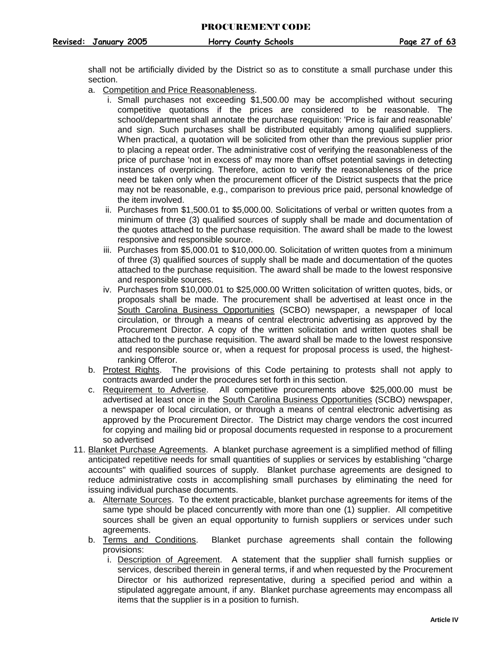shall not be artificially divided by the District so as to constitute a small purchase under this section.

- a. Competition and Price Reasonableness.
	- i. Small purchases not exceeding \$1,500.00 may be accomplished without securing competitive quotations if the prices are considered to be reasonable. The school/department shall annotate the purchase requisition: 'Price is fair and reasonable' and sign. Such purchases shall be distributed equitably among qualified suppliers. When practical, a quotation will be solicited from other than the previous supplier prior to placing a repeat order. The administrative cost of verifying the reasonableness of the price of purchase 'not in excess of' may more than offset potential savings in detecting instances of overpricing. Therefore, action to verify the reasonableness of the price need be taken only when the procurement officer of the District suspects that the price may not be reasonable, e.g., comparison to previous price paid, personal knowledge of the item involved.
	- ii. Purchases from \$1,500.01 to \$5,000.00. Solicitations of verbal or written quotes from a minimum of three (3) qualified sources of supply shall be made and documentation of the quotes attached to the purchase requisition. The award shall be made to the lowest responsive and responsible source.
	- iii. Purchases from \$5,000.01 to \$10,000.00. Solicitation of written quotes from a minimum of three (3) qualified sources of supply shall be made and documentation of the quotes attached to the purchase requisition. The award shall be made to the lowest responsive and responsible sources.
	- iv. Purchases from \$10,000.01 to \$25,000.00 Written solicitation of written quotes, bids, or proposals shall be made. The procurement shall be advertised at least once in the South Carolina Business Opportunities (SCBO) newspaper, a newspaper of local circulation, or through a means of central electronic advertising as approved by the Procurement Director. A copy of the written solicitation and written quotes shall be attached to the purchase requisition. The award shall be made to the lowest responsive and responsible source or, when a request for proposal process is used, the highestranking Offeror.
- b. Protest Rights. The provisions of this Code pertaining to protests shall not apply to contracts awarded under the procedures set forth in this section.
- c. Requirement to Advertise. All competitive procurements above \$25,000.00 must be advertised at least once in the South Carolina Business Opportunities (SCBO) newspaper, a newspaper of local circulation, or through a means of central electronic advertising as approved by the Procurement Director. The District may charge vendors the cost incurred for copying and mailing bid or proposal documents requested in response to a procurement so advertised
- <span id="page-27-0"></span>11. Blanket Purchase Agreements. A blanket purchase agreement is a simplified method of filling anticipated repetitive needs for small quantities of supplies or services by establishing "charge accounts" with qualified sources of supply. Blanket purchase agreements are designed to reduce administrative costs in accomplishing small purchases by eliminating the need for issuing individual purchase documents.
	- a. Alternate Sources. To the extent practicable, blanket purchase agreements for items of the same type should be placed concurrently with more than one (1) supplier. All competitive sources shall be given an equal opportunity to furnish suppliers or services under such agreements.
	- b. Terms and Conditions. Blanket purchase agreements shall contain the following provisions:
		- i. Description of Agreement. A statement that the supplier shall furnish supplies or services, described therein in general terms, if and when requested by the Procurement Director or his authorized representative, during a specified period and within a stipulated aggregate amount, if any. Blanket purchase agreements may encompass all items that the supplier is in a position to furnish.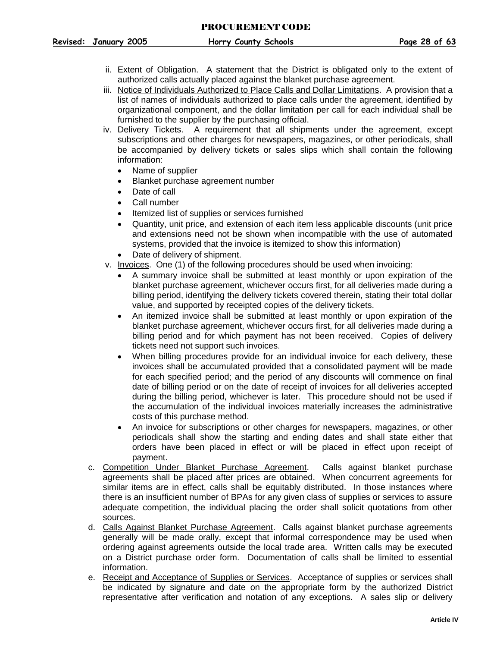- **Revised: January 2005 Horry County Schools Page 28 of 63**
	- ii. Extent of Obligation. A statement that the District is obligated only to the extent of authorized calls actually placed against the blanket purchase agreement.
	- iii. Notice of Individuals Authorized to Place Calls and Dollar Limitations. A provision that a list of names of individuals authorized to place calls under the agreement, identified by organizational component, and the dollar limitation per call for each individual shall be furnished to the supplier by the purchasing official.
	- iv. Delivery Tickets. A requirement that all shipments under the agreement, except subscriptions and other charges for newspapers, magazines, or other periodicals, shall be accompanied by delivery tickets or sales slips which shall contain the following information:
		- Name of supplier
		- Blanket purchase agreement number
		- Date of call
		- Call number
		- Itemized list of supplies or services furnished
		- Quantity, unit price, and extension of each item less applicable discounts (unit price and extensions need not be shown when incompatible with the use of automated systems, provided that the invoice is itemized to show this information)
		- Date of delivery of shipment.
	- v. Invoices. One (1) of the following procedures should be used when invoicing:
		- A summary invoice shall be submitted at least monthly or upon expiration of the blanket purchase agreement, whichever occurs first, for all deliveries made during a billing period, identifying the delivery tickets covered therein, stating their total dollar value, and supported by receipted copies of the delivery tickets.
		- An itemized invoice shall be submitted at least monthly or upon expiration of the blanket purchase agreement, whichever occurs first, for all deliveries made during a billing period and for which payment has not been received. Copies of delivery tickets need not support such invoices.
		- When billing procedures provide for an individual invoice for each delivery, these invoices shall be accumulated provided that a consolidated payment will be made for each specified period; and the period of any discounts will commence on final date of billing period or on the date of receipt of invoices for all deliveries accepted during the billing period, whichever is later. This procedure should not be used if the accumulation of the individual invoices materially increases the administrative costs of this purchase method.
		- An invoice for subscriptions or other charges for newspapers, magazines, or other periodicals shall show the starting and ending dates and shall state either that orders have been placed in effect or will be placed in effect upon receipt of payment.
	- c. Competition Under Blanket Purchase Agreement. Calls against blanket purchase agreements shall be placed after prices are obtained. When concurrent agreements for similar items are in effect, calls shall be equitably distributed. In those instances where there is an insufficient number of BPAs for any given class of supplies or services to assure adequate competition, the individual placing the order shall solicit quotations from other sources.
	- d. Calls Against Blanket Purchase Agreement. Calls against blanket purchase agreements generally will be made orally, except that informal correspondence may be used when ordering against agreements outside the local trade area. Written calls may be executed on a District purchase order form. Documentation of calls shall be limited to essential information.
	- e. Receipt and Acceptance of Supplies or Services. Acceptance of supplies or services shall be indicated by signature and date on the appropriate form by the authorized District representative after verification and notation of any exceptions. A sales slip or delivery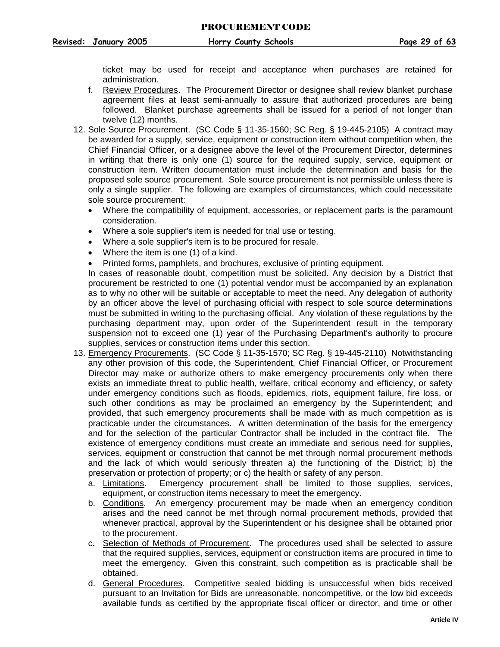ticket may be used for receipt and acceptance when purchases are retained for administration.

- f. Review Procedures. The Procurement Director or designee shall review blanket purchase agreement files at least semi-annually to assure that authorized procedures are being followed. Blanket purchase agreements shall be issued for a period of not longer than twelve (12) months.
- <span id="page-29-0"></span>12. Sole Source Procurement. (SC Code § 11-35-1560; SC Reg. § 19-445-2105) A contract may be awarded for a supply, service, equipment or construction item without competition when, the Chief Financial Officer, or a designee above the level of the Procurement Director, determines in writing that there is only one (1) source for the required supply, service, equipment or construction item. Written documentation must include the determination and basis for the proposed sole source procurement. Sole source procurement is not permissible unless there is only a single supplier. The following are examples of circumstances, which could necessitate sole source procurement:
	- Where the compatibility of equipment, accessories, or replacement parts is the paramount consideration.
	- Where a sole supplier's item is needed for trial use or testing.
	- Where a sole supplier's item is to be procured for resale.
	- Where the item is one (1) of a kind.
	- Printed forms, pamphlets, and brochures, exclusive of printing equipment.

In cases of reasonable doubt, competition must be solicited. Any decision by a District that procurement be restricted to one (1) potential vendor must be accompanied by an explanation as to why no other will be suitable or acceptable to meet the need. Any delegation of authority by an officer above the level of purchasing official with respect to sole source determinations must be submitted in writing to the purchasing official. Any violation of these regulations by the purchasing department may, upon order of the Superintendent result in the temporary suspension not to exceed one (1) year of the Purchasing Department's authority to procure supplies, services or construction items under this section.

- <span id="page-29-1"></span>13. Emergency Procurements. (SC Code § 11-35-1570; SC Reg. § 19-445-2110) Notwithstanding any other provision of this code, the Superintendent, Chief Financial Officer, or Procurement Director may make or authorize others to make emergency procurements only when there exists an immediate threat to public health, welfare, critical economy and efficiency, or safety under emergency conditions such as floods, epidemics, riots, equipment failure, fire loss, or such other conditions as may be proclaimed an emergency by the Superintendent; and provided, that such emergency procurements shall be made with as much competition as is practicable under the circumstances. A written determination of the basis for the emergency and for the selection of the particular Contractor shall be included in the contract file. The existence of emergency conditions must create an immediate and serious need for supplies, services, equipment or construction that cannot be met through normal procurement methods and the lack of which would seriously threaten a) the functioning of the District; b) the preservation or protection of property; or c) the health or safety of any person.
	- a. Limitations. Emergency procurement shall be limited to those supplies, services, equipment, or construction items necessary to meet the emergency.
	- b. Conditions. An emergency procurement may be made when an emergency condition arises and the need cannot be met through normal procurement methods, provided that whenever practical, approval by the Superintendent or his designee shall be obtained prior to the procurement.
	- c. Selection of Methods of Procurement. The procedures used shall be selected to assure that the required supplies, services, equipment or construction items are procured in time to meet the emergency. Given this constraint, such competition as is practicable shall be obtained.
	- d. General Procedures. Competitive sealed bidding is unsuccessful when bids received pursuant to an Invitation for Bids are unreasonable, noncompetitive, or the low bid exceeds available funds as certified by the appropriate fiscal officer or director, and time or other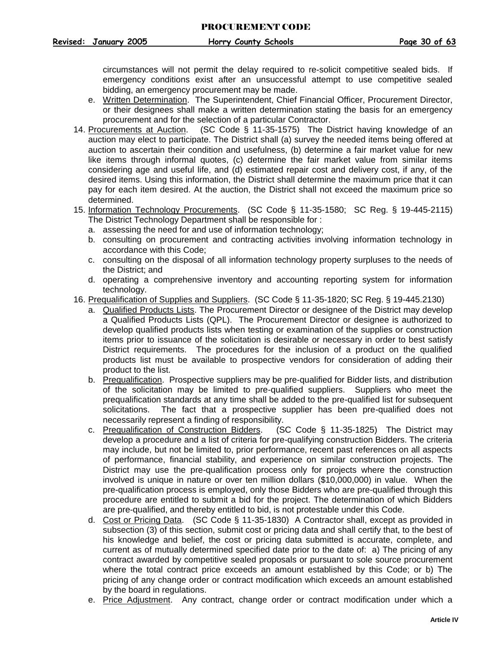circumstances will not permit the delay required to re-solicit competitive sealed bids. If emergency conditions exist after an unsuccessful attempt to use competitive sealed bidding, an emergency procurement may be made.

- e. Written Determination. The Superintendent, Chief Financial Officer, Procurement Director, or their designees shall make a written determination stating the basis for an emergency procurement and for the selection of a particular Contractor.
- <span id="page-30-0"></span>14. Procurements at Auction. (SC Code § 11-35-1575) The District having knowledge of an auction may elect to participate. The District shall (a) survey the needed items being offered at auction to ascertain their condition and usefulness, (b) determine a fair market value for new like items through informal quotes, (c) determine the fair market value from similar items considering age and useful life, and (d) estimated repair cost and delivery cost, if any, of the desired items. Using this information, the District shall determine the maximum price that it can pay for each item desired. At the auction, the District shall not exceed the maximum price so determined.
- <span id="page-30-1"></span>15. Information Technology Procurements. (SC Code § 11-35-1580; SC Reg. § 19-445-2115) The District Technology Department shall be responsible for :
	- a. assessing the need for and use of information technology;
	- b. consulting on procurement and contracting activities involving information technology in accordance with this Code;
	- c. consulting on the disposal of all information technology property surpluses to the needs of the District; and
	- d. operating a comprehensive inventory and accounting reporting system for information technology.
- <span id="page-30-2"></span>16. Prequalification of Supplies and Suppliers. (SC Code § 11-35-1820; SC Reg. § 19-445.2130)
	- a. Qualified Products Lists. The Procurement Director or designee of the District may develop a Qualified Products Lists (QPL). The Procurement Director or designee is authorized to develop qualified products lists when testing or examination of the supplies or construction items prior to issuance of the solicitation is desirable or necessary in order to best satisfy District requirements. The procedures for the inclusion of a product on the qualified products list must be available to prospective vendors for consideration of adding their product to the list.
	- b. Prequalification. Prospective suppliers may be pre-qualified for Bidder lists, and distribution of the solicitation may be limited to pre-qualified suppliers. Suppliers who meet the prequalification standards at any time shall be added to the pre-qualified list for subsequent solicitations. The fact that a prospective supplier has been pre-qualified does not necessarily represent a finding of responsibility.
	- c. Prequalification of Construction Bidders. (SC Code § 11-35-1825) The District may develop a procedure and a list of criteria for pre-qualifying construction Bidders. The criteria may include, but not be limited to, prior performance, recent past references on all aspects of performance, financial stability, and experience on similar construction projects. The District may use the pre-qualification process only for projects where the construction involved is unique in nature or over ten million dollars (\$10,000,000) in value. When the pre-qualification process is employed, only those Bidders who are pre-qualified through this procedure are entitled to submit a bid for the project. The determination of which Bidders are pre-qualified, and thereby entitled to bid, is not protestable under this Code.
	- d. Cost or Pricing Data. (SC Code § 11-35-1830) A Contractor shall, except as provided in subsection (3) of this section, submit cost or pricing data and shall certify that, to the best of his knowledge and belief, the cost or pricing data submitted is accurate, complete, and current as of mutually determined specified date prior to the date of: a) The pricing of any contract awarded by competitive sealed proposals or pursuant to sole source procurement where the total contract price exceeds an amount established by this Code; or b) The pricing of any change order or contract modification which exceeds an amount established by the board in regulations.
	- e. Price Adjustment. Any contract, change order or contract modification under which a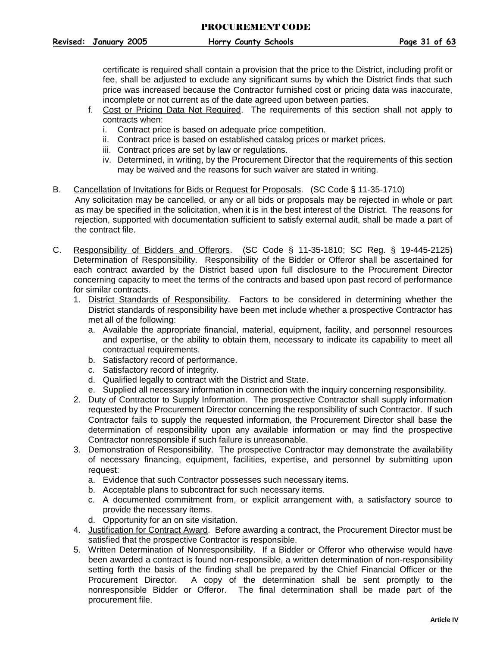certificate is required shall contain a provision that the price to the District, including profit or fee, shall be adjusted to exclude any significant sums by which the District finds that such price was increased because the Contractor furnished cost or pricing data was inaccurate, incomplete or not current as of the date agreed upon between parties.

- f. Cost or Pricing Data Not Required. The requirements of this section shall not apply to contracts when:
	- i. Contract price is based on adequate price competition.
	- ii. Contract price is based on established catalog prices or market prices.
	- iii. Contract prices are set by law or regulations.
	- iv. Determined, in writing, by the Procurement Director that the requirements of this section may be waived and the reasons for such waiver are stated in writing.
- <span id="page-31-0"></span>B. Cancellation of Invitations for Bids or Request for Proposals. (SC Code § 11-35-1710) Any solicitation may be cancelled, or any or all bids or proposals may be rejected in whole or part as may be specified in the solicitation, when it is in the best interest of the District. The reasons for rejection, supported with documentation sufficient to satisfy external audit, shall be made a part of the contract file.
- <span id="page-31-1"></span>C. Responsibility of Bidders and Offerors. (SC Code § 11-35-1810; SC Reg. § 19-445-2125) Determination of Responsibility. Responsibility of the Bidder or Offeror shall be ascertained for each contract awarded by the District based upon full disclosure to the Procurement Director concerning capacity to meet the terms of the contracts and based upon past record of performance for similar contracts.
	- 1. District Standards of Responsibility. Factors to be considered in determining whether the District standards of responsibility have been met include whether a prospective Contractor has met all of the following:
		- a. Available the appropriate financial, material, equipment, facility, and personnel resources and expertise, or the ability to obtain them, necessary to indicate its capability to meet all contractual requirements.
		- b. Satisfactory record of performance.
		- c. Satisfactory record of integrity.
		- d. Qualified legally to contract with the District and State.
		- e. Supplied all necessary information in connection with the inquiry concerning responsibility.
	- 2. Duty of Contractor to Supply Information. The prospective Contractor shall supply information requested by the Procurement Director concerning the responsibility of such Contractor. If such Contractor fails to supply the requested information, the Procurement Director shall base the determination of responsibility upon any available information or may find the prospective Contractor nonresponsible if such failure is unreasonable.
	- 3. Demonstration of Responsibility. The prospective Contractor may demonstrate the availability of necessary financing, equipment, facilities, expertise, and personnel by submitting upon request:
		- a. Evidence that such Contractor possesses such necessary items.
		- b. Acceptable plans to subcontract for such necessary items.
		- c. A documented commitment from, or explicit arrangement with, a satisfactory source to provide the necessary items.
		- d. Opportunity for an on site visitation.
	- 4. Justification for Contract Award. Before awarding a contract, the Procurement Director must be satisfied that the prospective Contractor is responsible.
	- 5. Written Determination of Nonresponsibility. If a Bidder or Offeror who otherwise would have been awarded a contract is found non-responsible, a written determination of non-responsibility setting forth the basis of the finding shall be prepared by the Chief Financial Officer or the Procurement Director. A copy of the determination shall be sent promptly to the nonresponsible Bidder or Offeror. The final determination shall be made part of the procurement file.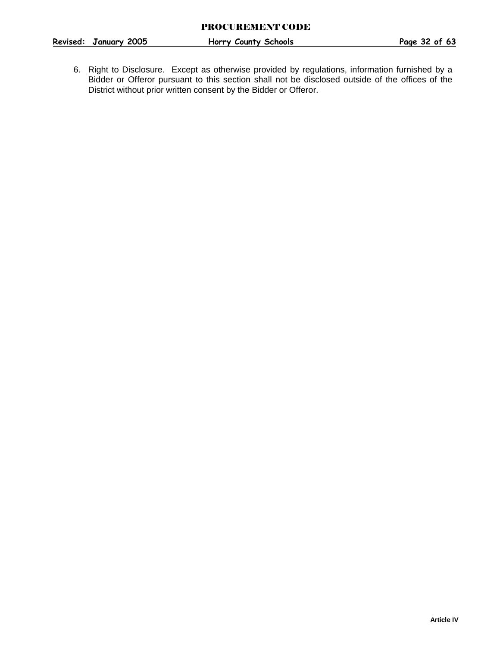**Revised: January 2005 Horry County Schools Page 32 of 63**

6. Right to Disclosure. Except as otherwise provided by regulations, information furnished by a Bidder or Offeror pursuant to this section shall not be disclosed outside of the offices of the District without prior written consent by the Bidder or Offeror.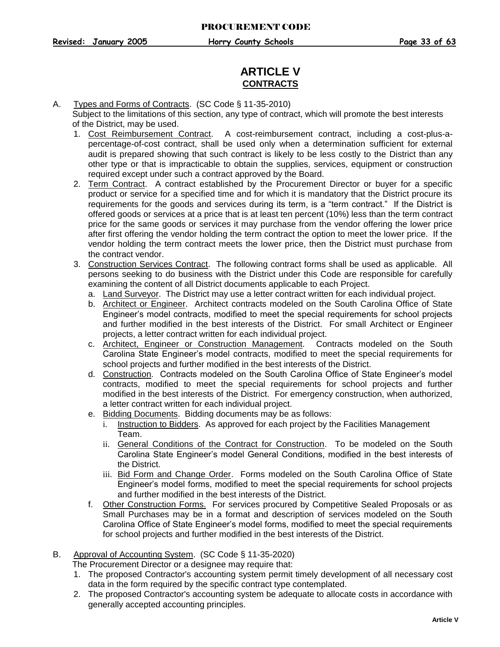## **ARTICLE V CONTRACTS**

<span id="page-33-0"></span>A. Types and Forms of Contracts. (SC Code § 11-35-2010)

 Subject to the limitations of this section, any type of contract, which will promote the best interests of the District, may be used.

- 1. Cost Reimbursement Contract. A cost-reimbursement contract, including a cost-plus-apercentage-of-cost contract, shall be used only when a determination sufficient for external audit is prepared showing that such contract is likely to be less costly to the District than any other type or that is impracticable to obtain the supplies, services, equipment or construction required except under such a contract approved by the Board.
- 2. Term Contract. A contract established by the Procurement Director or buyer for a specific product or service for a specified time and for which it is mandatory that the District procure its requirements for the goods and services during its term, is a "term contract." If the District is offered goods or services at a price that is at least ten percent (10%) less than the term contract price for the same goods or services it may purchase from the vendor offering the lower price after first offering the vendor holding the term contract the option to meet the lower price. If the vendor holding the term contract meets the lower price, then the District must purchase from the contract vendor.
- 3. Construction Services Contract. The following contract forms shall be used as applicable. All persons seeking to do business with the District under this Code are responsible for carefully examining the content of all District documents applicable to each Project.
	- a. Land Surveyor. The District may use a letter contract written for each individual project.
	- b. Architect or Engineer. Architect contracts modeled on the South Carolina Office of State Engineer's model contracts, modified to meet the special requirements for school projects and further modified in the best interests of the District. For small Architect or Engineer projects, a letter contract written for each individual project.
	- c. Architect, Engineer or Construction Management. Contracts modeled on the South Carolina State Engineer's model contracts, modified to meet the special requirements for school projects and further modified in the best interests of the District.
	- d. Construction. Contracts modeled on the South Carolina Office of State Engineer's model contracts, modified to meet the special requirements for school projects and further modified in the best interests of the District. For emergency construction, when authorized, a letter contract written for each individual project.
	- e. Bidding Documents. Bidding documents may be as follows:
		- i. Instruction to Bidders. As approved for each project by the Facilities Management Team.
		- ii. General Conditions of the Contract for Construction. To be modeled on the South Carolina State Engineer's model General Conditions, modified in the best interests of the District.
		- iii. Bid Form and Change Order. Forms modeled on the South Carolina Office of State Engineer's model forms, modified to meet the special requirements for school projects and further modified in the best interests of the District.
	- f. Other Construction Forms. For services procured by Competitive Sealed Proposals or as Small Purchases may be in a format and description of services modeled on the South Carolina Office of State Engineer's model forms, modified to meet the special requirements for school projects and further modified in the best interests of the District.
- <span id="page-33-1"></span>B. Approval of Accounting System. (SC Code § 11-35-2020)

The Procurement Director or a designee may require that:

- 1. The proposed Contractor's accounting system permit timely development of all necessary cost data in the form required by the specific contract type contemplated.
- 2. The proposed Contractor's accounting system be adequate to allocate costs in accordance with generally accepted accounting principles.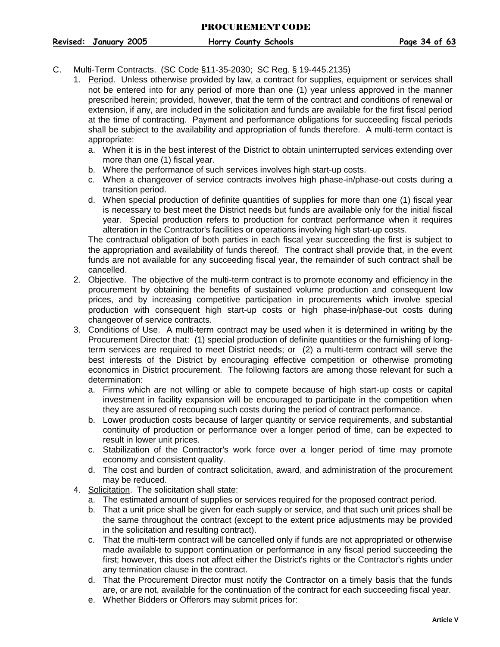#### <span id="page-34-0"></span>C. Multi-Term Contracts. (SC Code §11-35-2030; SC Reg. § 19-445.2135)

- 1. Period. Unless otherwise provided by law, a contract for supplies, equipment or services shall not be entered into for any period of more than one (1) year unless approved in the manner prescribed herein; provided, however, that the term of the contract and conditions of renewal or extension, if any, are included in the solicitation and funds are available for the first fiscal period at the time of contracting. Payment and performance obligations for succeeding fiscal periods shall be subject to the availability and appropriation of funds therefore. A multi-term contact is appropriate:
	- a. When it is in the best interest of the District to obtain uninterrupted services extending over more than one (1) fiscal year.
	- b. Where the performance of such services involves high start-up costs.
	- c. When a changeover of service contracts involves high phase-in/phase-out costs during a transition period.
	- d. When special production of definite quantities of supplies for more than one (1) fiscal year is necessary to best meet the District needs but funds are available only for the initial fiscal year. Special production refers to production for contract performance when it requires alteration in the Contractor's facilities or operations involving high start-up costs.

The contractual obligation of both parties in each fiscal year succeeding the first is subject to the appropriation and availability of funds thereof. The contract shall provide that, in the event funds are not available for any succeeding fiscal year, the remainder of such contract shall be cancelled.

- 2. Objective. The objective of the multi-term contract is to promote economy and efficiency in the procurement by obtaining the benefits of sustained volume production and consequent low prices, and by increasing competitive participation in procurements which involve special production with consequent high start-up costs or high phase-in/phase-out costs during changeover of service contracts.
- 3. Conditions of Use. A multi-term contract may be used when it is determined in writing by the Procurement Director that: (1) special production of definite quantities or the furnishing of longterm services are required to meet District needs; or (2) a multi-term contract will serve the best interests of the District by encouraging effective competition or otherwise promoting economics in District procurement. The following factors are among those relevant for such a determination:
	- a. Firms which are not willing or able to compete because of high start-up costs or capital investment in facility expansion will be encouraged to participate in the competition when they are assured of recouping such costs during the period of contract performance.
	- b. Lower production costs because of larger quantity or service requirements, and substantial continuity of production or performance over a longer period of time, can be expected to result in lower unit prices.
	- c. Stabilization of the Contractor's work force over a longer period of time may promote economy and consistent quality.
	- d. The cost and burden of contract solicitation, award, and administration of the procurement may be reduced.
- 4. Solicitation. The solicitation shall state:
	- a. The estimated amount of supplies or services required for the proposed contract period.
	- b. That a unit price shall be given for each supply or service, and that such unit prices shall be the same throughout the contract (except to the extent price adjustments may be provided in the solicitation and resulting contract).
	- c. That the multi-term contract will be cancelled only if funds are not appropriated or otherwise made available to support continuation or performance in any fiscal period succeeding the first; however, this does not affect either the District's rights or the Contractor's rights under any termination clause in the contract.
	- d. That the Procurement Director must notify the Contractor on a timely basis that the funds are, or are not, available for the continuation of the contract for each succeeding fiscal year.
	- e. Whether Bidders or Offerors may submit prices for: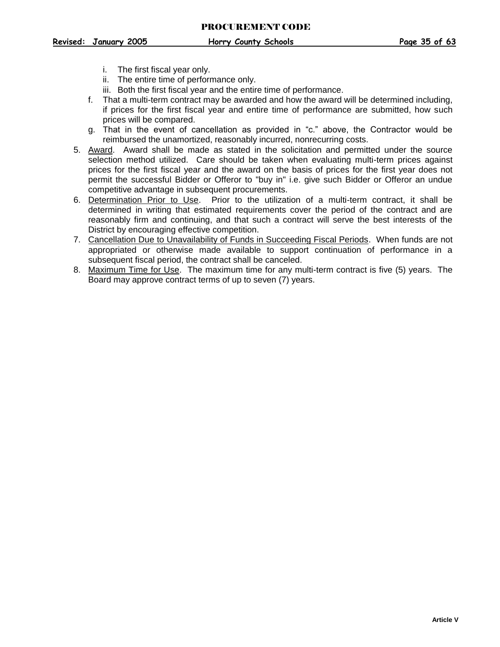- i. The first fiscal year only.
- ii. The entire time of performance only.
- iii. Both the first fiscal year and the entire time of performance.
- f. That a multi-term contract may be awarded and how the award will be determined including, if prices for the first fiscal year and entire time of performance are submitted, how such prices will be compared.
- g. That in the event of cancellation as provided in "c." above, the Contractor would be reimbursed the unamortized, reasonably incurred, nonrecurring costs.
- 5. Award. Award shall be made as stated in the solicitation and permitted under the source selection method utilized. Care should be taken when evaluating multi-term prices against prices for the first fiscal year and the award on the basis of prices for the first year does not permit the successful Bidder or Offeror to "buy in" i.e. give such Bidder or Offeror an undue competitive advantage in subsequent procurements.
- 6. Determination Prior to Use. Prior to the utilization of a multi-term contract, it shall be determined in writing that estimated requirements cover the period of the contract and are reasonably firm and continuing, and that such a contract will serve the best interests of the District by encouraging effective competition.
- 7. Cancellation Due to Unavailability of Funds in Succeeding Fiscal Periods. When funds are not appropriated or otherwise made available to support continuation of performance in a subsequent fiscal period, the contract shall be canceled.
- 8. Maximum Time for Use. The maximum time for any multi-term contract is five (5) years. The Board may approve contract terms of up to seven (7) years.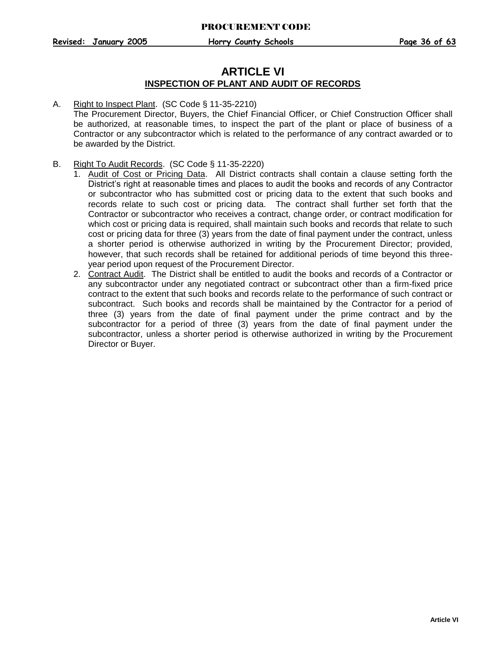## **ARTICLE VI INSPECTION OF PLANT AND AUDIT OF RECORDS**

#### <span id="page-36-0"></span>A. Right to Inspect Plant. (SC Code § 11-35-2210)

The Procurement Director, Buyers, the Chief Financial Officer, or Chief Construction Officer shall be authorized, at reasonable times, to inspect the part of the plant or place of business of a Contractor or any subcontractor which is related to the performance of any contract awarded or to be awarded by the District.

#### <span id="page-36-1"></span>B. Right To Audit Records. (SC Code § 11-35-2220)

- 1. Audit of Cost or Pricing Data. All District contracts shall contain a clause setting forth the District's right at reasonable times and places to audit the books and records of any Contractor or subcontractor who has submitted cost or pricing data to the extent that such books and records relate to such cost or pricing data. The contract shall further set forth that the Contractor or subcontractor who receives a contract, change order, or contract modification for which cost or pricing data is required, shall maintain such books and records that relate to such cost or pricing data for three (3) years from the date of final payment under the contract, unless a shorter period is otherwise authorized in writing by the Procurement Director; provided, however, that such records shall be retained for additional periods of time beyond this threeyear period upon request of the Procurement Director.
- 2. Contract Audit. The District shall be entitled to audit the books and records of a Contractor or any subcontractor under any negotiated contract or subcontract other than a firm-fixed price contract to the extent that such books and records relate to the performance of such contract or subcontract. Such books and records shall be maintained by the Contractor for a period of three (3) years from the date of final payment under the prime contract and by the subcontractor for a period of three (3) years from the date of final payment under the subcontractor, unless a shorter period is otherwise authorized in writing by the Procurement Director or Buyer.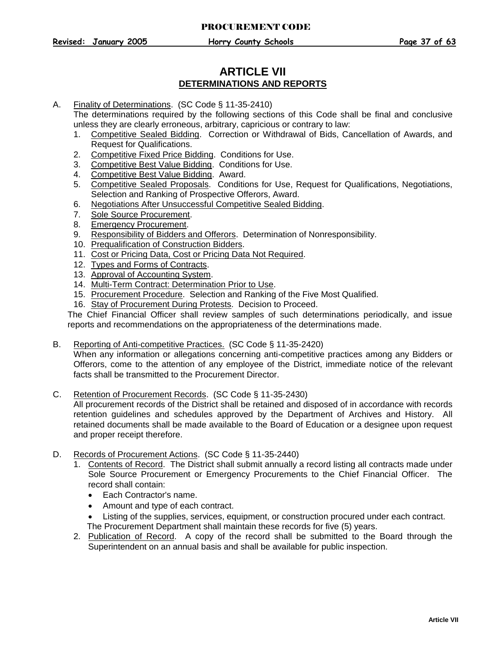## **ARTICLE VII DETERMINATIONS AND REPORTS**

<span id="page-37-0"></span>A. Finality of Determinations. (SC Code § 11-35-2410)

The determinations required by the following sections of this Code shall be final and conclusive unless they are clearly erroneous, arbitrary, capricious or contrary to law:

- 1. Competitive Sealed Bidding. Correction or Withdrawal of Bids, Cancellation of Awards, and Request for Qualifications.
- 2. Competitive Fixed Price Bidding. Conditions for Use.
- 3. Competitive Best Value Bidding. Conditions for Use.
- 4. Competitive Best Value Bidding. Award.
- 5. Competitive Sealed Proposals. Conditions for Use, Request for Qualifications, Negotiations, Selection and Ranking of Prospective Offerors, Award.
- 6. Negotiations After Unsuccessful Competitive Sealed Bidding.
- 7. Sole Source Procurement.
- 8. Emergency Procurement.
- 9. Responsibility of Bidders and Offerors. Determination of Nonresponsibility.
- 10. Prequalification of Construction Bidders.
- 11. Cost or Pricing Data, Cost or Pricing Data Not Required.
- 12. Types and Forms of Contracts.
- 13. Approval of Accounting System.
- 14. Multi-Term Contract: Determination Prior to Use.
- 15. Procurement Procedure. Selection and Ranking of the Five Most Qualified.
- 16. Stay of Procurement During Protests. Decision to Proceed.

The Chief Financial Officer shall review samples of such determinations periodically, and issue reports and recommendations on the appropriateness of the determinations made.

<span id="page-37-1"></span>B. Reporting of Anti-competitive Practices. (SC Code § 11-35-2420)

When any information or allegations concerning anti-competitive practices among any Bidders or Offerors, come to the attention of any employee of the District, immediate notice of the relevant facts shall be transmitted to the Procurement Director.

- <span id="page-37-2"></span>C. Retention of Procurement Records. (SC Code § 11-35-2430) All procurement records of the District shall be retained and disposed of in accordance with records retention guidelines and schedules approved by the Department of Archives and History. All retained documents shall be made available to the Board of Education or a designee upon request and proper receipt therefore.
- <span id="page-37-3"></span>D. Records of Procurement Actions. (SC Code § 11-35-2440)
	- 1. Contents of Record. The District shall submit annually a record listing all contracts made under Sole Source Procurement or Emergency Procurements to the Chief Financial Officer. The record shall contain:
		- Each Contractor's name.
		- Amount and type of each contract.
		- Listing of the supplies, services, equipment, or construction procured under each contract. The Procurement Department shall maintain these records for five (5) years.
	- 2. Publication of Record. A copy of the record shall be submitted to the Board through the Superintendent on an annual basis and shall be available for public inspection.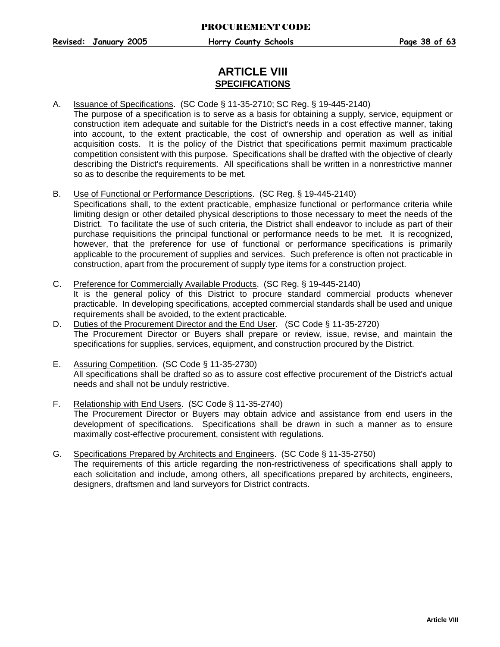## **ARTICLE VIII SPECIFICATIONS**

- <span id="page-38-0"></span>A. Issuance of Specifications. (SC Code § 11-35-2710; SC Reg. § 19-445-2140) The purpose of a specification is to serve as a basis for obtaining a supply, service, equipment or construction item adequate and suitable for the District's needs in a cost effective manner, taking into account, to the extent practicable, the cost of ownership and operation as well as initial acquisition costs. It is the policy of the District that specifications permit maximum practicable competition consistent with this purpose. Specifications shall be drafted with the objective of clearly describing the District's requirements. All specifications shall be written in a nonrestrictive manner so as to describe the requirements to be met.
- <span id="page-38-1"></span>B. Use of Functional or Performance Descriptions. (SC Reg. § 19-445-2140)
	- Specifications shall, to the extent practicable, emphasize functional or performance criteria while limiting design or other detailed physical descriptions to those necessary to meet the needs of the District. To facilitate the use of such criteria, the District shall endeavor to include as part of their purchase requisitions the principal functional or performance needs to be met. It is recognized, however, that the preference for use of functional or performance specifications is primarily applicable to the procurement of supplies and services. Such preference is often not practicable in construction, apart from the procurement of supply type items for a construction project.
- <span id="page-38-2"></span>C. Preference for Commercially Available Products. (SC Reg. § 19-445-2140) It is the general policy of this District to procure standard commercial products whenever practicable. In developing specifications, accepted commercial standards shall be used and unique requirements shall be avoided, to the extent practicable.
- <span id="page-38-3"></span>D. Duties of the Procurement Director and the End User. (SC Code § 11-35-2720) The Procurement Director or Buyers shall prepare or review, issue, revise, and maintain the specifications for supplies, services, equipment, and construction procured by the District.
- <span id="page-38-4"></span>E. Assuring Competition. (SC Code § 11-35-2730) All specifications shall be drafted so as to assure cost effective procurement of the District's actual needs and shall not be unduly restrictive.
- <span id="page-38-5"></span>F. Relationship with End Users. (SC Code § 11-35-2740) The Procurement Director or Buyers may obtain advice and assistance from end users in the development of specifications. Specifications shall be drawn in such a manner as to ensure maximally cost-effective procurement, consistent with regulations.
- <span id="page-38-6"></span>G. Specifications Prepared by Architects and Engineers. (SC Code § 11-35-2750) The requirements of this article regarding the non-restrictiveness of specifications shall apply to each solicitation and include, among others, all specifications prepared by architects, engineers, designers, draftsmen and land surveyors for District contracts.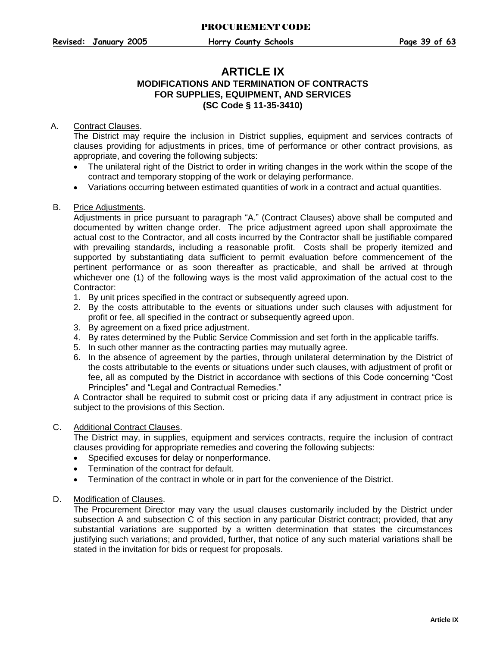## **ARTICLE IX MODIFICATIONS AND TERMINATION OF CONTRACTS FOR SUPPLIES, EQUIPMENT, AND SERVICES (SC Code § 11-35-3410)**

#### <span id="page-39-0"></span>A. Contract Clauses.

The District may require the inclusion in District supplies, equipment and services contracts of clauses providing for adjustments in prices, time of performance or other contract provisions, as appropriate, and covering the following subjects:

- The unilateral right of the District to order in writing changes in the work within the scope of the contract and temporary stopping of the work or delaying performance.
- Variations occurring between estimated quantities of work in a contract and actual quantities.

#### <span id="page-39-1"></span>B. Price Adjustments.

Adjustments in price pursuant to paragraph "A." (Contract Clauses) above shall be computed and documented by written change order. The price adjustment agreed upon shall approximate the actual cost to the Contractor, and all costs incurred by the Contractor shall be justifiable compared with prevailing standards, including a reasonable profit. Costs shall be properly itemized and supported by substantiating data sufficient to permit evaluation before commencement of the pertinent performance or as soon thereafter as practicable, and shall be arrived at through whichever one (1) of the following ways is the most valid approximation of the actual cost to the Contractor:

- 1. By unit prices specified in the contract or subsequently agreed upon.
- 2. By the costs attributable to the events or situations under such clauses with adjustment for profit or fee, all specified in the contract or subsequently agreed upon.
- 3. By agreement on a fixed price adjustment.
- 4. By rates determined by the Public Service Commission and set forth in the applicable tariffs.
- 5. In such other manner as the contracting parties may mutually agree.
- 6. In the absence of agreement by the parties, through unilateral determination by the District of the costs attributable to the events or situations under such clauses, with adjustment of profit or fee, all as computed by the District in accordance with sections of this Code concerning "Cost Principles" and "Legal and Contractual Remedies."

A Contractor shall be required to submit cost or pricing data if any adjustment in contract price is subject to the provisions of this Section.

#### <span id="page-39-2"></span>C. Additional Contract Clauses.

The District may, in supplies, equipment and services contracts, require the inclusion of contract clauses providing for appropriate remedies and covering the following subjects:

- Specified excuses for delay or nonperformance.
- Termination of the contract for default.
- Termination of the contract in whole or in part for the convenience of the District.

#### <span id="page-39-3"></span>D. Modification of Clauses.

The Procurement Director may vary the usual clauses customarily included by the District under subsection A and subsection C of this section in any particular District contract; provided, that any substantial variations are supported by a written determination that states the circumstances justifying such variations; and provided, further, that notice of any such material variations shall be stated in the invitation for bids or request for proposals.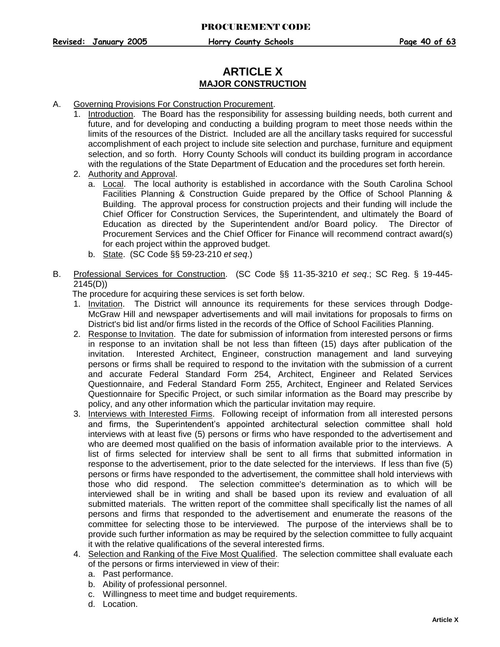## **ARTICLE X MAJOR CONSTRUCTION**

- <span id="page-40-0"></span>A. Governing Provisions For Construction Procurement.
	- 1. Introduction. The Board has the responsibility for assessing building needs, both current and future, and for developing and conducting a building program to meet those needs within the limits of the resources of the District. Included are all the ancillary tasks required for successful accomplishment of each project to include site selection and purchase, furniture and equipment selection, and so forth. Horry County Schools will conduct its building program in accordance with the regulations of the State Department of Education and the procedures set forth herein.
	- 2. Authority and Approval.
		- a. Local. The local authority is established in accordance with the South Carolina School Facilities Planning & Construction Guide prepared by the Office of School Planning & Building. The approval process for construction projects and their funding will include the Chief Officer for Construction Services, the Superintendent, and ultimately the Board of Education as directed by the Superintendent and/or Board policy. The Director of Procurement Services and the Chief Officer for Finance will recommend contract award(s) for each project within the approved budget.
		- b. State. (SC Code §§ 59-23-210 *et seq*.)
- <span id="page-40-1"></span>B. Professional Services for Construction. (SC Code §§ 11-35-3210 *et seq*.; SC Reg. § 19-445- 2145(D))

The procedure for acquiring these services is set forth below.

- 1. Invitation. The District will announce its requirements for these services through Dodge-McGraw Hill and newspaper advertisements and will mail invitations for proposals to firms on District's bid list and/or firms listed in the records of the Office of School Facilities Planning.
- 2. Response to Invitation. The date for submission of information from interested persons or firms in response to an invitation shall be not less than fifteen (15) days after publication of the invitation. Interested Architect, Engineer, construction management and land surveying persons or firms shall be required to respond to the invitation with the submission of a current and accurate Federal Standard Form 254, Architect, Engineer and Related Services Questionnaire, and Federal Standard Form 255, Architect, Engineer and Related Services Questionnaire for Specific Project, or such similar information as the Board may prescribe by policy, and any other information which the particular invitation may require.
- 3. Interviews with Interested Firms. Following receipt of information from all interested persons and firms, the Superintendent's appointed architectural selection committee shall hold interviews with at least five (5) persons or firms who have responded to the advertisement and who are deemed most qualified on the basis of information available prior to the interviews. A list of firms selected for interview shall be sent to all firms that submitted information in response to the advertisement, prior to the date selected for the interviews. If less than five (5) persons or firms have responded to the advertisement, the committee shall hold interviews with those who did respond. The selection committee's determination as to which will be interviewed shall be in writing and shall be based upon its review and evaluation of all submitted materials. The written report of the committee shall specifically list the names of all persons and firms that responded to the advertisement and enumerate the reasons of the committee for selecting those to be interviewed. The purpose of the interviews shall be to provide such further information as may be required by the selection committee to fully acquaint it with the relative qualifications of the several interested firms.
- 4. Selection and Ranking of the Five Most Qualified. The selection committee shall evaluate each of the persons or firms interviewed in view of their:
	- a. Past performance.
	- b. Ability of professional personnel.
	- c. Willingness to meet time and budget requirements.
	- d. Location.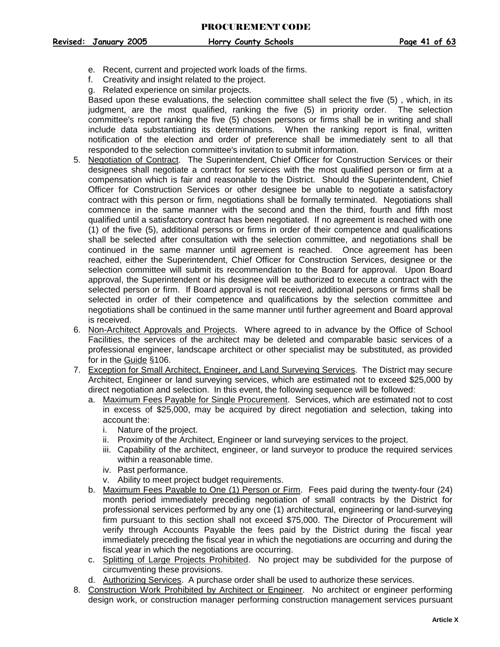- e. Recent, current and projected work loads of the firms.
- f. Creativity and insight related to the project.
- g. Related experience on similar projects.

Based upon these evaluations, the selection committee shall select the five (5) , which, in its judgment, are the most qualified, ranking the five (5) in priority order. The selection committee's report ranking the five (5) chosen persons or firms shall be in writing and shall include data substantiating its determinations. When the ranking report is final, written notification of the election and order of preference shall be immediately sent to all that responded to the selection committee's invitation to submit information.

- 5. Negotiation of Contract. The Superintendent, Chief Officer for Construction Services or their designees shall negotiate a contract for services with the most qualified person or firm at a compensation which is fair and reasonable to the District. Should the Superintendent, Chief Officer for Construction Services or other designee be unable to negotiate a satisfactory contract with this person or firm, negotiations shall be formally terminated. Negotiations shall commence in the same manner with the second and then the third, fourth and fifth most qualified until a satisfactory contract has been negotiated. If no agreement is reached with one (1) of the five (5), additional persons or firms in order of their competence and qualifications shall be selected after consultation with the selection committee, and negotiations shall be continued in the same manner until agreement is reached. Once agreement has been reached, either the Superintendent, Chief Officer for Construction Services, designee or the selection committee will submit its recommendation to the Board for approval. Upon Board approval, the Superintendent or his designee will be authorized to execute a contract with the selected person or firm. If Board approval is not received, additional persons or firms shall be selected in order of their competence and qualifications by the selection committee and negotiations shall be continued in the same manner until further agreement and Board approval is received.
- 6. Non-Architect Approvals and Projects. Where agreed to in advance by the Office of School Facilities, the services of the architect may be deleted and comparable basic services of a professional engineer, landscape architect or other specialist may be substituted, as provided for in the Guide §106.
- 7. Exception for Small Architect, Engineer, and Land Surveying Services. The District may secure Architect, Engineer or land surveying services, which are estimated not to exceed \$25,000 by direct negotiation and selection. In this event, the following sequence will be followed:
	- a. Maximum Fees Payable for Single Procurement. Services, which are estimated not to cost in excess of \$25,000, may be acquired by direct negotiation and selection, taking into account the:
		- i. Nature of the project.
		- ii. Proximity of the Architect, Engineer or land surveying services to the project.
		- iii. Capability of the architect, engineer, or land surveyor to produce the required services within a reasonable time.
		- iv. Past performance.
		- v. Ability to meet project budget requirements.
	- b. Maximum Fees Payable to One (1) Person or Firm. Fees paid during the twenty-four (24) month period immediately preceding negotiation of small contracts by the District for professional services performed by any one (1) architectural, engineering or land-surveying firm pursuant to this section shall not exceed \$75,000. The Director of Procurement will verify through Accounts Payable the fees paid by the District during the fiscal year immediately preceding the fiscal year in which the negotiations are occurring and during the fiscal year in which the negotiations are occurring.
	- c. Splitting of Large Projects Prohibited. No project may be subdivided for the purpose of circumventing these provisions.
	- d. Authorizing Services. A purchase order shall be used to authorize these services.
- 8. Construction Work Prohibited by Architect or Engineer. No architect or engineer performing design work, or construction manager performing construction management services pursuant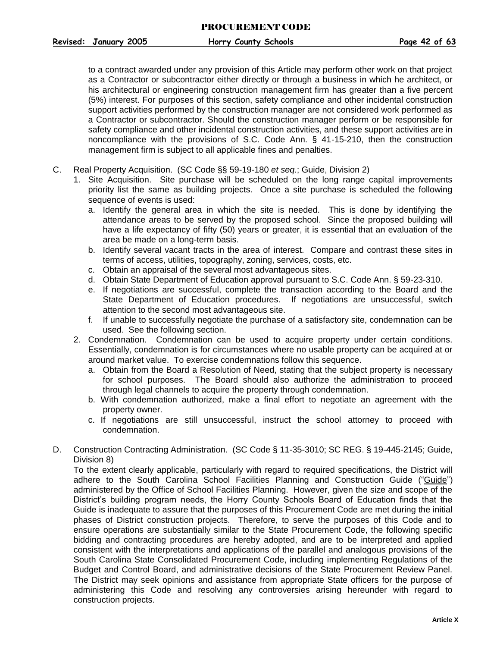to a contract awarded under any provision of this Article may perform other work on that project as a Contractor or subcontractor either directly or through a business in which he architect, or his architectural or engineering construction management firm has greater than a five percent (5%) interest. For purposes of this section, safety compliance and other incidental construction support activities performed by the construction manager are not considered work performed as a Contractor or subcontractor. Should the construction manager perform or be responsible for safety compliance and other incidental construction activities, and these support activities are in noncompliance with the provisions of S.C. Code Ann. § 41-15-210, then the construction management firm is subject to all applicable fines and penalties.

- <span id="page-42-0"></span>C. Real Property Acquisition. (SC Code §§ 59-19-180 *et seq.*; Guide, Division 2)
	- 1. Site Acquisition. Site purchase will be scheduled on the long range capital improvements priority list the same as building projects. Once a site purchase is scheduled the following sequence of events is used:
		- a. Identify the general area in which the site is needed. This is done by identifying the attendance areas to be served by the proposed school. Since the proposed building will have a life expectancy of fifty (50) years or greater, it is essential that an evaluation of the area be made on a long-term basis.
		- b. Identify several vacant tracts in the area of interest. Compare and contrast these sites in terms of access, utilities, topography, zoning, services, costs, etc.
		- c. Obtain an appraisal of the several most advantageous sites.
		- d. Obtain State Department of Education approval pursuant to S.C. Code Ann. § 59-23-310.
		- e. If negotiations are successful, complete the transaction according to the Board and the State Department of Education procedures. If negotiations are unsuccessful, switch attention to the second most advantageous site.
		- f. If unable to successfully negotiate the purchase of a satisfactory site, condemnation can be used. See the following section.
	- 2. Condemnation. Condemnation can be used to acquire property under certain conditions. Essentially, condemnation is for circumstances where no usable property can be acquired at or around market value. To exercise condemnations follow this sequence.
		- a. Obtain from the Board a Resolution of Need, stating that the subject property is necessary for school purposes. The Board should also authorize the administration to proceed through legal channels to acquire the property through condemnation.
		- b. With condemnation authorized, make a final effort to negotiate an agreement with the property owner.
		- c. If negotiations are still unsuccessful, instruct the school attorney to proceed with condemnation.
- <span id="page-42-1"></span>D. Construction Contracting Administration. (SC Code § 11-35-3010; SC REG. § 19-445-2145; Guide, Division 8)

To the extent clearly applicable, particularly with regard to required specifications, the District will adhere to the South Carolina School Facilities Planning and Construction Guide ("Guide") administered by the Office of School Facilities Planning. However, given the size and scope of the District's building program needs, the Horry County Schools Board of Education finds that the Guide is inadequate to assure that the purposes of this Procurement Code are met during the initial phases of District construction projects. Therefore, to serve the purposes of this Code and to ensure operations are substantially similar to the State Procurement Code, the following specific bidding and contracting procedures are hereby adopted, and are to be interpreted and applied consistent with the interpretations and applications of the parallel and analogous provisions of the South Carolina State Consolidated Procurement Code, including implementing Regulations of the Budget and Control Board, and administrative decisions of the State Procurement Review Panel. The District may seek opinions and assistance from appropriate State officers for the purpose of administering this Code and resolving any controversies arising hereunder with regard to construction projects.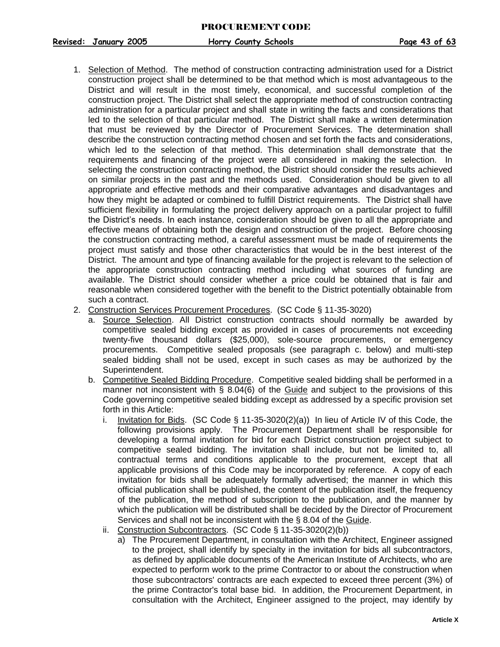**Revised: January 2005 Horry County Schools Page 43 of 63**

- <span id="page-43-0"></span>1. Selection of Method. The method of construction contracting administration used for a District construction project shall be determined to be that method which is most advantageous to the District and will result in the most timely, economical, and successful completion of the construction project. The District shall select the appropriate method of construction contracting administration for a particular project and shall state in writing the facts and considerations that led to the selection of that particular method. The District shall make a written determination that must be reviewed by the Director of Procurement Services. The determination shall describe the construction contracting method chosen and set forth the facts and considerations, which led to the selection of that method. This determination shall demonstrate that the requirements and financing of the project were all considered in making the selection. In selecting the construction contracting method, the District should consider the results achieved on similar projects in the past and the methods used. Consideration should be given to all appropriate and effective methods and their comparative advantages and disadvantages and how they might be adapted or combined to fulfill District requirements. The District shall have sufficient flexibility in formulating the project delivery approach on a particular project to fulfill the District's needs. In each instance, consideration should be given to all the appropriate and effective means of obtaining both the design and construction of the project. Before choosing the construction contracting method, a careful assessment must be made of requirements the project must satisfy and those other characteristics that would be in the best interest of the District. The amount and type of financing available for the project is relevant to the selection of the appropriate construction contracting method including what sources of funding are available. The District should consider whether a price could be obtained that is fair and reasonable when considered together with the benefit to the District potentially obtainable from such a contract.
- <span id="page-43-1"></span>2. Construction Services Procurement Procedures. (SC Code § 11-35-3020)
	- a. Source Selection. All District construction contracts should normally be awarded by competitive sealed bidding except as provided in cases of procurements not exceeding twenty-five thousand dollars (\$25,000), sole-source procurements, or emergency procurements. Competitive sealed proposals (see paragraph c. below) and multi-step sealed bidding shall not be used, except in such cases as may be authorized by the Superintendent.
	- b. Competitive Sealed Bidding Procedure. Competitive sealed bidding shall be performed in a manner not inconsistent with  $\S$  8.04(6) of the Guide and subject to the provisions of this Code governing competitive sealed bidding except as addressed by a specific provision set forth in this Article:
		- i. Invitation for Bids. (SC Code § 11-35-3020(2)(a)) In lieu of Article IV of this Code, the following provisions apply. The Procurement Department shall be responsible for developing a formal invitation for bid for each District construction project subject to competitive sealed bidding. The invitation shall include, but not be limited to, all contractual terms and conditions applicable to the procurement, except that all applicable provisions of this Code may be incorporated by reference. A copy of each invitation for bids shall be adequately formally advertised; the manner in which this official publication shall be published, the content of the publication itself, the frequency of the publication, the method of subscription to the publication, and the manner by which the publication will be distributed shall be decided by the Director of Procurement Services and shall not be inconsistent with the § 8.04 of the Guide.
		- ii. Construction Subcontractors. (SC Code § 11-35-3020(2)(b))
			- a) The Procurement Department, in consultation with the Architect, Engineer assigned to the project, shall identify by specialty in the invitation for bids all subcontractors, as defined by applicable documents of the American Institute of Architects, who are expected to perform work to the prime Contractor to or about the construction when those subcontractors' contracts are each expected to exceed three percent (3%) of the prime Contractor's total base bid. In addition, the Procurement Department, in consultation with the Architect, Engineer assigned to the project, may identify by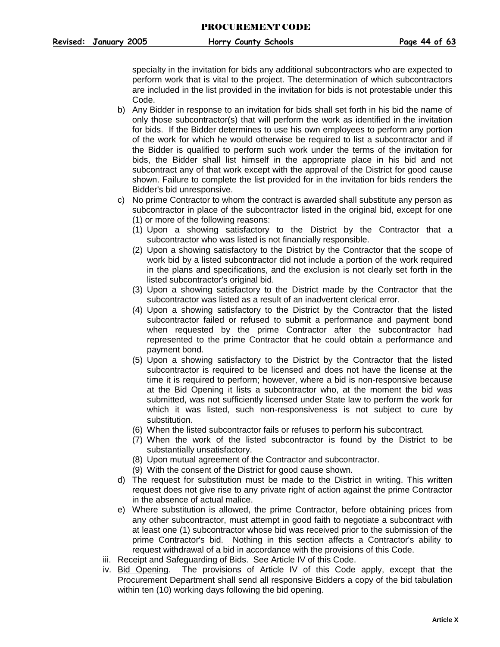specialty in the invitation for bids any additional subcontractors who are expected to perform work that is vital to the project. The determination of which subcontractors are included in the list provided in the invitation for bids is not protestable under this Code.

- b) Any Bidder in response to an invitation for bids shall set forth in his bid the name of only those subcontractor(s) that will perform the work as identified in the invitation for bids. If the Bidder determines to use his own employees to perform any portion of the work for which he would otherwise be required to list a subcontractor and if the Bidder is qualified to perform such work under the terms of the invitation for bids, the Bidder shall list himself in the appropriate place in his bid and not subcontract any of that work except with the approval of the District for good cause shown. Failure to complete the list provided for in the invitation for bids renders the Bidder's bid unresponsive.
- c) No prime Contractor to whom the contract is awarded shall substitute any person as subcontractor in place of the subcontractor listed in the original bid, except for one
	- (1) or more of the following reasons:
	- (1) Upon a showing satisfactory to the District by the Contractor that a subcontractor who was listed is not financially responsible.
	- (2) Upon a showing satisfactory to the District by the Contractor that the scope of work bid by a listed subcontractor did not include a portion of the work required in the plans and specifications, and the exclusion is not clearly set forth in the listed subcontractor's original bid.
	- (3) Upon a showing satisfactory to the District made by the Contractor that the subcontractor was listed as a result of an inadvertent clerical error.
	- (4) Upon a showing satisfactory to the District by the Contractor that the listed subcontractor failed or refused to submit a performance and payment bond when requested by the prime Contractor after the subcontractor had represented to the prime Contractor that he could obtain a performance and payment bond.
	- (5) Upon a showing satisfactory to the District by the Contractor that the listed subcontractor is required to be licensed and does not have the license at the time it is required to perform; however, where a bid is non-responsive because at the Bid Opening it lists a subcontractor who, at the moment the bid was submitted, was not sufficiently licensed under State law to perform the work for which it was listed, such non-responsiveness is not subject to cure by substitution.
	- (6) When the listed subcontractor fails or refuses to perform his subcontract.
	- (7) When the work of the listed subcontractor is found by the District to be substantially unsatisfactory.
	- (8) Upon mutual agreement of the Contractor and subcontractor.
	- (9) With the consent of the District for good cause shown.
- d) The request for substitution must be made to the District in writing. This written request does not give rise to any private right of action against the prime Contractor in the absence of actual malice.
- e) Where substitution is allowed, the prime Contractor, before obtaining prices from any other subcontractor, must attempt in good faith to negotiate a subcontract with at least one (1) subcontractor whose bid was received prior to the submission of the prime Contractor's bid. Nothing in this section affects a Contractor's ability to request withdrawal of a bid in accordance with the provisions of this Code.
- iii. Receipt and Safeguarding of Bids. See Article IV of this Code.
- iv. Bid Opening. The provisions of Article IV of this Code apply, except that the Procurement Department shall send all responsive Bidders a copy of the bid tabulation within ten (10) working days following the bid opening.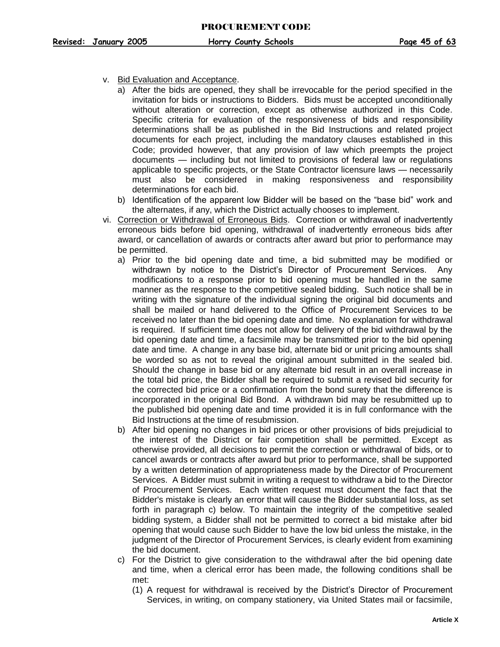- v. Bid Evaluation and Acceptance.
	- a) After the bids are opened, they shall be irrevocable for the period specified in the invitation for bids or instructions to Bidders. Bids must be accepted unconditionally without alteration or correction, except as otherwise authorized in this Code. Specific criteria for evaluation of the responsiveness of bids and responsibility determinations shall be as published in the Bid Instructions and related project documents for each project, including the mandatory clauses established in this Code; provided however, that any provision of law which preempts the project documents — including but not limited to provisions of federal law or regulations applicable to specific projects, or the State Contractor licensure laws — necessarily must also be considered in making responsiveness and responsibility determinations for each bid.
	- b) Identification of the apparent low Bidder will be based on the "base bid" work and the alternates, if any, which the District actually chooses to implement.
- vi. Correction or Withdrawal of Erroneous Bids. Correction or withdrawal of inadvertently erroneous bids before bid opening, withdrawal of inadvertently erroneous bids after award, or cancellation of awards or contracts after award but prior to performance may be permitted.
	- a) Prior to the bid opening date and time, a bid submitted may be modified or withdrawn by notice to the District's Director of Procurement Services. Any modifications to a response prior to bid opening must be handled in the same manner as the response to the competitive sealed bidding. Such notice shall be in writing with the signature of the individual signing the original bid documents and shall be mailed or hand delivered to the Office of Procurement Services to be received no later than the bid opening date and time. No explanation for withdrawal is required. If sufficient time does not allow for delivery of the bid withdrawal by the bid opening date and time, a facsimile may be transmitted prior to the bid opening date and time. A change in any base bid, alternate bid or unit pricing amounts shall be worded so as not to reveal the original amount submitted in the sealed bid. Should the change in base bid or any alternate bid result in an overall increase in the total bid price, the Bidder shall be required to submit a revised bid security for the corrected bid price or a confirmation from the bond surety that the difference is incorporated in the original Bid Bond. A withdrawn bid may be resubmitted up to the published bid opening date and time provided it is in full conformance with the Bid Instructions at the time of resubmission.
	- b) After bid opening no changes in bid prices or other provisions of bids prejudicial to the interest of the District or fair competition shall be permitted. Except as otherwise provided, all decisions to permit the correction or withdrawal of bids, or to cancel awards or contracts after award but prior to performance, shall be supported by a written determination of appropriateness made by the Director of Procurement Services. A Bidder must submit in writing a request to withdraw a bid to the Director of Procurement Services. Each written request must document the fact that the Bidder's mistake is clearly an error that will cause the Bidder substantial loss, as set forth in paragraph c) below. To maintain the integrity of the competitive sealed bidding system, a Bidder shall not be permitted to correct a bid mistake after bid opening that would cause such Bidder to have the low bid unless the mistake, in the judgment of the Director of Procurement Services, is clearly evident from examining the bid document.
	- c) For the District to give consideration to the withdrawal after the bid opening date and time, when a clerical error has been made, the following conditions shall be met:
		- (1) A request for withdrawal is received by the District's Director of Procurement Services, in writing, on company stationery, via United States mail or facsimile,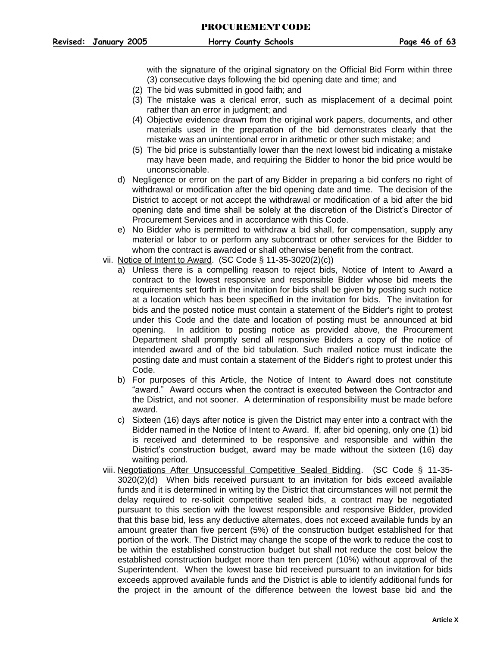with the signature of the original signatory on the Official Bid Form within three (3) consecutive days following the bid opening date and time; and

- (2) The bid was submitted in good faith; and
- (3) The mistake was a clerical error, such as misplacement of a decimal point rather than an error in judgment; and
- (4) Objective evidence drawn from the original work papers, documents, and other materials used in the preparation of the bid demonstrates clearly that the mistake was an unintentional error in arithmetic or other such mistake; and
- (5) The bid price is substantially lower than the next lowest bid indicating a mistake may have been made, and requiring the Bidder to honor the bid price would be unconscionable.
- d) Negligence or error on the part of any Bidder in preparing a bid confers no right of withdrawal or modification after the bid opening date and time. The decision of the District to accept or not accept the withdrawal or modification of a bid after the bid opening date and time shall be solely at the discretion of the District's Director of Procurement Services and in accordance with this Code.
- e) No Bidder who is permitted to withdraw a bid shall, for compensation, supply any material or labor to or perform any subcontract or other services for the Bidder to whom the contract is awarded or shall otherwise benefit from the contract.
- vii. Notice of Intent to Award. (SC Code § 11-35-3020(2)(c))
	- a) Unless there is a compelling reason to reject bids, Notice of Intent to Award a contract to the lowest responsive and responsible Bidder whose bid meets the requirements set forth in the invitation for bids shall be given by posting such notice at a location which has been specified in the invitation for bids. The invitation for bids and the posted notice must contain a statement of the Bidder's right to protest under this Code and the date and location of posting must be announced at bid opening. In addition to posting notice as provided above, the Procurement Department shall promptly send all responsive Bidders a copy of the notice of intended award and of the bid tabulation. Such mailed notice must indicate the posting date and must contain a statement of the Bidder's right to protest under this Code.
	- b) For purposes of this Article, the Notice of Intent to Award does not constitute "award." Award occurs when the contract is executed between the Contractor and the District, and not sooner. A determination of responsibility must be made before award.
	- c) Sixteen (16) days after notice is given the District may enter into a contract with the Bidder named in the Notice of Intent to Award. If, after bid opening, only one (1) bid is received and determined to be responsive and responsible and within the District's construction budget, award may be made without the sixteen (16) day waiting period.
- viii. Negotiations After Unsuccessful Competitive Sealed Bidding. (SC Code § 11-35- 3020(2)(d) When bids received pursuant to an invitation for bids exceed available funds and it is determined in writing by the District that circumstances will not permit the delay required to re-solicit competitive sealed bids, a contract may be negotiated pursuant to this section with the lowest responsible and responsive Bidder, provided that this base bid, less any deductive alternates, does not exceed available funds by an amount greater than five percent (5%) of the construction budget established for that portion of the work. The District may change the scope of the work to reduce the cost to be within the established construction budget but shall not reduce the cost below the established construction budget more than ten percent (10%) without approval of the Superintendent. When the lowest base bid received pursuant to an invitation for bids exceeds approved available funds and the District is able to identify additional funds for the project in the amount of the difference between the lowest base bid and the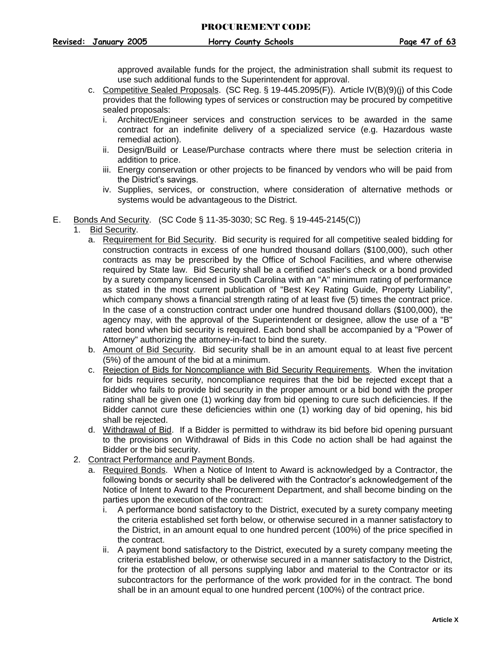approved available funds for the project, the administration shall submit its request to use such additional funds to the Superintendent for approval.

- c. Competitive Sealed Proposals. (SC Reg. § 19-445.2095(F)). Article IV(B)(9)(j) of this Code provides that the following types of services or construction may be procured by competitive sealed proposals:
	- i. Architect/Engineer services and construction services to be awarded in the same contract for an indefinite delivery of a specialized service (e.g. Hazardous waste remedial action).
	- ii. Design/Build or Lease/Purchase contracts where there must be selection criteria in addition to price.
	- iii. Energy conservation or other projects to be financed by vendors who will be paid from the District's savings.
	- iv. Supplies, services, or construction, where consideration of alternative methods or systems would be advantageous to the District.
- <span id="page-47-1"></span><span id="page-47-0"></span>E. Bonds And Security. (SC Code § 11-35-3030; SC Reg. § 19-445-2145(C))
	- 1. Bid Security.
		- a. Requirement for Bid Security. Bid security is required for all competitive sealed bidding for construction contracts in excess of one hundred thousand dollars (\$100,000), such other contracts as may be prescribed by the Office of School Facilities, and where otherwise required by State law. Bid Security shall be a certified cashier's check or a bond provided by a surety company licensed in South Carolina with an "A" minimum rating of performance as stated in the most current publication of "Best Key Rating Guide, Property Liability", which company shows a financial strength rating of at least five (5) times the contract price. In the case of a construction contract under one hundred thousand dollars (\$100,000), the agency may, with the approval of the Superintendent or designee, allow the use of a "B" rated bond when bid security is required. Each bond shall be accompanied by a "Power of Attorney" authorizing the attorney-in-fact to bind the surety.
		- b. Amount of Bid Security. Bid security shall be in an amount equal to at least five percent (5%) of the amount of the bid at a minimum.
		- c. Rejection of Bids for Noncompliance with Bid Security Requirements. When the invitation for bids requires security, noncompliance requires that the bid be rejected except that a Bidder who fails to provide bid security in the proper amount or a bid bond with the proper rating shall be given one (1) working day from bid opening to cure such deficiencies. If the Bidder cannot cure these deficiencies within one (1) working day of bid opening, his bid shall be rejected.
		- d. Withdrawal of Bid. If a Bidder is permitted to withdraw its bid before bid opening pursuant to the provisions on Withdrawal of Bids in this Code no action shall be had against the Bidder or the bid security.
	- 2. Contract Performance and Payment Bonds.
		- a. Required Bonds. When a Notice of Intent to Award is acknowledged by a Contractor, the following bonds or security shall be delivered with the Contractor's acknowledgement of the Notice of Intent to Award to the Procurement Department, and shall become binding on the parties upon the execution of the contract:
			- i. A performance bond satisfactory to the District, executed by a surety company meeting the criteria established set forth below, or otherwise secured in a manner satisfactory to the District, in an amount equal to one hundred percent (100%) of the price specified in the contract.
			- ii. A payment bond satisfactory to the District, executed by a surety company meeting the criteria established below, or otherwise secured in a manner satisfactory to the District, for the protection of all persons supplying labor and material to the Contractor or its subcontractors for the performance of the work provided for in the contract. The bond shall be in an amount equal to one hundred percent (100%) of the contract price.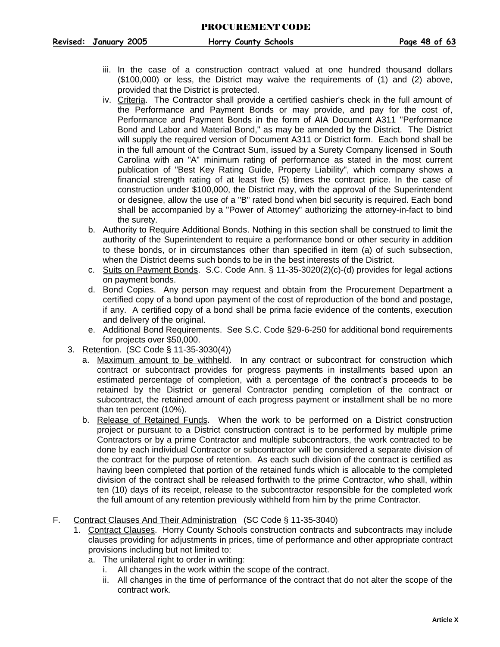- iii. In the case of a construction contract valued at one hundred thousand dollars (\$100,000) or less, the District may waive the requirements of (1) and (2) above, provided that the District is protected.
- iv. Criteria. The Contractor shall provide a certified cashier's check in the full amount of the Performance and Payment Bonds or may provide, and pay for the cost of, Performance and Payment Bonds in the form of AIA Document A311 "Performance Bond and Labor and Material Bond," as may be amended by the District. The District will supply the required version of Document A311 or District form. Each bond shall be in the full amount of the Contract Sum, issued by a Surety Company licensed in South Carolina with an "A" minimum rating of performance as stated in the most current publication of "Best Key Rating Guide, Property Liability", which company shows a financial strength rating of at least five (5) times the contract price. In the case of construction under \$100,000, the District may, with the approval of the Superintendent or designee, allow the use of a "B" rated bond when bid security is required. Each bond shall be accompanied by a "Power of Attorney" authorizing the attorney-in-fact to bind the surety.
- b. Authority to Require Additional Bonds. Nothing in this section shall be construed to limit the authority of the Superintendent to require a performance bond or other security in addition to these bonds, or in circumstances other than specified in item (a) of such subsection, when the District deems such bonds to be in the best interests of the District.
- c. Suits on Payment Bonds. S.C. Code Ann. § 11-35-3020(2)(c)-(d) provides for legal actions on payment bonds.
- d. Bond Copies. Any person may request and obtain from the Procurement Department a certified copy of a bond upon payment of the cost of reproduction of the bond and postage, if any. A certified copy of a bond shall be prima facie evidence of the contents, execution and delivery of the original.
- e. Additional Bond Requirements. See S.C. Code §29-6-250 for additional bond requirements for projects over \$50,000.
- <span id="page-48-0"></span>3. Retention. (SC Code § 11-35-3030(4))
	- a. Maximum amount to be withheld. In any contract or subcontract for construction which contract or subcontract provides for progress payments in installments based upon an estimated percentage of completion, with a percentage of the contract's proceeds to be retained by the District or general Contractor pending completion of the contract or subcontract, the retained amount of each progress payment or installment shall be no more than ten percent (10%).
	- b. Release of Retained Funds. When the work to be performed on a District construction project or pursuant to a District construction contract is to be performed by multiple prime Contractors or by a prime Contractor and multiple subcontractors, the work contracted to be done by each individual Contractor or subcontractor will be considered a separate division of the contract for the purpose of retention. As each such division of the contract is certified as having been completed that portion of the retained funds which is allocable to the completed division of the contract shall be released forthwith to the prime Contractor, who shall, within ten (10) days of its receipt, release to the subcontractor responsible for the completed work the full amount of any retention previously withheld from him by the prime Contractor.
- <span id="page-48-1"></span>F. Contract Clauses And Their Administration (SC Code § 11-35-3040)
	- 1. Contract Clauses. Horry County Schools construction contracts and subcontracts may include clauses providing for adjustments in prices, time of performance and other appropriate contract provisions including but not limited to:
		- a. The unilateral right to order in writing:
			- i. All changes in the work within the scope of the contract.
			- ii. All changes in the time of performance of the contract that do not alter the scope of the contract work.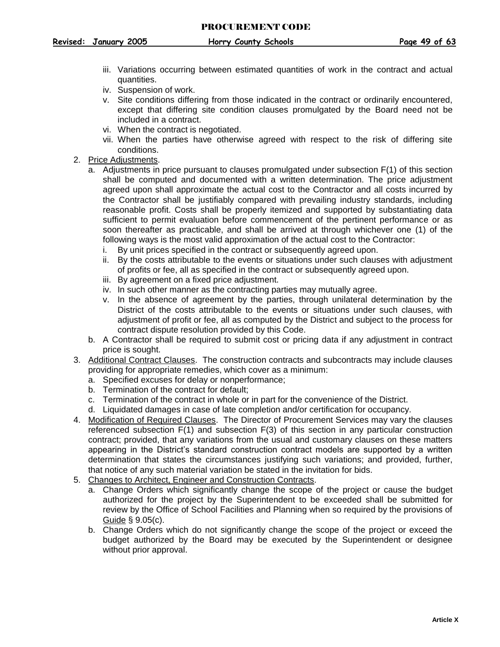- 
- iii. Variations occurring between estimated quantities of work in the contract and actual quantities.
- iv. Suspension of work.
- v. Site conditions differing from those indicated in the contract or ordinarily encountered, except that differing site condition clauses promulgated by the Board need not be included in a contract.
- vi. When the contract is negotiated.
- vii. When the parties have otherwise agreed with respect to the risk of differing site conditions.
- <span id="page-49-0"></span>2. Price Adjustments.
	- a. Adjustments in price pursuant to clauses promulgated under subsection F(1) of this section shall be computed and documented with a written determination. The price adjustment agreed upon shall approximate the actual cost to the Contractor and all costs incurred by the Contractor shall be justifiably compared with prevailing industry standards, including reasonable profit. Costs shall be properly itemized and supported by substantiating data sufficient to permit evaluation before commencement of the pertinent performance or as soon thereafter as practicable, and shall be arrived at through whichever one (1) of the following ways is the most valid approximation of the actual cost to the Contractor:
		- i. By unit prices specified in the contract or subsequently agreed upon.
		- ii. By the costs attributable to the events or situations under such clauses with adjustment of profits or fee, all as specified in the contract or subsequently agreed upon.
		- iii. By agreement on a fixed price adjustment.
		- iv. In such other manner as the contracting parties may mutually agree.
		- v. In the absence of agreement by the parties, through unilateral determination by the District of the costs attributable to the events or situations under such clauses, with adjustment of profit or fee, all as computed by the District and subject to the process for contract dispute resolution provided by this Code.
	- b. A Contractor shall be required to submit cost or pricing data if any adjustment in contract price is sought.
- <span id="page-49-1"></span>3. Additional Contract Clauses. The construction contracts and subcontracts may include clauses providing for appropriate remedies, which cover as a minimum:
	- a. Specified excuses for delay or nonperformance;
	- b. Termination of the contract for default;
	- c. Termination of the contract in whole or in part for the convenience of the District.
	- d. Liquidated damages in case of late completion and/or certification for occupancy.
- <span id="page-49-2"></span>4. Modification of Required Clauses. The Director of Procurement Services may vary the clauses referenced subsection F(1) and subsection F(3) of this section in any particular construction contract; provided, that any variations from the usual and customary clauses on these matters appearing in the District's standard construction contract models are supported by a written determination that states the circumstances justifying such variations; and provided, further, that notice of any such material variation be stated in the invitation for bids.
- <span id="page-49-3"></span>5. Changes to Architect, Engineer and Construction Contracts.
	- a. Change Orders which significantly change the scope of the project or cause the budget authorized for the project by the Superintendent to be exceeded shall be submitted for review by the Office of School Facilities and Planning when so required by the provisions of Guide § 9.05(c).
	- b. Change Orders which do not significantly change the scope of the project or exceed the budget authorized by the Board may be executed by the Superintendent or designee without prior approval.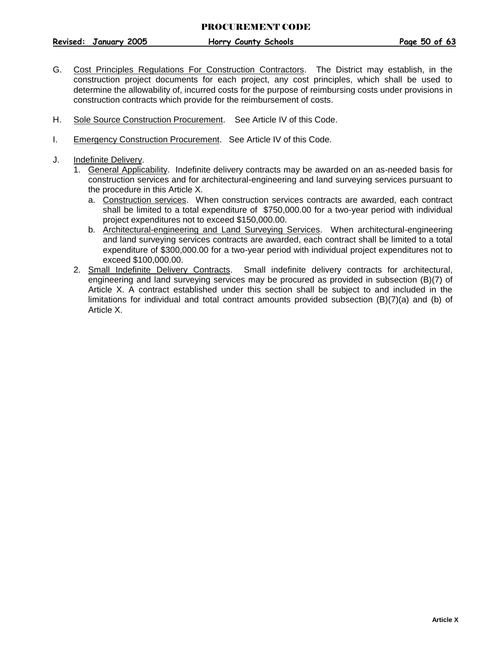**Revised: January 2005 Horry County Schools Page 50 of 63**

- <span id="page-50-0"></span>G. Cost Principles Regulations For Construction Contractors. The District may establish, in the construction project documents for each project, any cost principles, which shall be used to determine the allowability of, incurred costs for the purpose of reimbursing costs under provisions in construction contracts which provide for the reimbursement of costs.
- H. Sole Source Construction Procurement. See Article IV of this Code.
- I. Emergency Construction Procurement. See Article IV of this Code.
- <span id="page-50-1"></span>J. Indefinite Delivery.
	- 1. General Applicability. Indefinite delivery contracts may be awarded on an as-needed basis for construction services and for architectural-engineering and land surveying services pursuant to the procedure in this Article X.
		- a. Construction services. When construction services contracts are awarded, each contract shall be limited to a total expenditure of \$750,000.00 for a two-year period with individual project expenditures not to exceed \$150,000.00.
		- b. Architectural-engineering and Land Surveying Services. When architectural-engineering and land surveying services contracts are awarded, each contract shall be limited to a total expenditure of \$300,000.00 for a two-year period with individual project expenditures not to exceed \$100,000.00.
	- 2. Small Indefinite Delivery Contracts. Small indefinite delivery contracts for architectural, engineering and land surveying services may be procured as provided in subsection (B)(7) of Article X. A contract established under this section shall be subject to and included in the limitations for individual and total contract amounts provided subsection (B)(7)(a) and (b) of Article X.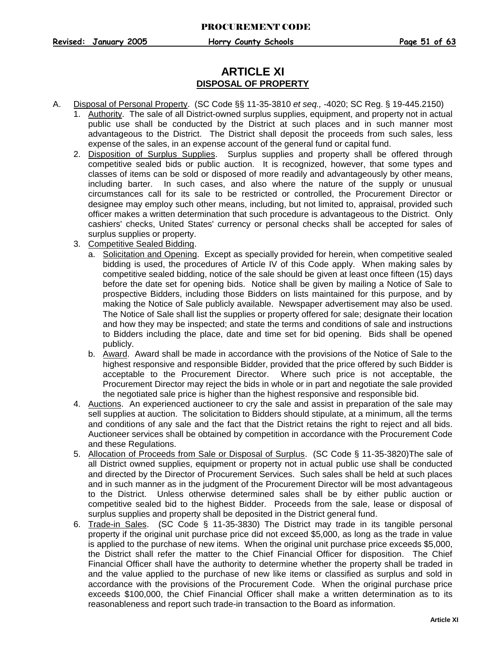## **ARTICLE XI DISPOSAL OF PROPERTY**

- <span id="page-51-5"></span><span id="page-51-4"></span><span id="page-51-3"></span><span id="page-51-2"></span><span id="page-51-1"></span><span id="page-51-0"></span>A. Disposal of Personal Property. (SC Code §§ 11-35-3810 *et seq.,* -4020; SC Reg. § 19-445.2150)
	- 1. Authority. The sale of all District-owned surplus supplies, equipment, and property not in actual public use shall be conducted by the District at such places and in such manner most advantageous to the District. The District shall deposit the proceeds from such sales, less expense of the sales, in an expense account of the general fund or capital fund.
	- 2. Disposition of Surplus Supplies. Surplus supplies and property shall be offered through competitive sealed bids or public auction. It is recognized, however, that some types and classes of items can be sold or disposed of more readily and advantageously by other means, including barter. In such cases, and also where the nature of the supply or unusual circumstances call for its sale to be restricted or controlled, the Procurement Director or designee may employ such other means, including, but not limited to, appraisal, provided such officer makes a written determination that such procedure is advantageous to the District. Only cashiers' checks, United States' currency or personal checks shall be accepted for sales of surplus supplies or property.
	- 3. Competitive Sealed Bidding.
		- a. Solicitation and Opening. Except as specially provided for herein, when competitive sealed bidding is used, the procedures of Article IV of this Code apply. When making sales by competitive sealed bidding, notice of the sale should be given at least once fifteen (15) days before the date set for opening bids. Notice shall be given by mailing a Notice of Sale to prospective Bidders, including those Bidders on lists maintained for this purpose, and by making the Notice of Sale publicly available. Newspaper advertisement may also be used. The Notice of Sale shall list the supplies or property offered for sale; designate their location and how they may be inspected; and state the terms and conditions of sale and instructions to Bidders including the place, date and time set for bid opening. Bids shall be opened publicly.
		- b. Award. Award shall be made in accordance with the provisions of the Notice of Sale to the highest responsive and responsible Bidder, provided that the price offered by such Bidder is acceptable to the Procurement Director. Where such price is not acceptable, the Procurement Director may reject the bids in whole or in part and negotiate the sale provided the negotiated sale price is higher than the highest responsive and responsible bid.
	- 4. Auctions. An experienced auctioneer to cry the sale and assist in preparation of the sale may sell supplies at auction. The solicitation to Bidders should stipulate, at a minimum, all the terms and conditions of any sale and the fact that the District retains the right to reject and all bids. Auctioneer services shall be obtained by competition in accordance with the Procurement Code and these Regulations.
	- 5. Allocation of Proceeds from Sale or Disposal of Surplus. (SC Code § 11-35-3820) The sale of all District owned supplies, equipment or property not in actual public use shall be conducted and directed by the Director of Procurement Services. Such sales shall be held at such places and in such manner as in the judgment of the Procurement Director will be most advantageous to the District. Unless otherwise determined sales shall be by either public auction or competitive sealed bid to the highest Bidder. Proceeds from the sale, lease or disposal of surplus supplies and property shall be deposited in the District general fund.
	- 6. Trade-in Sales. (SC Code § 11-35-3830) The District may trade in its tangible personal property if the original unit purchase price did not exceed \$5,000, as long as the trade in value is applied to the purchase of new items. When the original unit purchase price exceeds \$5,000, the District shall refer the matter to the Chief Financial Officer for disposition. The Chief Financial Officer shall have the authority to determine whether the property shall be traded in and the value applied to the purchase of new like items or classified as surplus and sold in accordance with the provisions of the Procurement Code. When the original purchase price exceeds \$100,000, the Chief Financial Officer shall make a written determination as to its reasonableness and report such trade-in transaction to the Board as information.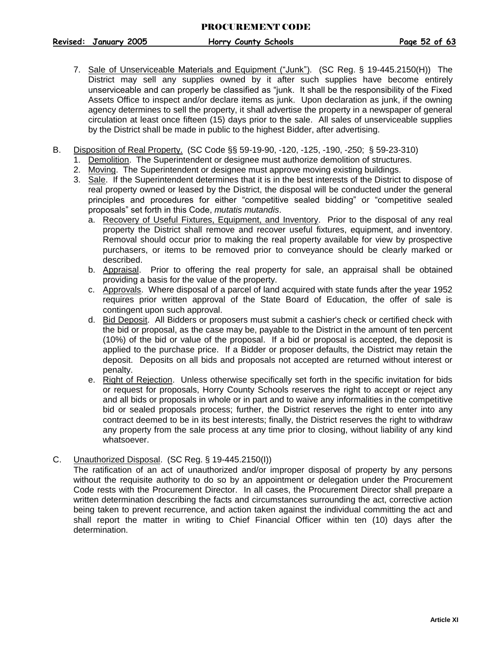- <span id="page-52-0"></span>7. Sale of Unserviceable Materials and Equipment ("Junk"). (SC Reg. § 19-445.2150(H)) The District may sell any supplies owned by it after such supplies have become entirely unserviceable and can properly be classified as "junk. It shall be the responsibility of the Fixed Assets Office to inspect and/or declare items as junk. Upon declaration as junk, if the owning agency determines to sell the property, it shall advertise the property in a newspaper of general circulation at least once fifteen (15) days prior to the sale. All sales of unserviceable supplies by the District shall be made in public to the highest Bidder, after advertising.
- <span id="page-52-3"></span><span id="page-52-2"></span><span id="page-52-1"></span>B. Disposition of Real Property. (SC Code §§ 59-19-90, -120, -125, -190, -250; § 59-23-310)
	- 1. Demolition. The Superintendent or designee must authorize demolition of structures.
	- 2. Moving. The Superintendent or designee must approve moving existing buildings.
	- 3. Sale. If the Superintendent determines that it is in the best interests of the District to dispose of real property owned or leased by the District, the disposal will be conducted under the general principles and procedures for either "competitive sealed bidding" or "competitive sealed proposals" set forth in this Code, *mutatis mutandis*.
		- a. Recovery of Useful Fixtures, Equipment, and Inventory. Prior to the disposal of any real property the District shall remove and recover useful fixtures, equipment, and inventory. Removal should occur prior to making the real property available for view by prospective purchasers, or items to be removed prior to conveyance should be clearly marked or described.
		- b. Appraisal. Prior to offering the real property for sale, an appraisal shall be obtained providing a basis for the value of the property.
		- c. Approvals. Where disposal of a parcel of land acquired with state funds after the year 1952 requires prior written approval of the State Board of Education, the offer of sale is contingent upon such approval.
		- d. Bid Deposit. All Bidders or proposers must submit a cashier's check or certified check with the bid or proposal, as the case may be, payable to the District in the amount of ten percent (10%) of the bid or value of the proposal. If a bid or proposal is accepted, the deposit is applied to the purchase price. If a Bidder or proposer defaults, the District may retain the deposit. Deposits on all bids and proposals not accepted are returned without interest or penalty.
		- e. Right of Rejection. Unless otherwise specifically set forth in the specific invitation for bids or request for proposals, Horry County Schools reserves the right to accept or reject any and all bids or proposals in whole or in part and to waive any informalities in the competitive bid or sealed proposals process; further, the District reserves the right to enter into any contract deemed to be in its best interests; finally, the District reserves the right to withdraw any property from the sale process at any time prior to closing, without liability of any kind whatsoever.
- <span id="page-52-4"></span>C. Unauthorized Disposal. (SC Reg. § 19-445.2150(I))

The ratification of an act of unauthorized and/or improper disposal of property by any persons without the requisite authority to do so by an appointment or delegation under the Procurement Code rests with the Procurement Director. In all cases, the Procurement Director shall prepare a written determination describing the facts and circumstances surrounding the act, corrective action being taken to prevent recurrence, and action taken against the individual committing the act and shall report the matter in writing to Chief Financial Officer within ten (10) days after the determination.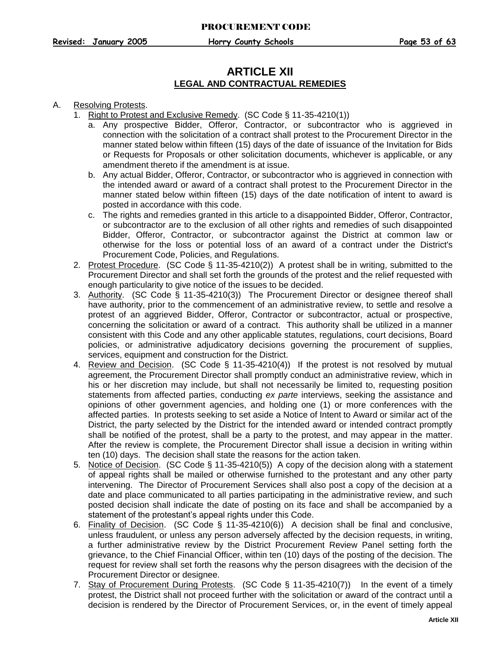## **ARTICLE XII LEGAL AND CONTRACTUAL REMEDIES**

#### <span id="page-53-0"></span>A. Resolving Protests.

- 1. Right to Protest and Exclusive Remedy. (SC Code § 11-35-4210(1))
	- a. Any prospective Bidder, Offeror, Contractor, or subcontractor who is aggrieved in connection with the solicitation of a contract shall protest to the Procurement Director in the manner stated below within fifteen (15) days of the date of issuance of the Invitation for Bids or Requests for Proposals or other solicitation documents, whichever is applicable, or any amendment thereto if the amendment is at issue.
	- b. Any actual Bidder, Offeror, Contractor, or subcontractor who is aggrieved in connection with the intended award or award of a contract shall protest to the Procurement Director in the manner stated below within fifteen (15) days of the date notification of intent to award is posted in accordance with this code.
	- c. The rights and remedies granted in this article to a disappointed Bidder, Offeror, Contractor, or subcontractor are to the exclusion of all other rights and remedies of such disappointed Bidder, Offeror, Contractor, or subcontractor against the District at common law or otherwise for the loss or potential loss of an award of a contract under the District's Procurement Code, Policies, and Regulations.
- <span id="page-53-1"></span>2. Protest Procedure. (SC Code § 11-35-4210(2)) A protest shall be in writing, submitted to the Procurement Director and shall set forth the grounds of the protest and the relief requested with enough particularity to give notice of the issues to be decided.
- <span id="page-53-2"></span>3. Authority. (SC Code § 11-35-4210(3)) The Procurement Director or designee thereof shall have authority, prior to the commencement of an administrative review, to settle and resolve a protest of an aggrieved Bidder, Offeror, Contractor or subcontractor, actual or prospective, concerning the solicitation or award of a contract. This authority shall be utilized in a manner consistent with this Code and any other applicable statutes, regulations, court decisions, Board policies, or administrative adjudicatory decisions governing the procurement of supplies, services, equipment and construction for the District.
- <span id="page-53-3"></span>4. Review and Decision. (SC Code § 11-35-4210(4)) If the protest is not resolved by mutual agreement, the Procurement Director shall promptly conduct an administrative review, which in his or her discretion may include, but shall not necessarily be limited to, requesting position statements from affected parties, conducting *ex parte* interviews, seeking the assistance and opinions of other government agencies, and holding one (1) or more conferences with the affected parties. In protests seeking to set aside a Notice of Intent to Award or similar act of the District, the party selected by the District for the intended award or intended contract promptly shall be notified of the protest, shall be a party to the protest, and may appear in the matter. After the review is complete, the Procurement Director shall issue a decision in writing within ten (10) days. The decision shall state the reasons for the action taken.
- 5. Notice of Decision. (SC Code § 11-35-4210(5)) A copy of the decision along with a statement of appeal rights shall be mailed or otherwise furnished to the protestant and any other party intervening. The Director of Procurement Services shall also post a copy of the decision at a date and place communicated to all parties participating in the administrative review, and such posted decision shall indicate the date of posting on its face and shall be accompanied by a statement of the protestant's appeal rights under this Code.
- <span id="page-53-4"></span>6. Finality of Decision. (SC Code § 11-35-4210(6)) A decision shall be final and conclusive, unless fraudulent, or unless any person adversely affected by the decision requests, in writing, a further administrative review by the District Procurement Review Panel setting forth the grievance, to the Chief Financial Officer, within ten (10) days of the posting of the decision. The request for review shall set forth the reasons why the person disagrees with the decision of the Procurement Director or designee.
- <span id="page-53-5"></span>7. Stay of Procurement During Protests. (SC Code § 11-35-4210(7)) In the event of a timely protest, the District shall not proceed further with the solicitation or award of the contract until a decision is rendered by the Director of Procurement Services, or, in the event of timely appeal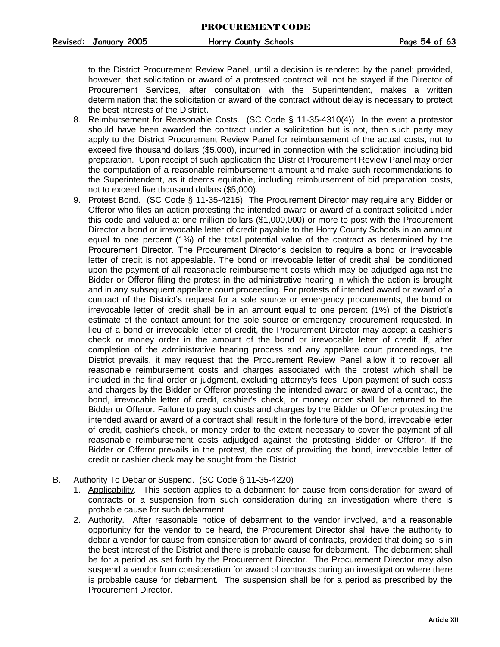to the District Procurement Review Panel, until a decision is rendered by the panel; provided, however, that solicitation or award of a protested contract will not be stayed if the Director of Procurement Services, after consultation with the Superintendent, makes a written determination that the solicitation or award of the contract without delay is necessary to protect the best interests of the District.

- <span id="page-54-0"></span>8. Reimbursement for Reasonable Costs. (SC Code § 11-35-4310(4)) In the event a protestor should have been awarded the contract under a solicitation but is not, then such party may apply to the District Procurement Review Panel for reimbursement of the actual costs, not to exceed five thousand dollars (\$5,000), incurred in connection with the solicitation including bid preparation. Upon receipt of such application the District Procurement Review Panel may order the computation of a reasonable reimbursement amount and make such recommendations to the Superintendent, as it deems equitable, including reimbursement of bid preparation costs, not to exceed five thousand dollars (\$5,000).
- <span id="page-54-1"></span>9. Protest Bond. (SC Code § 11-35-4215) The Procurement Director may require any Bidder or Offeror who files an action protesting the intended award or award of a contract solicited under this code and valued at one million dollars (\$1,000,000) or more to post with the Procurement Director a bond or irrevocable letter of credit payable to the Horry County Schools in an amount equal to one percent (1%) of the total potential value of the contract as determined by the Procurement Director. The Procurement Director's decision to require a bond or irrevocable letter of credit is not appealable. The bond or irrevocable letter of credit shall be conditioned upon the payment of all reasonable reimbursement costs which may be adjudged against the Bidder or Offeror filing the protest in the administrative hearing in which the action is brought and in any subsequent appellate court proceeding. For protests of intended award or award of a contract of the District's request for a sole source or emergency procurements, the bond or irrevocable letter of credit shall be in an amount equal to one percent (1%) of the District's estimate of the contact amount for the sole source or emergency procurement requested. In lieu of a bond or irrevocable letter of credit, the Procurement Director may accept a cashier's check or money order in the amount of the bond or irrevocable letter of credit. If, after completion of the administrative hearing process and any appellate court proceedings, the District prevails, it may request that the Procurement Review Panel allow it to recover all reasonable reimbursement costs and charges associated with the protest which shall be included in the final order or judgment, excluding attorney's fees. Upon payment of such costs and charges by the Bidder or Offeror protesting the intended award or award of a contract, the bond, irrevocable letter of credit, cashier's check, or money order shall be returned to the Bidder or Offeror. Failure to pay such costs and charges by the Bidder or Offeror protesting the intended award or award of a contract shall result in the forfeiture of the bond, irrevocable letter of credit, cashier's check, or money order to the extent necessary to cover the payment of all reasonable reimbursement costs adjudged against the protesting Bidder or Offeror. If the Bidder or Offeror prevails in the protest, the cost of providing the bond, irrevocable letter of credit or cashier check may be sought from the District.
- <span id="page-54-3"></span><span id="page-54-2"></span>B. Authority To Debar or Suspend. (SC Code § 11-35-4220)
	- 1. Applicability. This section applies to a debarment for cause from consideration for award of contracts or a suspension from such consideration during an investigation where there is probable cause for such debarment.
	- 2. Authority. After reasonable notice of debarment to the vendor involved, and a reasonable opportunity for the vendor to be heard, the Procurement Director shall have the authority to debar a vendor for cause from consideration for award of contracts, provided that doing so is in the best interest of the District and there is probable cause for debarment. The debarment shall be for a period as set forth by the Procurement Director. The Procurement Director may also suspend a vendor from consideration for award of contracts during an investigation where there is probable cause for debarment. The suspension shall be for a period as prescribed by the Procurement Director.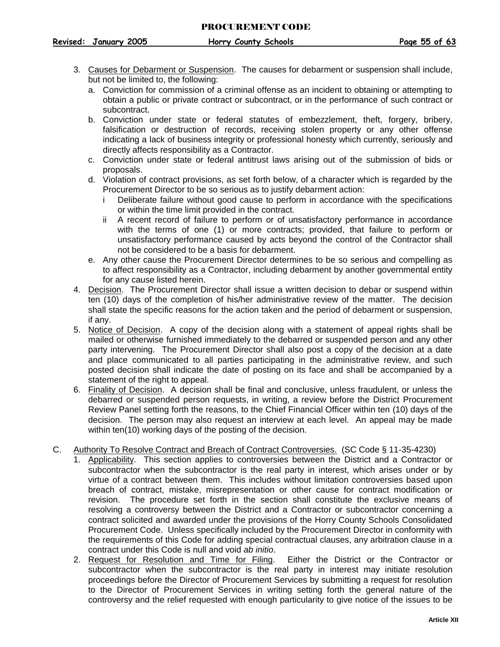- <span id="page-55-1"></span>3. Causes for Debarment or Suspension. The causes for debarment or suspension shall include, but not be limited to, the following:
	- a. Conviction for commission of a criminal offense as an incident to obtaining or attempting to obtain a public or private contract or subcontract, or in the performance of such contract or subcontract.
	- b. Conviction under state or federal statutes of embezzlement, theft, forgery, bribery, falsification or destruction of records, receiving stolen property or any other offense indicating a lack of business integrity or professional honesty which currently, seriously and directly affects responsibility as a Contractor.
	- c. Conviction under state or federal antitrust laws arising out of the submission of bids or proposals.
	- d. Violation of contract provisions, as set forth below, of a character which is regarded by the Procurement Director to be so serious as to justify debarment action:
		- i Deliberate failure without good cause to perform in accordance with the specifications or within the time limit provided in the contract.
		- ii A recent record of failure to perform or of unsatisfactory performance in accordance with the terms of one (1) or more contracts; provided, that failure to perform or unsatisfactory performance caused by acts beyond the control of the Contractor shall not be considered to be a basis for debarment.
	- e. Any other cause the Procurement Director determines to be so serious and compelling as to affect responsibility as a Contractor, including debarment by another governmental entity for any cause listed herein.
- <span id="page-55-2"></span>4. Decision. The Procurement Director shall issue a written decision to debar or suspend within ten (10) days of the completion of his/her administrative review of the matter. The decision shall state the specific reasons for the action taken and the period of debarment or suspension, if any.
- <span id="page-55-0"></span>5. Notice of Decision. A copy of the decision along with a statement of appeal rights shall be mailed or otherwise furnished immediately to the debarred or suspended person and any other party intervening. The Procurement Director shall also post a copy of the decision at a date and place communicated to all parties participating in the administrative review, and such posted decision shall indicate the date of posting on its face and shall be accompanied by a statement of the right to appeal.
- 6. Finality of Decision. A decision shall be final and conclusive, unless fraudulent, or unless the debarred or suspended person requests, in writing, a review before the District Procurement Review Panel setting forth the reasons, to the Chief Financial Officer within ten (10) days of the decision. The person may also request an interview at each level. An appeal may be made within ten(10) working days of the posting of the decision.

## <span id="page-55-3"></span>C. Authority To Resolve Contract and Breach of Contract Controversies. (SC Code § 11-35-4230)

- 1. Applicability. This section applies to controversies between the District and a Contractor or subcontractor when the subcontractor is the real party in interest, which arises under or by virtue of a contract between them. This includes without limitation controversies based upon breach of contract, mistake, misrepresentation or other cause for contract modification or revision. The procedure set forth in the section shall constitute the exclusive means of resolving a controversy between the District and a Contractor or subcontractor concerning a contract solicited and awarded under the provisions of the Horry County Schools Consolidated Procurement Code. Unless specifically included by the Procurement Director in conformity with the requirements of this Code for adding special contractual clauses, any arbitration clause in a contract under this Code is null and void *ab initio*.
- <span id="page-55-4"></span>2. Request for Resolution and Time for Filing. Either the District or the Contractor or subcontractor when the subcontractor is the real party in interest may initiate resolution proceedings before the Director of Procurement Services by submitting a request for resolution to the Director of Procurement Services in writing setting forth the general nature of the controversy and the relief requested with enough particularity to give notice of the issues to be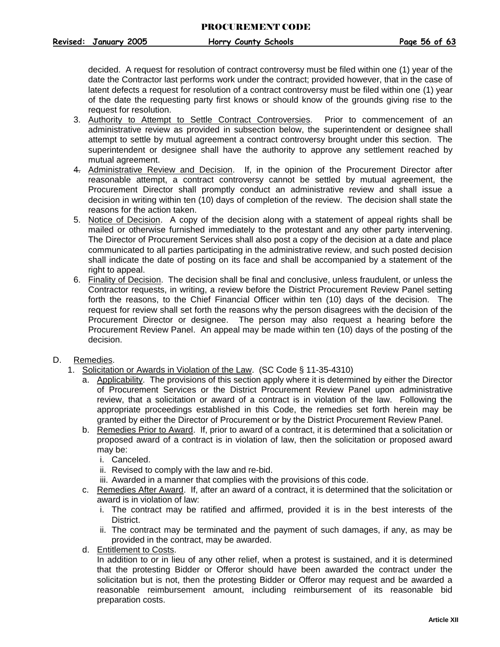decided. A request for resolution of contract controversy must be filed within one (1) year of the date the Contractor last performs work under the contract; provided however, that in the case of latent defects a request for resolution of a contract controversy must be filed within one (1) year of the date the requesting party first knows or should know of the grounds giving rise to the request for resolution.

- <span id="page-56-2"></span>3. Authority to Attempt to Settle Contract Controversies. Prior to commencement of an administrative review as provided in subsection below, the superintendent or designee shall attempt to settle by mutual agreement a contract controversy brought under this section. The superintendent or designee shall have the authority to approve any settlement reached by mutual agreement.
- <span id="page-56-3"></span>4. Administrative Review and Decision. If, in the opinion of the Procurement Director after reasonable attempt, a contract controversy cannot be settled by mutual agreement, the Procurement Director shall promptly conduct an administrative review and shall issue a decision in writing within ten (10) days of completion of the review. The decision shall state the reasons for the action taken.
- <span id="page-56-0"></span>5. Notice of Decision. A copy of the decision along with a statement of appeal rights shall be mailed or otherwise furnished immediately to the protestant and any other party intervening. The Director of Procurement Services shall also post a copy of the decision at a date and place communicated to all parties participating in the administrative review, and such posted decision shall indicate the date of posting on its face and shall be accompanied by a statement of the right to appeal.
- <span id="page-56-1"></span>6. Finality of Decision. The decision shall be final and conclusive, unless fraudulent, or unless the Contractor requests, in writing, a review before the District Procurement Review Panel setting forth the reasons, to the Chief Financial Officer within ten (10) days of the decision. The request for review shall set forth the reasons why the person disagrees with the decision of the Procurement Director or designee. The person may also request a hearing before the Procurement Review Panel. An appeal may be made within ten (10) days of the posting of the decision.
- <span id="page-56-4"></span>D. Remedies.
	- 1. Solicitation or Awards in Violation of the Law. (SC Code § 11-35-4310)
		- a. Applicability. The provisions of this section apply where it is determined by either the Director of Procurement Services or the District Procurement Review Panel upon administrative review, that a solicitation or award of a contract is in violation of the law. Following the appropriate proceedings established in this Code, the remedies set forth herein may be granted by either the Director of Procurement or by the District Procurement Review Panel.
		- b. Remedies Prior to Award. If, prior to award of a contract, it is determined that a solicitation or proposed award of a contract is in violation of law, then the solicitation or proposed award may be:
			- i. Canceled.
			- ii. Revised to comply with the law and re-bid.
			- iii. Awarded in a manner that complies with the provisions of this code.
		- c. Remedies After Award. If, after an award of a contract, it is determined that the solicitation or award is in violation of law:
			- i. The contract may be ratified and affirmed, provided it is in the best interests of the District.
			- ii. The contract may be terminated and the payment of such damages, if any, as may be provided in the contract, may be awarded.
		- d. Entitlement to Costs.

In addition to or in lieu of any other relief, when a protest is sustained, and it is determined that the protesting Bidder or Offeror should have been awarded the contract under the solicitation but is not, then the protesting Bidder or Offeror may request and be awarded a reasonable reimbursement amount, including reimbursement of its reasonable bid preparation costs.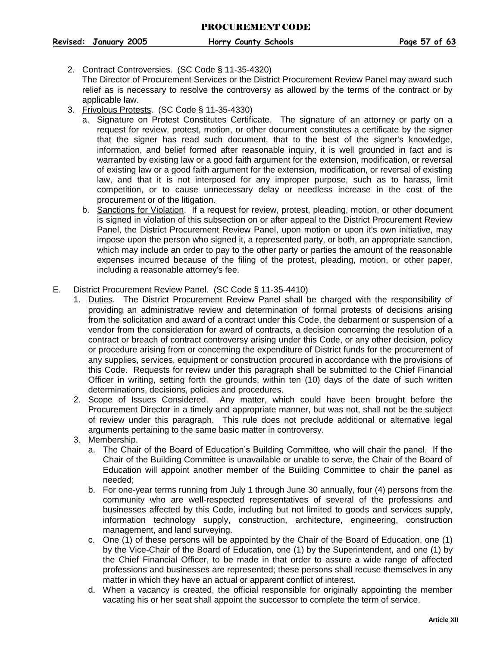<span id="page-57-0"></span>2. Contract Controversies. (SC Code § 11-35-4320)

The Director of Procurement Services or the District Procurement Review Panel may award such relief as is necessary to resolve the controversy as allowed by the terms of the contract or by applicable law.

- <span id="page-57-1"></span>3. Frivolous Protests. (SC Code § 11-35-4330)
	- a. Signature on Protest Constitutes Certificate. The signature of an attorney or party on a request for review, protest, motion, or other document constitutes a certificate by the signer that the signer has read such document, that to the best of the signer's knowledge, information, and belief formed after reasonable inquiry, it is well grounded in fact and is warranted by existing law or a good faith argument for the extension, modification, or reversal of existing law or a good faith argument for the extension, modification, or reversal of existing law, and that it is not interposed for any improper purpose, such as to harass, limit competition, or to cause unnecessary delay or needless increase in the cost of the procurement or of the litigation.
	- b. Sanctions for Violation. If a request for review, protest, pleading, motion, or other document is signed in violation of this subsection on or after appeal to the District Procurement Review Panel, the District Procurement Review Panel, upon motion or upon it's own initiative, may impose upon the person who signed it, a represented party, or both, an appropriate sanction, which may include an order to pay to the other party or parties the amount of the reasonable expenses incurred because of the filing of the protest, pleading, motion, or other paper, including a reasonable attorney's fee.
- <span id="page-57-2"></span>E. District Procurement Review Panel. (SC Code § 11-35-4410)
	- 1. Duties. The District Procurement Review Panel shall be charged with the responsibility of providing an administrative review and determination of formal protests of decisions arising from the solicitation and award of a contract under this Code, the debarment or suspension of a vendor from the consideration for award of contracts, a decision concerning the resolution of a contract or breach of contract controversy arising under this Code, or any other decision, policy or procedure arising from or concerning the expenditure of District funds for the procurement of any supplies, services, equipment or construction procured in accordance with the provisions of this Code. Requests for review under this paragraph shall be submitted to the Chief Financial Officer in writing, setting forth the grounds, within ten (10) days of the date of such written determinations, decisions, policies and procedures.
	- 2. Scope of Issues Considered. Any matter, which could have been brought before the Procurement Director in a timely and appropriate manner, but was not, shall not be the subject of review under this paragraph. This rule does not preclude additional or alternative legal arguments pertaining to the same basic matter in controversy.
	- 3. Membership.
		- a. The Chair of the Board of Education's Building Committee, who will chair the panel. If the Chair of the Building Committee is unavailable or unable to serve, the Chair of the Board of Education will appoint another member of the Building Committee to chair the panel as needed;
		- b. For one-year terms running from July 1 through June 30 annually, four (4) persons from the community who are well-respected representatives of several of the professions and businesses affected by this Code, including but not limited to goods and services supply, information technology supply, construction, architecture, engineering, construction management, and land surveying.
		- c. One (1) of these persons will be appointed by the Chair of the Board of Education, one (1) by the Vice-Chair of the Board of Education, one (1) by the Superintendent, and one (1) by the Chief Financial Officer, to be made in that order to assure a wide range of affected professions and businesses are represented; these persons shall recuse themselves in any matter in which they have an actual or apparent conflict of interest.
		- d. When a vacancy is created, the official responsible for originally appointing the member vacating his or her seat shall appoint the successor to complete the term of service.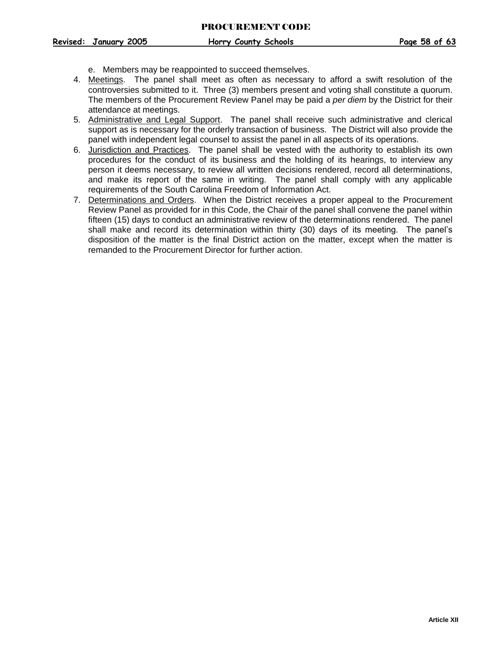- e. Members may be reappointed to succeed themselves.
- 4. Meetings. The panel shall meet as often as necessary to afford a swift resolution of the controversies submitted to it. Three (3) members present and voting shall constitute a quorum. The members of the Procurement Review Panel may be paid a *per diem* by the District for their attendance at meetings.
- 5. Administrative and Legal Support. The panel shall receive such administrative and clerical support as is necessary for the orderly transaction of business. The District will also provide the panel with independent legal counsel to assist the panel in all aspects of its operations.
- 6. Jurisdiction and Practices. The panel shall be vested with the authority to establish its own procedures for the conduct of its business and the holding of its hearings, to interview any person it deems necessary, to review all written decisions rendered, record all determinations, and make its report of the same in writing. The panel shall comply with any applicable requirements of the South Carolina Freedom of Information Act.
- 7. Determinations and Orders. When the District receives a proper appeal to the Procurement Review Panel as provided for in this Code, the Chair of the panel shall convene the panel within fifteen (15) days to conduct an administrative review of the determinations rendered. The panel shall make and record its determination within thirty (30) days of its meeting. The panel's disposition of the matter is the final District action on the matter, except when the matter is remanded to the Procurement Director for further action.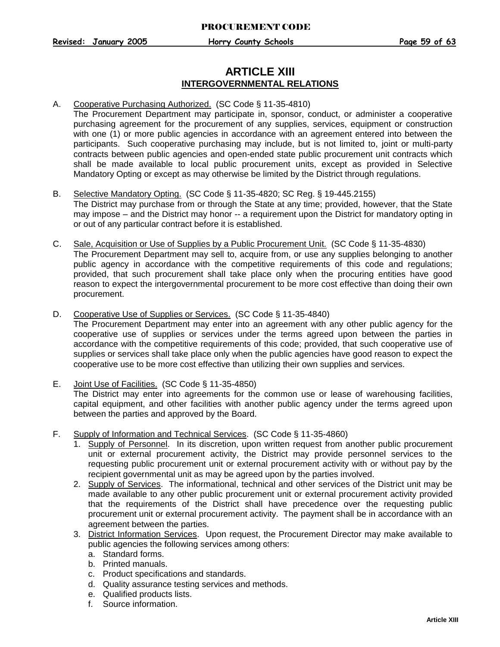## **ARTICLE XIII INTERGOVERNMENTAL RELATIONS**

#### <span id="page-59-0"></span>A. Cooperative Purchasing Authorized. (SC Code § 11-35-4810)

The Procurement Department may participate in, sponsor, conduct, or administer a cooperative purchasing agreement for the procurement of any supplies, services, equipment or construction with one (1) or more public agencies in accordance with an agreement entered into between the participants. Such cooperative purchasing may include, but is not limited to, joint or multi-party contracts between public agencies and open-ended state public procurement unit contracts which shall be made available to local public procurement units, except as provided in Selective Mandatory Opting or except as may otherwise be limited by the District through regulations.

#### <span id="page-59-1"></span>B. Selective Mandatory Opting. (SC Code § 11-35-4820; SC Reg. § 19-445.2155) The District may purchase from or through the State at any time; provided, however, that the State may impose – and the District may honor -- a requirement upon the District for mandatory opting in or out of any particular contract before it is established.

<span id="page-59-2"></span>C. Sale, Acquisition or Use of Supplies by a Public Procurement Unit. (SC Code § 11-35-4830) The Procurement Department may sell to, acquire from, or use any supplies belonging to another public agency in accordance with the competitive requirements of this code and regulations; provided, that such procurement shall take place only when the procuring entities have good reason to expect the intergovernmental procurement to be more cost effective than doing their own procurement.

### <span id="page-59-3"></span>D. Cooperative Use of Supplies or Services. (SC Code § 11-35-4840)

The Procurement Department may enter into an agreement with any other public agency for the cooperative use of supplies or services under the terms agreed upon between the parties in accordance with the competitive requirements of this code; provided, that such cooperative use of supplies or services shall take place only when the public agencies have good reason to expect the cooperative use to be more cost effective than utilizing their own supplies and services.

#### <span id="page-59-4"></span>E. Joint Use of Facilities. (SC Code § 11-35-4850) The District may enter into agreements for the common use or lease of warehousing facilities, capital equipment, and other facilities with another public agency under the terms agreed upon between the parties and approved by the Board.

- <span id="page-59-5"></span>F. Supply of Information and Technical Services. (SC Code § 11-35-4860)
	- 1. Supply of Personnel. In its discretion, upon written request from another public procurement unit or external procurement activity, the District may provide personnel services to the requesting public procurement unit or external procurement activity with or without pay by the recipient governmental unit as may be agreed upon by the parties involved.
	- 2. Supply of Services. The informational, technical and other services of the District unit may be made available to any other public procurement unit or external procurement activity provided that the requirements of the District shall have precedence over the requesting public procurement unit or external procurement activity. The payment shall be in accordance with an agreement between the parties.
	- 3. District Information Services. Upon request, the Procurement Director may make available to public agencies the following services among others:
		- a. Standard forms.
		- b. Printed manuals.
		- c. Product specifications and standards.
		- d. Quality assurance testing services and methods.
		- e. Qualified products lists.
		- f. Source information.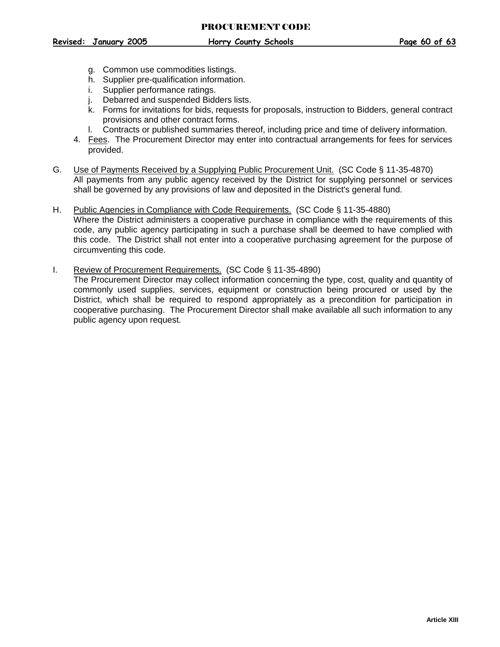- g. Common use commodities listings.
- h. Supplier pre-qualification information.
- i. Supplier performance ratings.
- j. Debarred and suspended Bidders lists.
- k. Forms for invitations for bids, requests for proposals, instruction to Bidders, general contract provisions and other contract forms.
- l. Contracts or published summaries thereof, including price and time of delivery information.
- 4. Fees. The Procurement Director may enter into contractual arrangements for fees for services provided.
- <span id="page-60-0"></span>G. Use of Payments Received by a Supplying Public Procurement Unit. (SC Code § 11-35-4870) All payments from any public agency received by the District for supplying personnel or services shall be governed by any provisions of law and deposited in the District's general fund.
- <span id="page-60-1"></span>H. Public Agencies in Compliance with Code Requirements. (SC Code § 11-35-4880) Where the District administers a cooperative purchase in compliance with the requirements of this code, any public agency participating in such a purchase shall be deemed to have complied with this code. The District shall not enter into a cooperative purchasing agreement for the purpose of circumventing this code.
- <span id="page-60-2"></span>I. Review of Procurement Requirements. (SC Code § 11-35-4890) The Procurement Director may collect information concerning the type, cost, quality and quantity of commonly used supplies, services, equipment or construction being procured or used by the District, which shall be required to respond appropriately as a precondition for participation in cooperative purchasing. The Procurement Director shall make available all such information to any public agency upon request.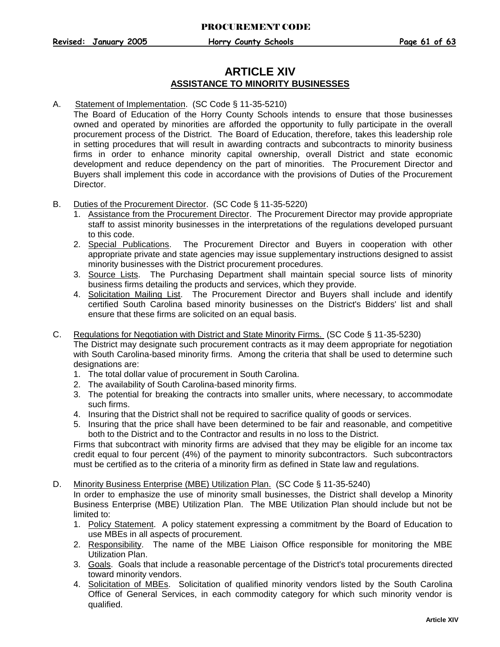## **ARTICLE XIV ASSISTANCE TO MINORITY BUSINESSES**

#### A. Statement of Implementation. (SC Code § 11-35-5210)

<span id="page-61-0"></span>The Board of Education of the Horry County Schools intends to ensure that those businesses owned and operated by minorities are afforded the opportunity to fully participate in the overall procurement process of the District. The Board of Education, therefore, takes this leadership role in setting procedures that will result in awarding contracts and subcontracts to minority business firms in order to enhance minority capital ownership, overall District and state economic development and reduce dependency on the part of minorities. The Procurement Director and Buyers shall implement this code in accordance with the provisions of Duties of the Procurement Director.

- <span id="page-61-1"></span>B. Duties of the Procurement Director. (SC Code § 11-35-5220)
	- 1. Assistance from the Procurement Director. The Procurement Director may provide appropriate staff to assist minority businesses in the interpretations of the regulations developed pursuant to this code.
	- 2. Special Publications. The Procurement Director and Buyers in cooperation with other appropriate private and state agencies may issue supplementary instructions designed to assist minority businesses with the District procurement procedures.
	- 3. Source Lists. The Purchasing Department shall maintain special source lists of minority business firms detailing the products and services, which they provide.
	- 4. Solicitation Mailing List. The Procurement Director and Buyers shall include and identify certified South Carolina based minority businesses on the District's Bidders' list and shall ensure that these firms are solicited on an equal basis.
- <span id="page-61-2"></span>C. Regulations for Negotiation with District and State Minority Firms. (SC Code § 11-35-5230) The District may designate such procurement contracts as it may deem appropriate for negotiation with South Carolina-based minority firms. Among the criteria that shall be used to determine such designations are:
	- 1. The total dollar value of procurement in South Carolina.
	- 2. The availability of South Carolina-based minority firms.
	- 3. The potential for breaking the contracts into smaller units, where necessary, to accommodate such firms.
	- 4. Insuring that the District shall not be required to sacrifice quality of goods or services.
	- 5. Insuring that the price shall have been determined to be fair and reasonable, and competitive both to the District and to the Contractor and results in no loss to the District.

Firms that subcontract with minority firms are advised that they may be eligible for an income tax credit equal to four percent (4%) of the payment to minority subcontractors. Such subcontractors must be certified as to the criteria of a minority firm as defined in State law and regulations.

<span id="page-61-3"></span>D. Minority Business Enterprise (MBE) Utilization Plan. (SC Code § 11-35-5240)

In order to emphasize the use of minority small businesses, the District shall develop a Minority Business Enterprise (MBE) Utilization Plan. The MBE Utilization Plan should include but not be limited to:

- 1. Policy Statement. A policy statement expressing a commitment by the Board of Education to use MBEs in all aspects of procurement.
- 2. Responsibility. The name of the MBE Liaison Office responsible for monitoring the MBE Utilization Plan.
- 3. Goals. Goals that include a reasonable percentage of the District's total procurements directed toward minority vendors.
- 4. Solicitation of MBEs. Solicitation of qualified minority vendors listed by the South Carolina Office of General Services, in each commodity category for which such minority vendor is qualified.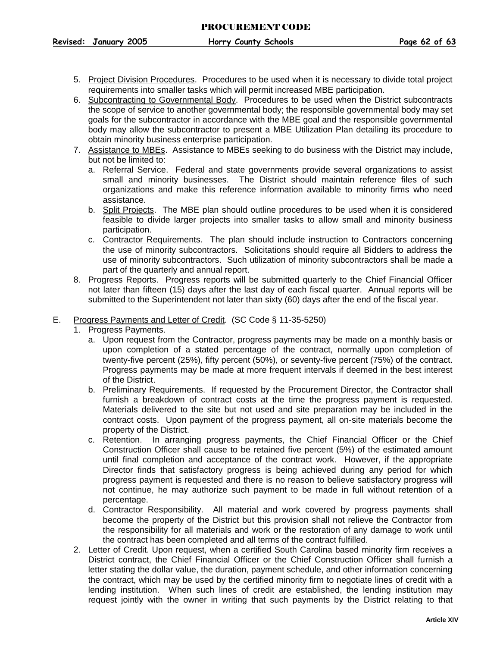- 5. Project Division Procedures. Procedures to be used when it is necessary to divide total project requirements into smaller tasks which will permit increased MBE participation.
- 6. Subcontracting to Governmental Body. Procedures to be used when the District subcontracts the scope of service to another governmental body; the responsible governmental body may set goals for the subcontractor in accordance with the MBE goal and the responsible governmental body may allow the subcontractor to present a MBE Utilization Plan detailing its procedure to obtain minority business enterprise participation.
- 7. Assistance to MBEs. Assistance to MBEs seeking to do business with the District may include, but not be limited to:
	- a. Referral Service. Federal and state governments provide several organizations to assist small and minority businesses. The District should maintain reference files of such organizations and make this reference information available to minority firms who need assistance.
	- b. Split Projects. The MBE plan should outline procedures to be used when it is considered feasible to divide larger projects into smaller tasks to allow small and minority business participation.
	- c. Contractor Requirements. The plan should include instruction to Contractors concerning the use of minority subcontractors. Solicitations should require all Bidders to address the use of minority subcontractors. Such utilization of minority subcontractors shall be made a part of the quarterly and annual report.
- 8. Progress Reports. Progress reports will be submitted quarterly to the Chief Financial Officer not later than fifteen (15) days after the last day of each fiscal quarter. Annual reports will be submitted to the Superintendent not later than sixty (60) days after the end of the fiscal year.
- <span id="page-62-0"></span>E. Progress Payments and Letter of Credit. (SC Code § 11-35-5250)
	- 1. Progress Payments.
		- a. Upon request from the Contractor, progress payments may be made on a monthly basis or upon completion of a stated percentage of the contract, normally upon completion of twenty-five percent (25%), fifty percent (50%), or seventy-five percent (75%) of the contract. Progress payments may be made at more frequent intervals if deemed in the best interest of the District.
		- b. Preliminary Requirements. If requested by the Procurement Director, the Contractor shall furnish a breakdown of contract costs at the time the progress payment is requested. Materials delivered to the site but not used and site preparation may be included in the contract costs. Upon payment of the progress payment, all on-site materials become the property of the District.
		- c. Retention. In arranging progress payments, the Chief Financial Officer or the Chief Construction Officer shall cause to be retained five percent (5%) of the estimated amount until final completion and acceptance of the contract work. However, if the appropriate Director finds that satisfactory progress is being achieved during any period for which progress payment is requested and there is no reason to believe satisfactory progress will not continue, he may authorize such payment to be made in full without retention of a percentage.
		- d. Contractor Responsibility. All material and work covered by progress payments shall become the property of the District but this provision shall not relieve the Contractor from the responsibility for all materials and work or the restoration of any damage to work until the contract has been completed and all terms of the contract fulfilled.
	- 2. Letter of Credit. Upon request, when a certified South Carolina based minority firm receives a District contract, the Chief Financial Officer or the Chief Construction Officer shall furnish a letter stating the dollar value, the duration, payment schedule, and other information concerning the contract, which may be used by the certified minority firm to negotiate lines of credit with a lending institution. When such lines of credit are established, the lending institution may request jointly with the owner in writing that such payments by the District relating to that